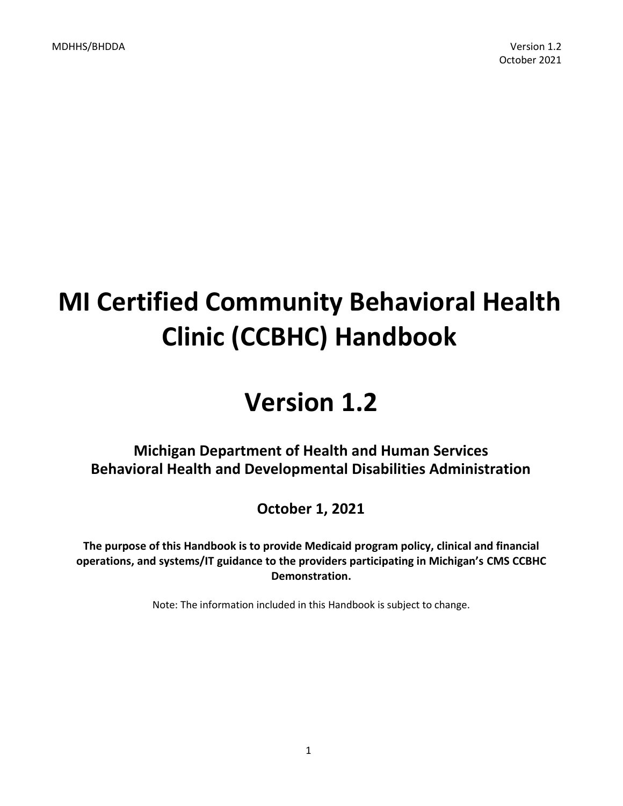# **MI Certified Community Behavioral Health Clinic (CCBHC) Handbook**

# **Version 1.2**

# **Michigan Department of Health and Human Services Behavioral Health and Developmental Disabilities Administration**

**October 1, 2021**

**The purpose of this Handbook is to provide Medicaid program policy, clinical and financial operations, and systems/IT guidance to the providers participating in Michigan's CMS CCBHC Demonstration.**

Note: The information included in this Handbook is subject to change.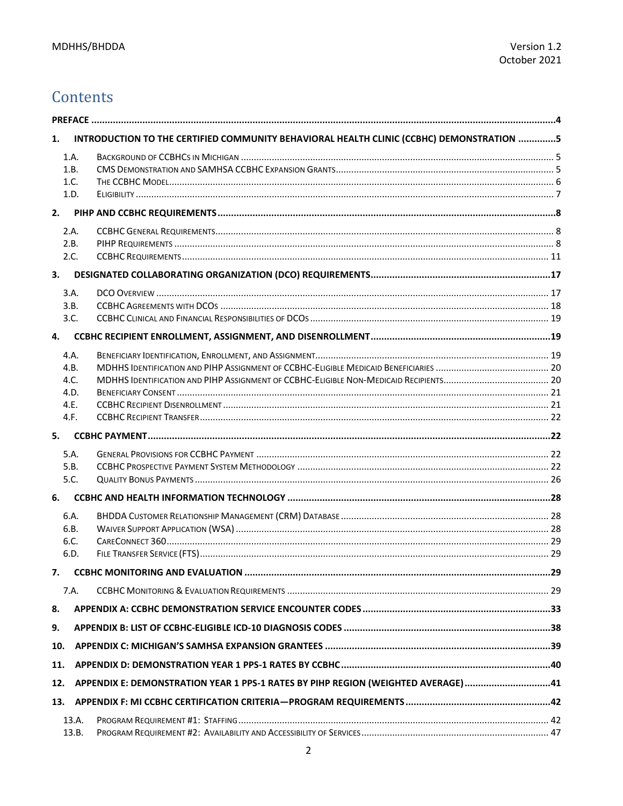# Contents

| 1.  |       | INTRODUCTION TO THE CERTIFIED COMMUNITY BEHAVIORAL HEALTH CLINIC (CCBHC) DEMONSTRATION 5 |  |
|-----|-------|------------------------------------------------------------------------------------------|--|
|     | 1.A.  |                                                                                          |  |
|     | 1.B.  |                                                                                          |  |
|     | 1.C.  |                                                                                          |  |
|     | 1.D.  |                                                                                          |  |
| 2.  |       |                                                                                          |  |
|     | 2.A.  |                                                                                          |  |
|     | 2.B.  |                                                                                          |  |
|     | 2.C.  |                                                                                          |  |
| 3.  |       |                                                                                          |  |
|     | 3.A.  |                                                                                          |  |
|     | 3.B.  |                                                                                          |  |
|     | 3.C.  |                                                                                          |  |
| 4.  |       |                                                                                          |  |
|     | 4.A.  |                                                                                          |  |
|     | 4.B.  |                                                                                          |  |
|     | 4.C.  |                                                                                          |  |
|     | 4.D.  |                                                                                          |  |
|     | 4.E.  |                                                                                          |  |
|     | 4.F.  |                                                                                          |  |
| 5.  |       |                                                                                          |  |
|     | 5.A.  |                                                                                          |  |
|     | 5.B.  |                                                                                          |  |
|     | 5.C.  |                                                                                          |  |
| 6.  |       |                                                                                          |  |
|     | 6.A.  |                                                                                          |  |
|     | 6.B.  |                                                                                          |  |
|     | 6.C.  |                                                                                          |  |
|     | 6.D.  |                                                                                          |  |
|     |       |                                                                                          |  |
|     | 7.A.  |                                                                                          |  |
| 8.  |       |                                                                                          |  |
| 9.  |       |                                                                                          |  |
| 10. |       |                                                                                          |  |
| 11. |       |                                                                                          |  |
| 12. |       | APPENDIX E: DEMONSTRATION YEAR 1 PPS-1 RATES BY PIHP REGION (WEIGHTED AVERAGE)41         |  |
| 13. |       |                                                                                          |  |
|     | 13.A. |                                                                                          |  |
|     | 13.B. |                                                                                          |  |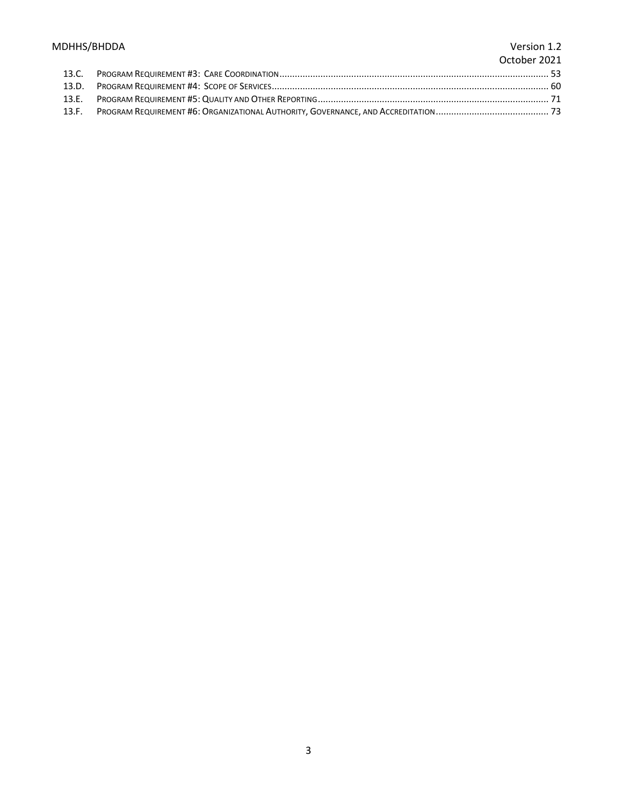# MDHHS/BHDDA Version 1.2

# October 2021

| 13.C. |  |
|-------|--|
|       |  |
| 13.E. |  |
| 13.F. |  |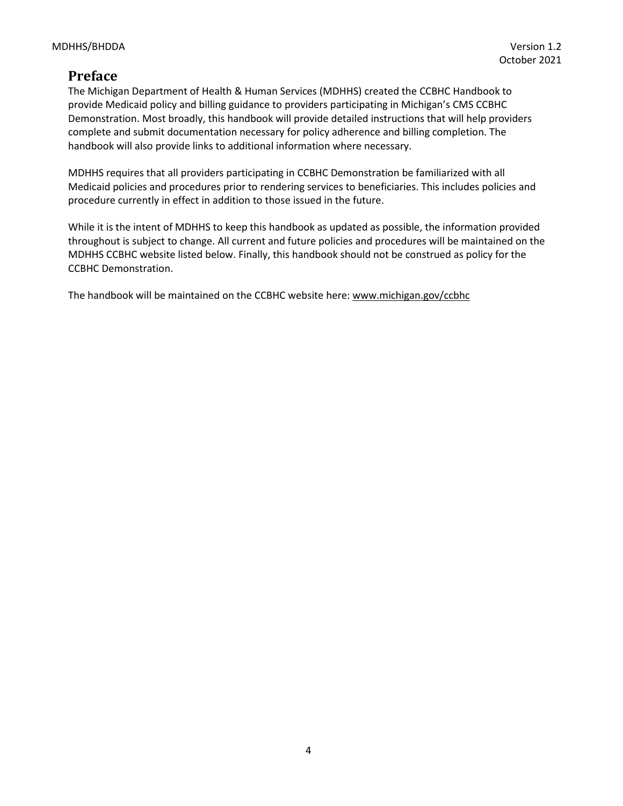# <span id="page-3-0"></span>**Preface**

The Michigan Department of Health & Human Services (MDHHS) created the CCBHC Handbook to provide Medicaid policy and billing guidance to providers participating in Michigan's CMS CCBHC Demonstration. Most broadly, this handbook will provide detailed instructions that will help providers complete and submit documentation necessary for policy adherence and billing completion. The handbook will also provide links to additional information where necessary.

MDHHS requires that all providers participating in CCBHC Demonstration be familiarized with all Medicaid policies and procedures prior to rendering services to beneficiaries. This includes policies and procedure currently in effect in addition to those issued in the future.

While it is the intent of MDHHS to keep this handbook as updated as possible, the information provided throughout is subject to change. All current and future policies and procedures will be maintained on the MDHHS CCBHC website listed below. Finally, this handbook should not be construed as policy for the CCBHC Demonstration.

The handbook will be maintained on the CCBHC website here[: www.michigan.gov/ccbhc](http://www.michigan.gov/ccbhc)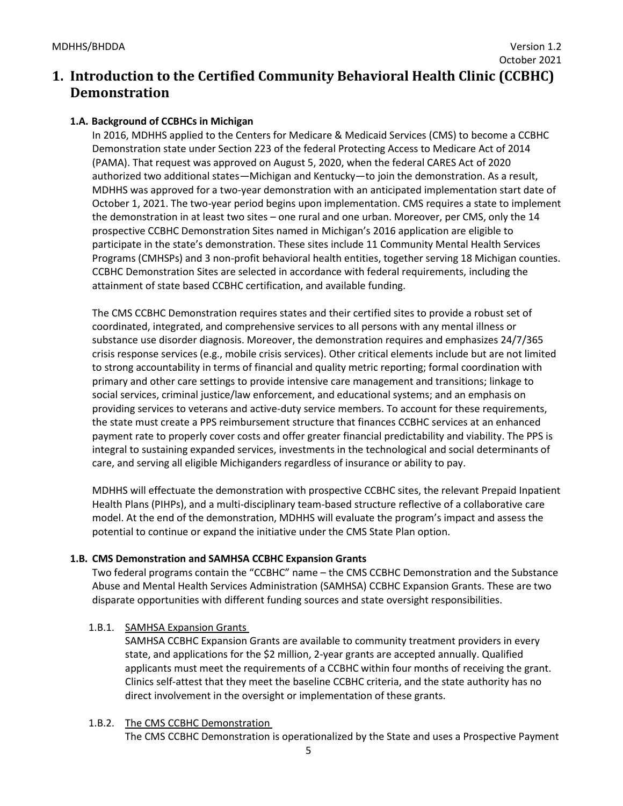# <span id="page-4-0"></span>**1. Introduction to the Certified Community Behavioral Health Clinic (CCBHC) Demonstration**

# <span id="page-4-1"></span>**1.A. Background of CCBHCs in Michigan**

In 2016, MDHHS applied to the Centers for Medicare & Medicaid Services (CMS) to become a CCBHC Demonstration state under Section 223 of the federal Protecting Access to Medicare Act of 2014 (PAMA). That request was approved on August 5, 2020, when the federal CARES Act of 2020 authorized two additional states—Michigan and Kentucky—to join the demonstration. As a result, MDHHS was approved for a two-year demonstration with an anticipated implementation start date of October 1, 2021. The two-year period begins upon implementation. CMS requires a state to implement the demonstration in at least two sites – one rural and one urban. Moreover, per CMS, only the 14 prospective CCBHC Demonstration Sites named in Michigan's 2016 application are eligible to participate in the state's demonstration. These sites include 11 Community Mental Health Services Programs (CMHSPs) and 3 non-profit behavioral health entities, together serving 18 Michigan counties. CCBHC Demonstration Sites are selected in accordance with federal requirements, including the attainment of state based CCBHC certification, and available funding.

The CMS CCBHC Demonstration requires states and their certified sites to provide a robust set of coordinated, integrated, and comprehensive services to all persons with any mental illness or substance use disorder diagnosis. Moreover, the demonstration requires and emphasizes 24/7/365 crisis response services (e.g., mobile crisis services). Other critical elements include but are not limited to strong accountability in terms of financial and quality metric reporting; formal coordination with primary and other care settings to provide intensive care management and transitions; linkage to social services, criminal justice/law enforcement, and educational systems; and an emphasis on providing services to veterans and active-duty service members. To account for these requirements, the state must create a PPS reimbursement structure that finances CCBHC services at an enhanced payment rate to properly cover costs and offer greater financial predictability and viability. The PPS is integral to sustaining expanded services, investments in the technological and social determinants of care, and serving all eligible Michiganders regardless of insurance or ability to pay.

MDHHS will effectuate the demonstration with prospective CCBHC sites, the relevant Prepaid Inpatient Health Plans (PIHPs), and a multi-disciplinary team-based structure reflective of a collaborative care model. At the end of the demonstration, MDHHS will evaluate the program's impact and assess the potential to continue or expand the initiative under the CMS State Plan option.

# <span id="page-4-2"></span>**1.B. CMS Demonstration and SAMHSA CCBHC Expansion Grants**

Two federal programs contain the "CCBHC" name – the CMS CCBHC Demonstration and the Substance Abuse and Mental Health Services Administration (SAMHSA) CCBHC Expansion Grants. These are two disparate opportunities with different funding sources and state oversight responsibilities.

# 1.B.1. SAMHSA Expansion Grants

SAMHSA CCBHC Expansion Grants are available to community treatment providers in every state, and applications for the \$2 million, 2-year grants are accepted annually. Qualified applicants must meet the requirements of a CCBHC within four months of receiving the grant. Clinics self-attest that they meet the baseline CCBHC criteria, and the state authority has no direct involvement in the oversight or implementation of these grants.

# 1.B.2. The CMS CCBHC Demonstration

The CMS CCBHC Demonstration is operationalized by the State and uses a Prospective Payment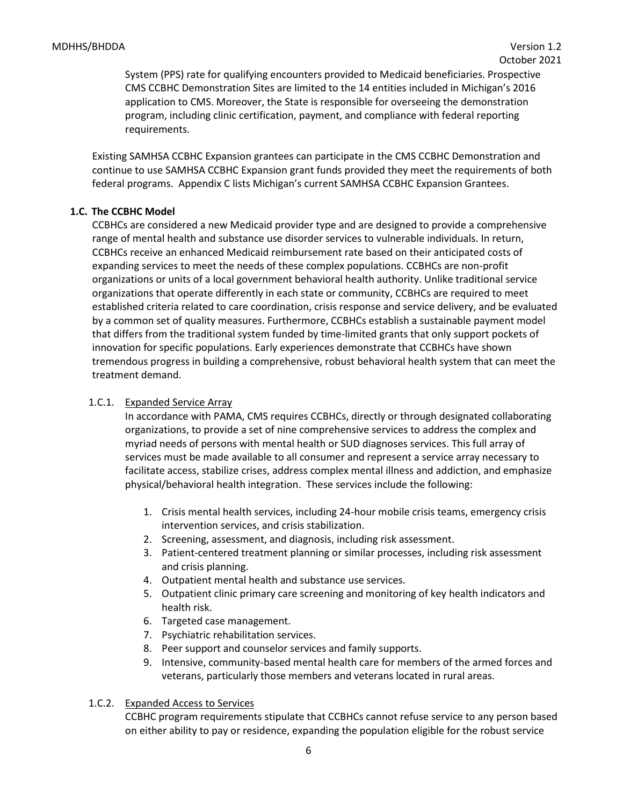System (PPS) rate for qualifying encounters provided to Medicaid beneficiaries. Prospective CMS CCBHC Demonstration Sites are limited to the 14 entities included in Michigan's 2016 application to CMS. Moreover, the State is responsible for overseeing the demonstration program, including clinic certification, payment, and compliance with federal reporting requirements.

Existing SAMHSA CCBHC Expansion grantees can participate in the CMS CCBHC Demonstration and continue to use SAMHSA CCBHC Expansion grant funds provided they meet the requirements of both federal programs. Appendix C lists Michigan's current SAMHSA CCBHC Expansion Grantees.

## <span id="page-5-0"></span>**1.C. The CCBHC Model**

CCBHCs are considered a new Medicaid provider type and are designed to provide a comprehensive range of mental health and substance use disorder services to vulnerable individuals. In return, CCBHCs receive an enhanced Medicaid reimbursement rate based on their anticipated costs of expanding services to meet the needs of these complex populations. CCBHCs are non-profit organizations or units of a local government behavioral health authority. Unlike traditional service organizations that operate differently in each state or community, CCBHCs are required to meet established criteria related to care coordination, crisis response and service delivery, and be evaluated by a common set of quality measures. Furthermore, CCBHCs establish a sustainable payment model that differs from the traditional system funded by time-limited grants that only support pockets of innovation for specific populations. Early experiences demonstrate that CCBHCs have shown tremendous progress in building a comprehensive, robust behavioral health system that can meet the treatment demand.

## 1.C.1. Expanded Service Array

In accordance with PAMA, CMS requires CCBHCs, directly or through designated collaborating organizations, to provide a set of nine comprehensive services to address the complex and myriad needs of persons with mental health or SUD diagnoses services. This full array of services must be made available to all consumer and represent a service array necessary to facilitate access, stabilize crises, address complex mental illness and addiction, and emphasize physical/behavioral health integration. These services include the following:

- 1. Crisis mental health services, including 24-hour mobile crisis teams, emergency crisis intervention services, and crisis stabilization.
- 2. Screening, assessment, and diagnosis, including risk assessment.
- 3. Patient-centered treatment planning or similar processes, including risk assessment and crisis planning.
- 4. Outpatient mental health and substance use services.
- 5. Outpatient clinic primary care screening and monitoring of key health indicators and health risk.
- 6. Targeted case management.
- 7. Psychiatric rehabilitation services.
- 8. Peer support and counselor services and family supports.
- 9. Intensive, community-based mental health care for members of the armed forces and veterans, particularly those members and veterans located in rural areas.

#### 1.C.2. Expanded Access to Services

CCBHC program requirements stipulate that CCBHCs cannot refuse service to any person based on either ability to pay or residence, expanding the population eligible for the robust service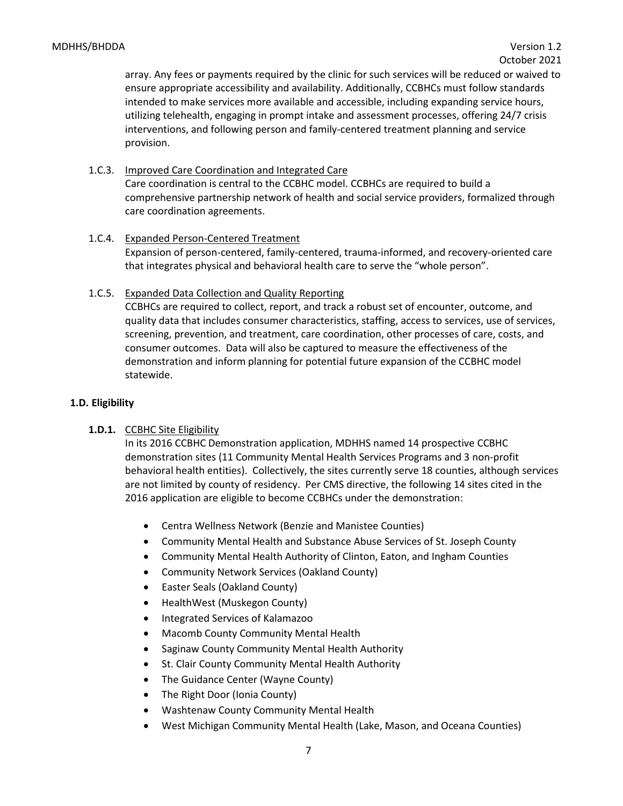array. Any fees or payments required by the clinic for such services will be reduced or waived to ensure appropriate accessibility and availability. Additionally, CCBHCs must follow standards intended to make services more available and accessible, including expanding service hours, utilizing telehealth, engaging in prompt intake and assessment processes, offering 24/7 crisis interventions, and following person and family-centered treatment planning and service provision.

1.C.3. Improved Care Coordination and Integrated Care

Care coordination is central to the CCBHC model. CCBHCs are required to build a comprehensive partnership network of health and social service providers, formalized through care coordination agreements.

- 1.C.4. Expanded Person-Centered Treatment Expansion of person-centered, family-centered, trauma-informed, and recovery-oriented care that integrates physical and behavioral health care to serve the "whole person".
- 1.C.5. Expanded Data Collection and Quality Reporting

CCBHCs are required to collect, report, and track a robust set of encounter, outcome, and quality data that includes consumer characteristics, staffing, access to services, use of services, screening, prevention, and treatment, care coordination, other processes of care, costs, and consumer outcomes. Data will also be captured to measure the effectiveness of the demonstration and inform planning for potential future expansion of the CCBHC model statewide.

## <span id="page-6-0"></span>**1.D. Eligibility**

# **1.D.1.** CCBHC Site Eligibility

In its 2016 CCBHC Demonstration application, MDHHS named 14 prospective CCBHC demonstration sites (11 Community Mental Health Services Programs and 3 non-profit behavioral health entities). Collectively, the sites currently serve 18 counties, although services are not limited by county of residency. Per CMS directive, the following 14 sites cited in the 2016 application are eligible to become CCBHCs under the demonstration:

- Centra Wellness Network (Benzie and Manistee Counties)
- Community Mental Health and Substance Abuse Services of St. Joseph County
- Community Mental Health Authority of Clinton, Eaton, and Ingham Counties
- Community Network Services (Oakland County)
- Easter Seals (Oakland County)
- HealthWest (Muskegon County)
- Integrated Services of Kalamazoo
- Macomb County Community Mental Health
- Saginaw County Community Mental Health Authority
- St. Clair County Community Mental Health Authority
- The Guidance Center (Wayne County)
- The Right Door (Ionia County)
- Washtenaw County Community Mental Health
- West Michigan Community Mental Health (Lake, Mason, and Oceana Counties)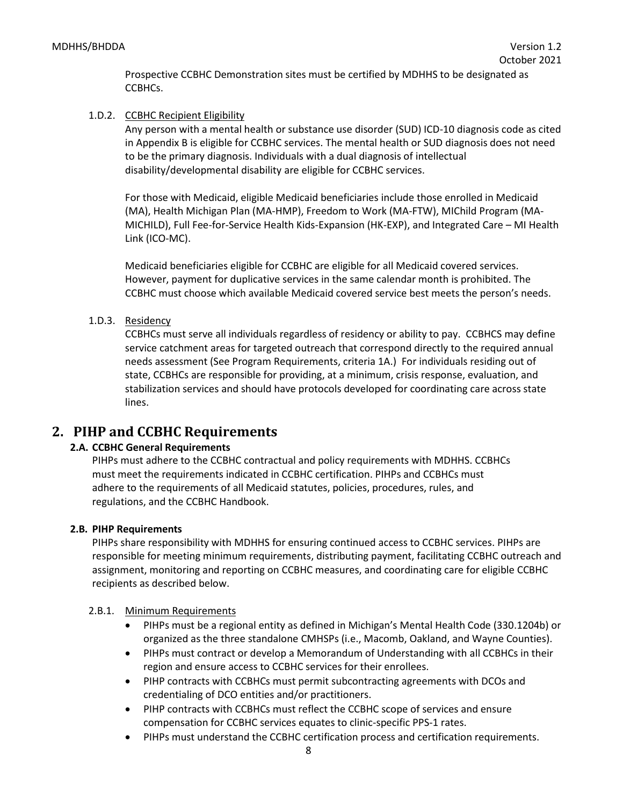Prospective CCBHC Demonstration sites must be certified by MDHHS to be designated as CCBHCs.

# 1.D.2. CCBHC Recipient Eligibility

Any person with a mental health or substance use disorder (SUD) ICD-10 diagnosis code as cited in Appendix B is eligible for CCBHC services. The mental health or SUD diagnosis does not need to be the primary diagnosis. Individuals with a dual diagnosis of intellectual disability/developmental disability are eligible for CCBHC services.

For those with Medicaid, eligible Medicaid beneficiaries include those enrolled in Medicaid (MA), Health Michigan Plan (MA-HMP), Freedom to Work (MA-FTW), MIChild Program (MA-MICHILD), Full Fee-for-Service Health Kids-Expansion (HK-EXP), and Integrated Care – MI Health Link (ICO-MC).

Medicaid beneficiaries eligible for CCBHC are eligible for all Medicaid covered services. However, payment for duplicative services in the same calendar month is prohibited. The CCBHC must choose which available Medicaid covered service best meets the person's needs.

# 1.D.3. Residency

CCBHCs must serve all individuals regardless of residency or ability to pay. CCBHCS may define service catchment areas for targeted outreach that correspond directly to the required annual needs assessment (See Program Requirements, criteria 1A.) For individuals residing out of state, CCBHCs are responsible for providing, at a minimum, crisis response, evaluation, and stabilization services and should have protocols developed for coordinating care across state lines.

# <span id="page-7-1"></span>**2. PIHP and CCBHC Requirements**

# <span id="page-7-0"></span>**2.A. CCBHC General Requirements**

PIHPs must adhere to the CCBHC contractual and policy requirements with MDHHS. CCBHCs must meet the requirements indicated in CCBHC certification. PIHPs and CCBHCs must adhere to the requirements of all Medicaid statutes, policies, procedures, rules, and regulations, and the CCBHC Handbook.

# <span id="page-7-2"></span>**2.B. PIHP Requirements**

PIHPs share responsibility with MDHHS for ensuring continued access to CCBHC services. PIHPs are responsible for meeting minimum requirements, distributing payment, facilitating CCBHC outreach and assignment, monitoring and reporting on CCBHC measures, and coordinating care for eligible CCBHC recipients as described below.

# 2.B.1. Minimum Requirements

- PIHPs must be a regional entity as defined in Michigan's Mental Health Code (330.1204b) or organized as the three standalone CMHSPs (i.e., Macomb, Oakland, and Wayne Counties).
- PIHPs must contract or develop a Memorandum of Understanding with all CCBHCs in their region and ensure access to CCBHC services for their enrollees.
- PIHP contracts with CCBHCs must permit subcontracting agreements with DCOs and credentialing of DCO entities and/or practitioners.
- PIHP contracts with CCBHCs must reflect the CCBHC scope of services and ensure compensation for CCBHC services equates to clinic-specific PPS-1 rates.
- PIHPs must understand the CCBHC certification process and certification requirements.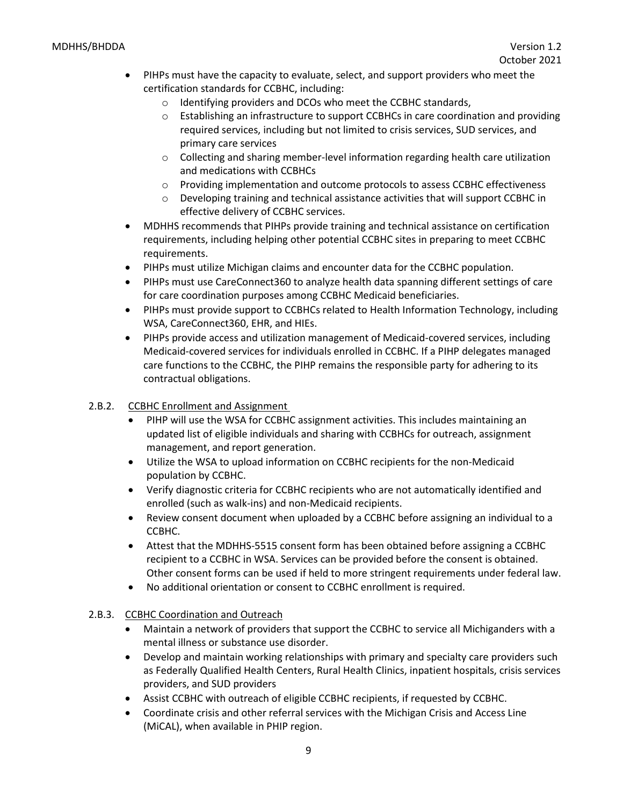#### MDHHS/BHDDA Version 1.2

- PIHPs must have the capacity to evaluate, select, and support providers who meet the certification standards for CCBHC, including:
	- o Identifying providers and DCOs who meet the CCBHC standards,
	- o Establishing an infrastructure to support CCBHCs in care coordination and providing required services, including but not limited to crisis services, SUD services, and primary care services
	- $\circ$  Collecting and sharing member-level information regarding health care utilization and medications with CCBHCs
	- o Providing implementation and outcome protocols to assess CCBHC effectiveness
	- $\circ$  Developing training and technical assistance activities that will support CCBHC in effective delivery of CCBHC services.
- MDHHS recommends that PIHPs provide training and technical assistance on certification requirements, including helping other potential CCBHC sites in preparing to meet CCBHC requirements.
- PIHPs must utilize Michigan claims and encounter data for the CCBHC population.
- PIHPs must use CareConnect360 to analyze health data spanning different settings of care for care coordination purposes among CCBHC Medicaid beneficiaries.
- PIHPs must provide support to CCBHCs related to Health Information Technology, including WSA, CareConnect360, EHR, and HIEs.
- PIHPs provide access and utilization management of Medicaid-covered services, including Medicaid-covered services for individuals enrolled in CCBHC. If a PIHP delegates managed care functions to the CCBHC, the PIHP remains the responsible party for adhering to its contractual obligations.
- 2.B.2. CCBHC Enrollment and Assignment
	- PIHP will use the WSA for CCBHC assignment activities. This includes maintaining an updated list of eligible individuals and sharing with CCBHCs for outreach, assignment management, and report generation.
	- Utilize the WSA to upload information on CCBHC recipients for the non-Medicaid population by CCBHC.
	- Verify diagnostic criteria for CCBHC recipients who are not automatically identified and enrolled (such as walk-ins) and non-Medicaid recipients.
	- Review consent document when uploaded by a CCBHC before assigning an individual to a CCBHC.
	- Attest that the MDHHS-5515 consent form has been obtained before assigning a CCBHC recipient to a CCBHC in WSA. Services can be provided before the consent is obtained. Other consent forms can be used if held to more stringent requirements under federal law.
	- No additional orientation or consent to CCBHC enrollment is required.
- 2.B.3. CCBHC Coordination and Outreach
	- Maintain a network of providers that support the CCBHC to service all Michiganders with a mental illness or substance use disorder.
	- Develop and maintain working relationships with primary and specialty care providers such as Federally Qualified Health Centers, Rural Health Clinics, inpatient hospitals, crisis services providers, and SUD providers
	- Assist CCBHC with outreach of eligible CCBHC recipients, if requested by CCBHC.
	- Coordinate crisis and other referral services with the Michigan Crisis and Access Line (MiCAL), when available in PHIP region.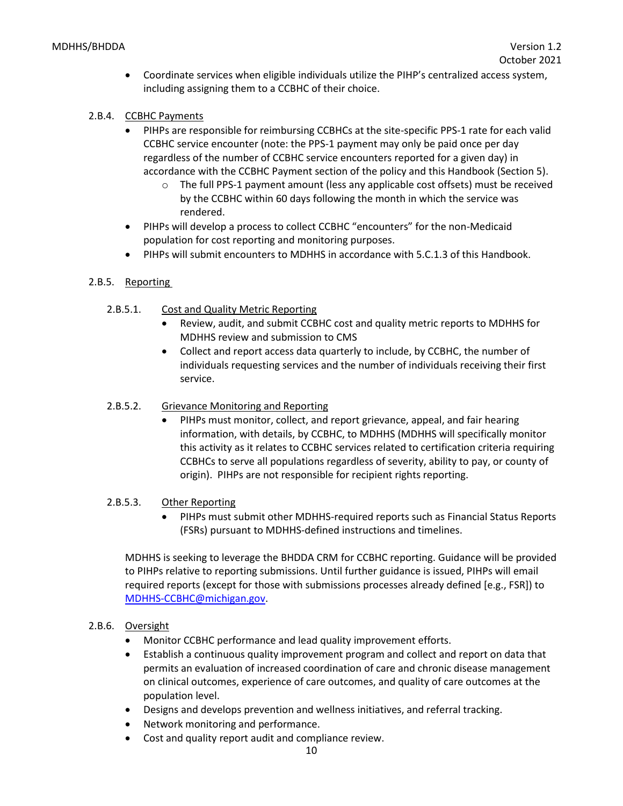- Coordinate services when eligible individuals utilize the PIHP's centralized access system, including assigning them to a CCBHC of their choice.
- 2.B.4. CCBHC Payments
	- PIHPs are responsible for reimbursing CCBHCs at the site-specific PPS-1 rate for each valid CCBHC service encounter (note: the PPS-1 payment may only be paid once per day regardless of the number of CCBHC service encounters reported for a given day) in accordance with the CCBHC Payment section of the policy and this Handbook (Section 5).
		- $\circ$  The full PPS-1 payment amount (less any applicable cost offsets) must be received by the CCBHC within 60 days following the month in which the service was rendered.
	- PIHPs will develop a process to collect CCBHC "encounters" for the non-Medicaid population for cost reporting and monitoring purposes.
	- PIHPs will submit encounters to MDHHS in accordance with 5.C.1.3 of this Handbook.

# 2.B.5. Reporting

- 2.B.5.1. Cost and Quality Metric Reporting
	- Review, audit, and submit CCBHC cost and quality metric reports to MDHHS for MDHHS review and submission to CMS
	- Collect and report access data quarterly to include, by CCBHC, the number of individuals requesting services and the number of individuals receiving their first service.
- 2.B.5.2. Grievance Monitoring and Reporting
	- PIHPs must monitor, collect, and report grievance, appeal, and fair hearing information, with details, by CCBHC, to MDHHS (MDHHS will specifically monitor this activity as it relates to CCBHC services related to certification criteria requiring CCBHCs to serve all populations regardless of severity, ability to pay, or county of origin). PIHPs are not responsible for recipient rights reporting.
- 2.B.5.3. Other Reporting
	- PIHPs must submit other MDHHS-required reports such as Financial Status Reports (FSRs) pursuant to MDHHS-defined instructions and timelines.

MDHHS is seeking to leverage the BHDDA CRM for CCBHC reporting. Guidance will be provided to PIHPs relative to reporting submissions. Until further guidance is issued, PIHPs will email required reports (except for those with submissions processes already defined [e.g., FSR]) to [MDHHS-CCBHC@michigan.gov.](mailto:MDHHS-CCBHC@michigan.gov)

# 2.B.6. Oversight

- Monitor CCBHC performance and lead quality improvement efforts.
- Establish a continuous quality improvement program and collect and report on data that permits an evaluation of increased coordination of care and chronic disease management on clinical outcomes, experience of care outcomes, and quality of care outcomes at the population level.
- Designs and develops prevention and wellness initiatives, and referral tracking.
- Network monitoring and performance.
- Cost and quality report audit and compliance review.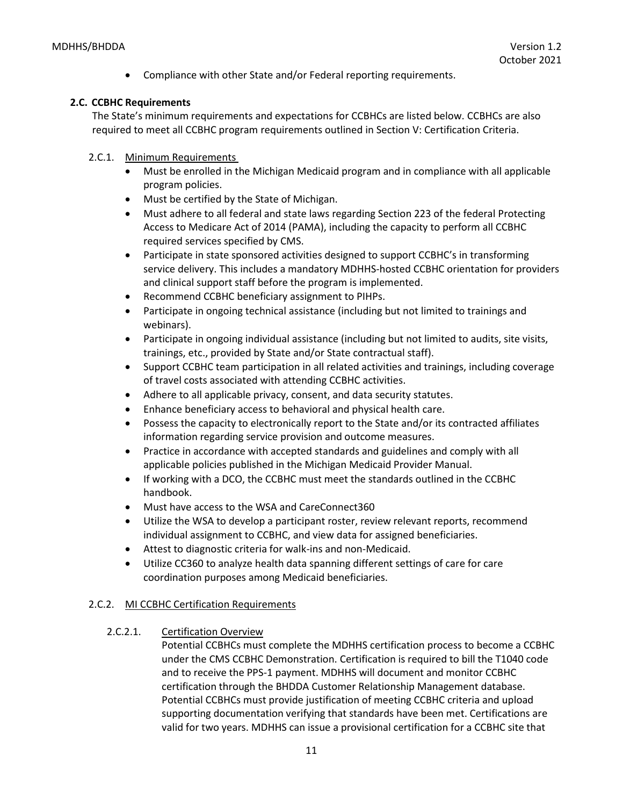• Compliance with other State and/or Federal reporting requirements.

#### <span id="page-10-0"></span>**2.C. CCBHC Requirements**

The State's minimum requirements and expectations for CCBHCs are listed below. CCBHCs are also required to meet all CCBHC program requirements outlined in Section V: Certification Criteria.

- 2.C.1. Minimum Requirements
	- Must be enrolled in the Michigan Medicaid program and in compliance with all applicable program policies.
	- Must be certified by the State of Michigan.
	- Must adhere to all federal and state laws regarding Section 223 of the federal Protecting Access to Medicare Act of 2014 (PAMA), including the capacity to perform all CCBHC required services specified by CMS.
	- Participate in state sponsored activities designed to support CCBHC's in transforming service delivery. This includes a mandatory MDHHS-hosted CCBHC orientation for providers and clinical support staff before the program is implemented.
	- Recommend CCBHC beneficiary assignment to PIHPs.
	- Participate in ongoing technical assistance (including but not limited to trainings and webinars).
	- Participate in ongoing individual assistance (including but not limited to audits, site visits, trainings, etc., provided by State and/or State contractual staff).
	- Support CCBHC team participation in all related activities and trainings, including coverage of travel costs associated with attending CCBHC activities.
	- Adhere to all applicable privacy, consent, and data security statutes.
	- Enhance beneficiary access to behavioral and physical health care.
	- Possess the capacity to electronically report to the State and/or its contracted affiliates information regarding service provision and outcome measures.
	- Practice in accordance with accepted standards and guidelines and comply with all applicable policies published in the Michigan Medicaid Provider Manual.
	- If working with a DCO, the CCBHC must meet the standards outlined in the CCBHC handbook.
	- Must have access to the WSA and CareConnect360
	- Utilize the WSA to develop a participant roster, review relevant reports, recommend individual assignment to CCBHC, and view data for assigned beneficiaries.
	- Attest to diagnostic criteria for walk-ins and non-Medicaid.
	- Utilize CC360 to analyze health data spanning different settings of care for care coordination purposes among Medicaid beneficiaries.

#### 2.C.2. MI CCBHC Certification Requirements

2.C.2.1. Certification Overview

Potential CCBHCs must complete the MDHHS certification process to become a CCBHC under the CMS CCBHC Demonstration. Certification is required to bill the T1040 code and to receive the PPS-1 payment. MDHHS will document and monitor CCBHC certification through the BHDDA Customer Relationship Management database. Potential CCBHCs must provide justification of meeting CCBHC criteria and upload supporting documentation verifying that standards have been met. Certifications are valid for two years. MDHHS can issue a provisional certification for a CCBHC site that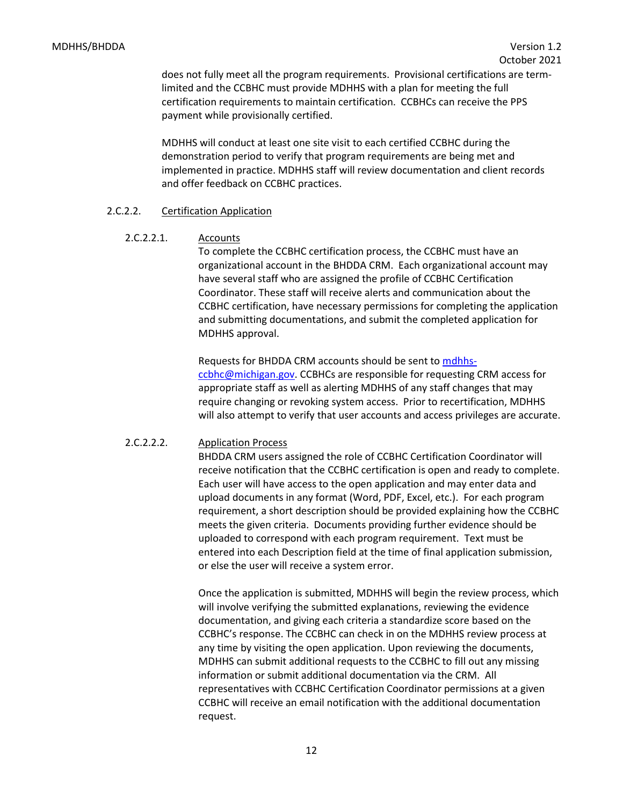does not fully meet all the program requirements. Provisional certifications are termlimited and the CCBHC must provide MDHHS with a plan for meeting the full certification requirements to maintain certification. CCBHCs can receive the PPS payment while provisionally certified.

MDHHS will conduct at least one site visit to each certified CCBHC during the demonstration period to verify that program requirements are being met and implemented in practice. MDHHS staff will review documentation and client records and offer feedback on CCBHC practices.

#### 2.C.2.2. Certification Application

2.C.2.2.1. Accounts

To complete the CCBHC certification process, the CCBHC must have an organizational account in the BHDDA CRM. Each organizational account may have several staff who are assigned the profile of CCBHC Certification Coordinator. These staff will receive alerts and communication about the CCBHC certification, have necessary permissions for completing the application and submitting documentations, and submit the completed application for MDHHS approval.

Requests for BHDDA CRM accounts should be sent to [mdhhs](mailto:mdhhs-ccbhc@michigan.gov)[ccbhc@michigan.gov.](mailto:mdhhs-ccbhc@michigan.gov) CCBHCs are responsible for requesting CRM access for appropriate staff as well as alerting MDHHS of any staff changes that may require changing or revoking system access. Prior to recertification, MDHHS will also attempt to verify that user accounts and access privileges are accurate.

#### 2.C.2.2.2. Application Process

BHDDA CRM users assigned the role of CCBHC Certification Coordinator will receive notification that the CCBHC certification is open and ready to complete. Each user will have access to the open application and may enter data and upload documents in any format (Word, PDF, Excel, etc.). For each program requirement, a short description should be provided explaining how the CCBHC meets the given criteria. Documents providing further evidence should be uploaded to correspond with each program requirement. Text must be entered into each Description field at the time of final application submission, or else the user will receive a system error.

Once the application is submitted, MDHHS will begin the review process, which will involve verifying the submitted explanations, reviewing the evidence documentation, and giving each criteria a standardize score based on the CCBHC's response. The CCBHC can check in on the MDHHS review process at any time by visiting the open application. Upon reviewing the documents, MDHHS can submit additional requests to the CCBHC to fill out any missing information or submit additional documentation via the CRM. All representatives with CCBHC Certification Coordinator permissions at a given CCBHC will receive an email notification with the additional documentation request.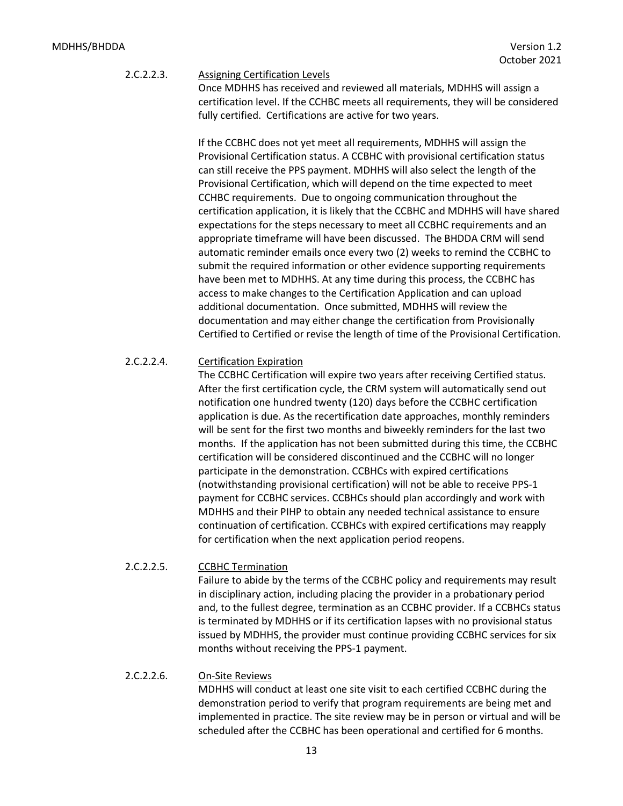# 2.C.2.2.3. Assigning Certification Levels

Once MDHHS has received and reviewed all materials, MDHHS will assign a certification level. If the CCHBC meets all requirements, they will be considered fully certified. Certifications are active for two years.

If the CCBHC does not yet meet all requirements, MDHHS will assign the Provisional Certification status. A CCBHC with provisional certification status can still receive the PPS payment. MDHHS will also select the length of the Provisional Certification, which will depend on the time expected to meet CCHBC requirements. Due to ongoing communication throughout the certification application, it is likely that the CCBHC and MDHHS will have shared expectations for the steps necessary to meet all CCBHC requirements and an appropriate timeframe will have been discussed. The BHDDA CRM will send automatic reminder emails once every two (2) weeks to remind the CCBHC to submit the required information or other evidence supporting requirements have been met to MDHHS. At any time during this process, the CCBHC has access to make changes to the Certification Application and can upload additional documentation. Once submitted, MDHHS will review the documentation and may either change the certification from Provisionally Certified to Certified or revise the length of time of the Provisional Certification.

#### 2.C.2.2.4. Certification Expiration

The CCBHC Certification will expire two years after receiving Certified status. After the first certification cycle, the CRM system will automatically send out notification one hundred twenty (120) days before the CCBHC certification application is due. As the recertification date approaches, monthly reminders will be sent for the first two months and biweekly reminders for the last two months. If the application has not been submitted during this time, the CCBHC certification will be considered discontinued and the CCBHC will no longer participate in the demonstration. CCBHCs with expired certifications (notwithstanding provisional certification) will not be able to receive PPS-1 payment for CCBHC services. CCBHCs should plan accordingly and work with MDHHS and their PIHP to obtain any needed technical assistance to ensure continuation of certification. CCBHCs with expired certifications may reapply for certification when the next application period reopens.

#### 2.C.2.2.5. CCBHC Termination

Failure to abide by the terms of the CCBHC policy and requirements may result in disciplinary action, including placing the provider in a probationary period and, to the fullest degree, termination as an CCBHC provider. If a CCBHCs status is terminated by MDHHS or if its certification lapses with no provisional status issued by MDHHS, the provider must continue providing CCBHC services for six months without receiving the PPS-1 payment.

#### 2.C.2.2.6. On-Site Reviews

MDHHS will conduct at least one site visit to each certified CCBHC during the demonstration period to verify that program requirements are being met and implemented in practice. The site review may be in person or virtual and will be scheduled after the CCBHC has been operational and certified for 6 months.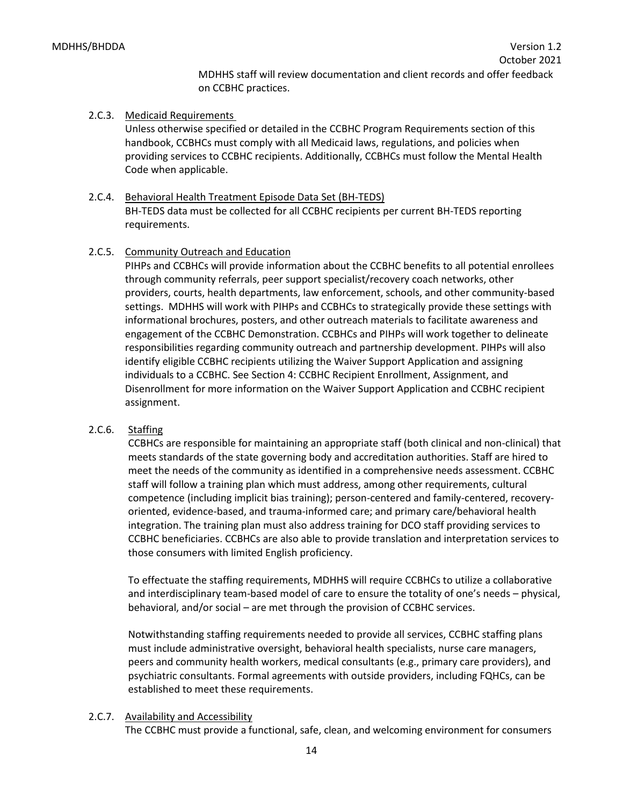MDHHS staff will review documentation and client records and offer feedback on CCBHC practices.

#### 2.C.3. Medicaid Requirements

Unless otherwise specified or detailed in the CCBHC Program Requirements section of this handbook, CCBHCs must comply with all Medicaid laws, regulations, and policies when providing services to CCBHC recipients. Additionally, CCBHCs must follow the Mental Health Code when applicable.

# 2.C.4. Behavioral Health Treatment Episode Data Set (BH-TEDS)

BH-TEDS data must be collected for all CCBHC recipients per current BH-TEDS reporting requirements.

## 2.C.5. Community Outreach and Education

PIHPs and CCBHCs will provide information about the CCBHC benefits to all potential enrollees through community referrals, peer support specialist/recovery coach networks, other providers, courts, health departments, law enforcement, schools, and other community-based settings. MDHHS will work with PIHPs and CCBHCs to strategically provide these settings with informational brochures, posters, and other outreach materials to facilitate awareness and engagement of the CCBHC Demonstration. CCBHCs and PIHPs will work together to delineate responsibilities regarding community outreach and partnership development. PIHPs will also identify eligible CCBHC recipients utilizing the Waiver Support Application and assigning individuals to a CCBHC. See Section 4: CCBHC Recipient Enrollment, Assignment, and Disenrollment for more information on the Waiver Support Application and CCBHC recipient assignment.

# 2.C.6. Staffing

CCBHCs are responsible for maintaining an appropriate staff (both clinical and non-clinical) that meets standards of the state governing body and accreditation authorities. Staff are hired to meet the needs of the community as identified in a comprehensive needs assessment. CCBHC staff will follow a training plan which must address, among other requirements, cultural competence (including implicit bias training); person-centered and family-centered, recoveryoriented, evidence-based, and trauma-informed care; and primary care/behavioral health integration. The training plan must also address training for DCO staff providing services to CCBHC beneficiaries. CCBHCs are also able to provide translation and interpretation services to those consumers with limited English proficiency.

To effectuate the staffing requirements, MDHHS will require CCBHCs to utilize a collaborative and interdisciplinary team-based model of care to ensure the totality of one's needs – physical, behavioral, and/or social – are met through the provision of CCBHC services.

Notwithstanding staffing requirements needed to provide all services, CCBHC staffing plans must include administrative oversight, behavioral health specialists, nurse care managers, peers and community health workers, medical consultants (e.g., primary care providers), and psychiatric consultants. Formal agreements with outside providers, including FQHCs, can be established to meet these requirements.

# 2.C.7. Availability and Accessibility

The CCBHC must provide a functional, safe, clean, and welcoming environment for consumers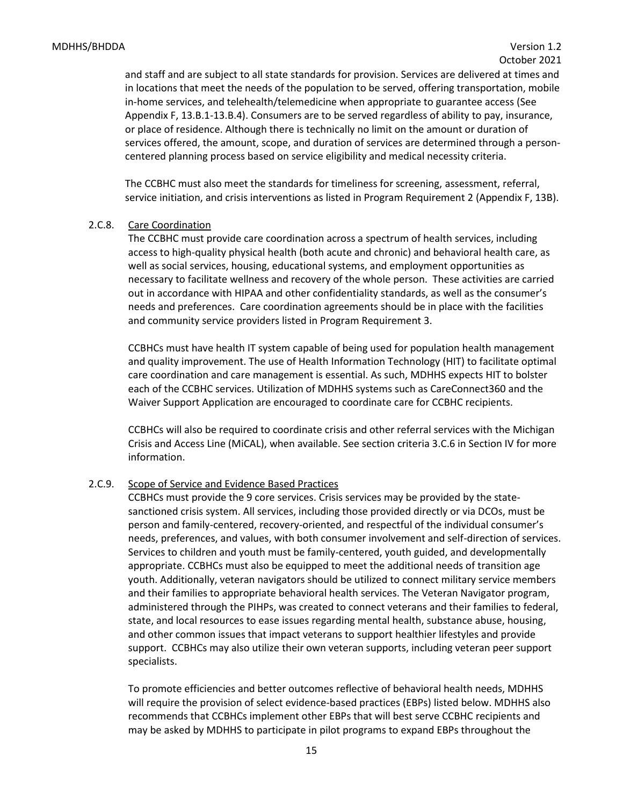and staff and are subject to all state standards for provision. Services are delivered at times and in locations that meet the needs of the population to be served, offering transportation, mobile in-home services, and telehealth/telemedicine when appropriate to guarantee access (See Appendix F, 13.B.1-13.B.4). Consumers are to be served regardless of ability to pay, insurance, or place of residence. Although there is technically no limit on the amount or duration of services offered, the amount, scope, and duration of services are determined through a personcentered planning process based on service eligibility and medical necessity criteria.

The CCBHC must also meet the standards for timeliness for screening, assessment, referral, service initiation, and crisis interventions as listed in Program Requirement 2 (Appendix F, 13B).

#### 2.C.8. Care Coordination

The CCBHC must provide care coordination across a spectrum of health services, including access to high-quality physical health (both acute and chronic) and behavioral health care, as well as social services, housing, educational systems, and employment opportunities as necessary to facilitate wellness and recovery of the whole person. These activities are carried out in accordance with HIPAA and other confidentiality standards, as well as the consumer's needs and preferences. Care coordination agreements should be in place with the facilities and community service providers listed in Program Requirement 3.

CCBHCs must have health IT system capable of being used for population health management and quality improvement. The use of Health Information Technology (HIT) to facilitate optimal care coordination and care management is essential. As such, MDHHS expects HIT to bolster each of the CCBHC services. Utilization of MDHHS systems such as CareConnect360 and the Waiver Support Application are encouraged to coordinate care for CCBHC recipients.

CCBHCs will also be required to coordinate crisis and other referral services with the Michigan Crisis and Access Line (MiCAL), when available. See section criteria 3.C.6 in Section IV for more information.

#### 2.C.9. Scope of Service and Evidence Based Practices

CCBHCs must provide the 9 core services. Crisis services may be provided by the statesanctioned crisis system. All services, including those provided directly or via DCOs, must be person and family-centered, recovery-oriented, and respectful of the individual consumer's needs, preferences, and values, with both consumer involvement and self-direction of services. Services to children and youth must be family-centered, youth guided, and developmentally appropriate. CCBHCs must also be equipped to meet the additional needs of transition age youth. Additionally, veteran navigators should be utilized to connect military service members and their families to appropriate behavioral health services. The Veteran Navigator program, administered through the PIHPs, was created to connect veterans and their families to federal, state, and local resources to ease issues regarding mental health, substance abuse, housing, and other common issues that impact veterans to support healthier lifestyles and provide support. CCBHCs may also utilize their own veteran supports, including veteran peer support specialists.

To promote efficiencies and better outcomes reflective of behavioral health needs, MDHHS will require the provision of select evidence-based practices (EBPs) listed below. MDHHS also recommends that CCBHCs implement other EBPs that will best serve CCBHC recipients and may be asked by MDHHS to participate in pilot programs to expand EBPs throughout the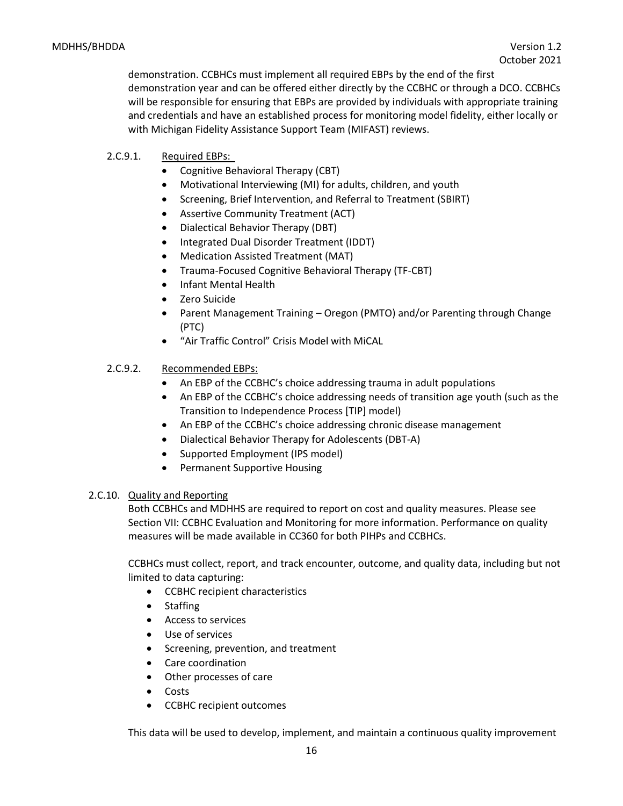demonstration. CCBHCs must implement all required EBPs by the end of the first demonstration year and can be offered either directly by the CCBHC or through a DCO. CCBHCs will be responsible for ensuring that EBPs are provided by individuals with appropriate training and credentials and have an established process for monitoring model fidelity, either locally or with Michigan Fidelity Assistance Support Team (MIFAST) reviews.

## 2.C.9.1. Required EBPs:

- Cognitive Behavioral Therapy (CBT)
- Motivational Interviewing (MI) for adults, children, and youth
- Screening, Brief Intervention, and Referral to Treatment (SBIRT)
- Assertive Community Treatment (ACT)
- Dialectical Behavior Therapy (DBT)
- Integrated Dual Disorder Treatment (IDDT)
- Medication Assisted Treatment (MAT)
- Trauma-Focused Cognitive Behavioral Therapy (TF-CBT)
- Infant Mental Health
- Zero Suicide
- Parent Management Training Oregon (PMTO) and/or Parenting through Change (PTC)
- "Air Traffic Control" Crisis Model with MiCAL

#### 2.C.9.2. Recommended EBPs:

- An EBP of the CCBHC's choice addressing trauma in adult populations
- An EBP of the CCBHC's choice addressing needs of transition age youth (such as the Transition to Independence Process [TIP] model)
- An EBP of the CCBHC's choice addressing chronic disease management
- Dialectical Behavior Therapy for Adolescents (DBT-A)
- Supported Employment (IPS model)
- Permanent Supportive Housing

#### 2.C.10. Quality and Reporting

Both CCBHCs and MDHHS are required to report on cost and quality measures. Please see Section VII: CCBHC Evaluation and Monitoring for more information. Performance on quality measures will be made available in CC360 for both PIHPs and CCBHCs.

CCBHCs must collect, report, and track encounter, outcome, and quality data, including but not limited to data capturing:

- CCBHC recipient characteristics
- Staffing
- Access to services
- Use of services
- Screening, prevention, and treatment
- Care coordination
- Other processes of care
- Costs
- CCBHC recipient outcomes

This data will be used to develop, implement, and maintain a continuous quality improvement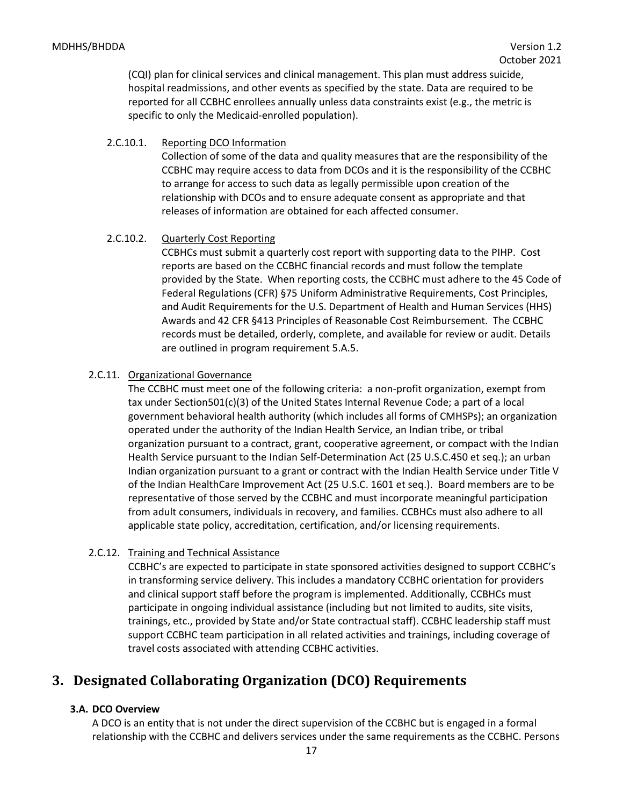(CQI) plan for clinical services and clinical management. This plan must address suicide, hospital readmissions, and other events as specified by the state. Data are required to be reported for all CCBHC enrollees annually unless data constraints exist (e.g., the metric is specific to only the Medicaid-enrolled population).

#### 2.C.10.1. Reporting DCO Information

Collection of some of the data and quality measures that are the responsibility of the CCBHC may require access to data from DCOs and it is the responsibility of the CCBHC to arrange for access to such data as legally permissible upon creation of the relationship with DCOs and to ensure adequate consent as appropriate and that releases of information are obtained for each affected consumer.

#### 2.C.10.2. Quarterly Cost Reporting

CCBHCs must submit a quarterly cost report with supporting data to the PIHP. Cost reports are based on the CCBHC financial records and must follow the template provided by the State. When reporting costs, the CCBHC must adhere to the 45 Code of Federal Regulations (CFR) §75 Uniform Administrative Requirements, Cost Principles, and Audit Requirements for the U.S. Department of Health and Human Services (HHS) Awards and 42 CFR §413 Principles of Reasonable Cost Reimbursement. The CCBHC records must be detailed, orderly, complete, and available for review or audit. Details are outlined in program requirement 5.A.5.

#### 2.C.11. Organizational Governance

The CCBHC must meet one of the following criteria: a non-profit organization, exempt from tax under Section501(c)(3) of the United States Internal Revenue Code; a part of a local government behavioral health authority (which includes all forms of CMHSPs); an organization operated under the authority of the Indian Health Service, an Indian tribe, or tribal organization pursuant to a contract, grant, cooperative agreement, or compact with the Indian Health Service pursuant to the Indian Self-Determination Act (25 U.S.C.450 et seq.); an urban Indian organization pursuant to a grant or contract with the Indian Health Service under Title V of the Indian HealthCare Improvement Act (25 U.S.C. 1601 et seq.). Board members are to be representative of those served by the CCBHC and must incorporate meaningful participation from adult consumers, individuals in recovery, and families. CCBHCs must also adhere to all applicable state policy, accreditation, certification, and/or licensing requirements.

#### 2.C.12. Training and Technical Assistance

CCBHC's are expected to participate in state sponsored activities designed to support CCBHC's in transforming service delivery. This includes a mandatory CCBHC orientation for providers and clinical support staff before the program is implemented. Additionally, CCBHCs must participate in ongoing individual assistance (including but not limited to audits, site visits, trainings, etc., provided by State and/or State contractual staff). CCBHC leadership staff must support CCBHC team participation in all related activities and trainings, including coverage of travel costs associated with attending CCBHC activities.

# <span id="page-16-0"></span>**3. Designated Collaborating Organization (DCO) Requirements**

#### <span id="page-16-1"></span>**3.A. DCO Overview**

A DCO is an entity that is not under the direct supervision of the CCBHC but is engaged in a formal relationship with the CCBHC and delivers services under the same requirements as the CCBHC. Persons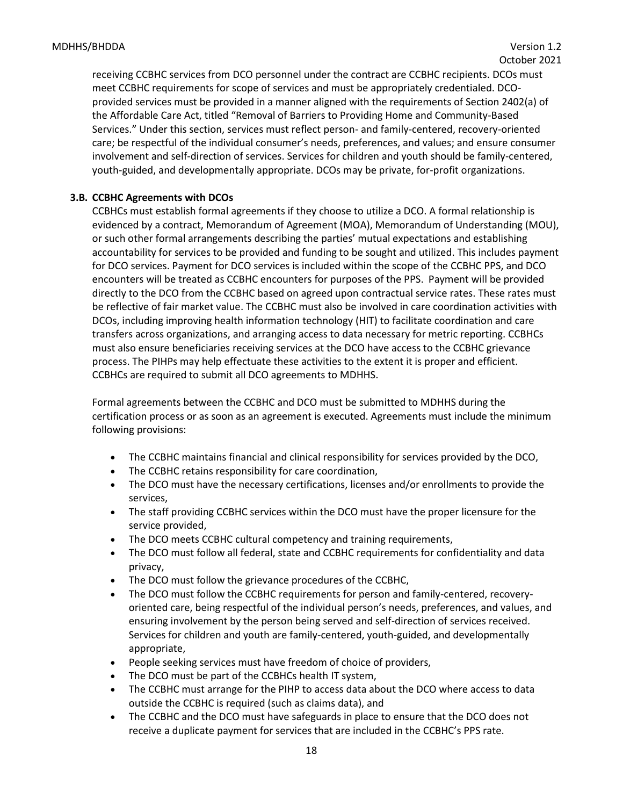receiving CCBHC services from DCO personnel under the contract are CCBHC recipients. DCOs must meet CCBHC requirements for scope of services and must be appropriately credentialed. DCOprovided services must be provided in a manner aligned with the requirements of Section 2402(a) of the Affordable Care Act, titled "Removal of Barriers to Providing Home and Community-Based Services." Under this section, services must reflect person- and family-centered, recovery-oriented care; be respectful of the individual consumer's needs, preferences, and values; and ensure consumer involvement and self-direction of services. Services for children and youth should be family-centered, youth-guided, and developmentally appropriate. DCOs may be private, for-profit organizations.

#### <span id="page-17-0"></span>**3.B. CCBHC Agreements with DCOs**

CCBHCs must establish formal agreements if they choose to utilize a DCO. A formal relationship is evidenced by a contract, Memorandum of Agreement (MOA), Memorandum of Understanding (MOU), or such other formal arrangements describing the parties' mutual expectations and establishing accountability for services to be provided and funding to be sought and utilized. This includes payment for DCO services. Payment for DCO services is included within the scope of the CCBHC PPS, and DCO encounters will be treated as CCBHC encounters for purposes of the PPS. Payment will be provided directly to the DCO from the CCBHC based on agreed upon contractual service rates. These rates must be reflective of fair market value. The CCBHC must also be involved in care coordination activities with DCOs, including improving health information technology (HIT) to facilitate coordination and care transfers across organizations, and arranging access to data necessary for metric reporting. CCBHCs must also ensure beneficiaries receiving services at the DCO have access to the CCBHC grievance process. The PIHPs may help effectuate these activities to the extent it is proper and efficient. CCBHCs are required to submit all DCO agreements to MDHHS.

Formal agreements between the CCBHC and DCO must be submitted to MDHHS during the certification process or as soon as an agreement is executed. Agreements must include the minimum following provisions:

- The CCBHC maintains financial and clinical responsibility for services provided by the DCO,
- The CCBHC retains responsibility for care coordination,
- The DCO must have the necessary certifications, licenses and/or enrollments to provide the services,
- The staff providing CCBHC services within the DCO must have the proper licensure for the service provided,
- The DCO meets CCBHC cultural competency and training requirements,
- The DCO must follow all federal, state and CCBHC requirements for confidentiality and data privacy,
- The DCO must follow the grievance procedures of the CCBHC,
- The DCO must follow the CCBHC requirements for person and family-centered, recoveryoriented care, being respectful of the individual person's needs, preferences, and values, and ensuring involvement by the person being served and self-direction of services received. Services for children and youth are family-centered, youth-guided, and developmentally appropriate,
- People seeking services must have freedom of choice of providers,
- The DCO must be part of the CCBHCs health IT system,
- The CCBHC must arrange for the PIHP to access data about the DCO where access to data outside the CCBHC is required (such as claims data), and
- The CCBHC and the DCO must have safeguards in place to ensure that the DCO does not receive a duplicate payment for services that are included in the CCBHC's PPS rate.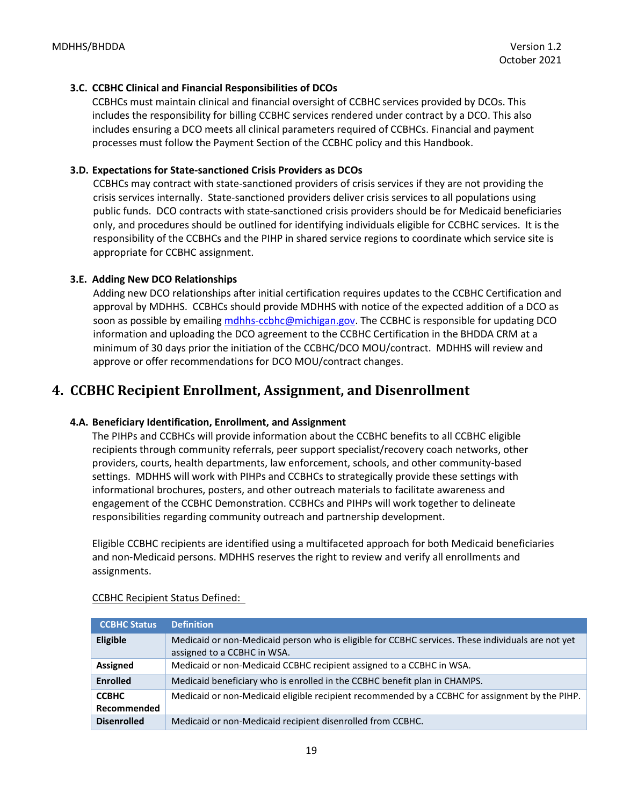#### <span id="page-18-0"></span>**3.C. CCBHC Clinical and Financial Responsibilities of DCOs**

CCBHCs must maintain clinical and financial oversight of CCBHC services provided by DCOs. This includes the responsibility for billing CCBHC services rendered under contract by a DCO. This also includes ensuring a DCO meets all clinical parameters required of CCBHCs. Financial and payment processes must follow the Payment Section of the CCBHC policy and this Handbook.

#### **3.D. Expectations for State-sanctioned Crisis Providers as DCOs**

CCBHCs may contract with state-sanctioned providers of crisis services if they are not providing the crisis services internally. State-sanctioned providers deliver crisis services to all populations using public funds. DCO contracts with state-sanctioned crisis providers should be for Medicaid beneficiaries only, and procedures should be outlined for identifying individuals eligible for CCBHC services. It is the responsibility of the CCBHCs and the PIHP in shared service regions to coordinate which service site is appropriate for CCBHC assignment.

## **3.E. Adding New DCO Relationships**

Adding new DCO relationships after initial certification requires updates to the CCBHC Certification and approval by MDHHS. CCBHCs should provide MDHHS with notice of the expected addition of a DCO as soon as possible by emailin[g mdhhs-ccbhc@michigan.gov.](mailto:mdhhs-ccbhc@michigan.gov) The CCBHC is responsible for updating DCO information and uploading the DCO agreement to the CCBHC Certification in the BHDDA CRM at a minimum of 30 days prior the initiation of the CCBHC/DCO MOU/contract. MDHHS will review and approve or offer recommendations for DCO MOU/contract changes.

# <span id="page-18-1"></span>**4. CCBHC Recipient Enrollment, Assignment, and Disenrollment**

#### <span id="page-18-2"></span>**4.A. Beneficiary Identification, Enrollment, and Assignment**

The PIHPs and CCBHCs will provide information about the CCBHC benefits to all CCBHC eligible recipients through community referrals, peer support specialist/recovery coach networks, other providers, courts, health departments, law enforcement, schools, and other community-based settings. MDHHS will work with PIHPs and CCBHCs to strategically provide these settings with informational brochures, posters, and other outreach materials to facilitate awareness and engagement of the CCBHC Demonstration. CCBHCs and PIHPs will work together to delineate responsibilities regarding community outreach and partnership development.

Eligible CCBHC recipients are identified using a multifaceted approach for both Medicaid beneficiaries and non-Medicaid persons. MDHHS reserves the right to review and verify all enrollments and assignments.

| <b>CCBHC Status</b>         | <b>Definition</b>                                                                                                                |
|-----------------------------|----------------------------------------------------------------------------------------------------------------------------------|
| Eligible                    | Medicaid or non-Medicaid person who is eligible for CCBHC services. These individuals are not yet<br>assigned to a CCBHC in WSA. |
| <b>Assigned</b>             | Medicaid or non-Medicaid CCBHC recipient assigned to a CCBHC in WSA.                                                             |
| <b>Enrolled</b>             | Medicaid beneficiary who is enrolled in the CCBHC benefit plan in CHAMPS.                                                        |
| <b>CCBHC</b><br>Recommended | Medicaid or non-Medicaid eligible recipient recommended by a CCBHC for assignment by the PIHP.                                   |
| <b>Disenrolled</b>          | Medicaid or non-Medicaid recipient disenrolled from CCBHC.                                                                       |

#### CCBHC Recipient Status Defined: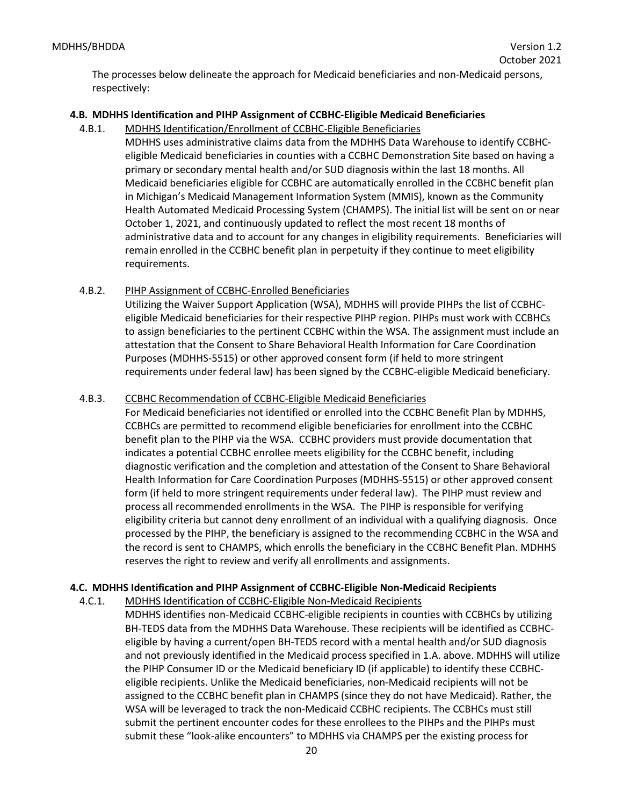The processes below delineate the approach for Medicaid beneficiaries and non-Medicaid persons, respectively:

# <span id="page-19-0"></span>**4.B. MDHHS Identification and PIHP Assignment of CCBHC-Eligible Medicaid Beneficiaries**

- 4.B.1. MDHHS Identification/Enrollment of CCBHC-Eligible Beneficiaries
	- MDHHS uses administrative claims data from the MDHHS Data Warehouse to identify CCBHCeligible Medicaid beneficiaries in counties with a CCBHC Demonstration Site based on having a primary or secondary mental health and/or SUD diagnosis within the last 18 months. All Medicaid beneficiaries eligible for CCBHC are automatically enrolled in the CCBHC benefit plan in Michigan's Medicaid Management Information System (MMIS), known as the Community Health Automated Medicaid Processing System (CHAMPS). The initial list will be sent on or near October 1, 2021, and continuously updated to reflect the most recent 18 months of administrative data and to account for any changes in eligibility requirements. Beneficiaries will remain enrolled in the CCBHC benefit plan in perpetuity if they continue to meet eligibility requirements.
- 4.B.2. PIHP Assignment of CCBHC-Enrolled Beneficiaries

Utilizing the Waiver Support Application (WSA), MDHHS will provide PIHPs the list of CCBHCeligible Medicaid beneficiaries for their respective PIHP region. PIHPs must work with CCBHCs to assign beneficiaries to the pertinent CCBHC within the WSA. The assignment must include an attestation that the Consent to Share Behavioral Health Information for Care Coordination Purposes (MDHHS-5515) or other approved consent form (if held to more stringent requirements under federal law) has been signed by the CCBHC-eligible Medicaid beneficiary.

# 4.B.3. CCBHC Recommendation of CCBHC-Eligible Medicaid Beneficiaries

For Medicaid beneficiaries not identified or enrolled into the CCBHC Benefit Plan by MDHHS, CCBHCs are permitted to recommend eligible beneficiaries for enrollment into the CCBHC benefit plan to the PIHP via the WSA. CCBHC providers must provide documentation that indicates a potential CCBHC enrollee meets eligibility for the CCBHC benefit, including diagnostic verification and the completion and attestation of the Consent to Share Behavioral Health Information for Care Coordination Purposes (MDHHS-5515) or other approved consent form (if held to more stringent requirements under federal law). The PIHP must review and process all recommended enrollments in the WSA. The PIHP is responsible for verifying eligibility criteria but cannot deny enrollment of an individual with a qualifying diagnosis. Once processed by the PIHP, the beneficiary is assigned to the recommending CCBHC in the WSA and the record is sent to CHAMPS, which enrolls the beneficiary in the CCBHC Benefit Plan. MDHHS reserves the right to review and verify all enrollments and assignments.

# <span id="page-19-1"></span>**4.C. MDHHS Identification and PIHP Assignment of CCBHC-Eligible Non-Medicaid Recipients**

4.C.1. MDHHS Identification of CCBHC-Eligible Non-Medicaid Recipients

MDHHS identifies non-Medicaid CCBHC-eligible recipients in counties with CCBHCs by utilizing BH-TEDS data from the MDHHS Data Warehouse. These recipients will be identified as CCBHCeligible by having a current/open BH-TEDS record with a mental health and/or SUD diagnosis and not previously identified in the Medicaid process specified in 1.A. above. MDHHS will utilize the PIHP Consumer ID or the Medicaid beneficiary ID (if applicable) to identify these CCBHCeligible recipients. Unlike the Medicaid beneficiaries, non-Medicaid recipients will not be assigned to the CCBHC benefit plan in CHAMPS (since they do not have Medicaid). Rather, the WSA will be leveraged to track the non-Medicaid CCBHC recipients. The CCBHCs must still submit the pertinent encounter codes for these enrollees to the PIHPs and the PIHPs must submit these "look-alike encounters" to MDHHS via CHAMPS per the existing process for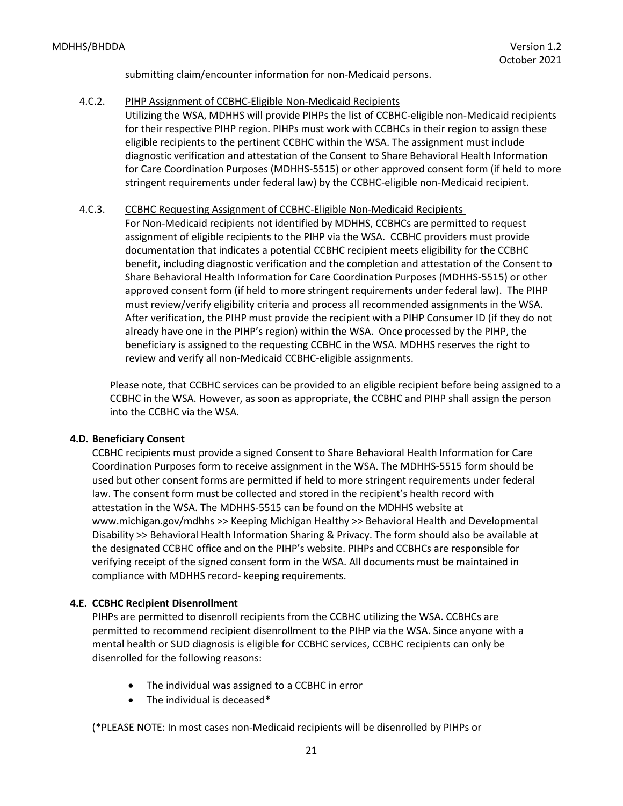submitting claim/encounter information for non-Medicaid persons.

#### 4.C.2. PIHP Assignment of CCBHC-Eligible Non-Medicaid Recipients

Utilizing the WSA, MDHHS will provide PIHPs the list of CCBHC-eligible non-Medicaid recipients for their respective PIHP region. PIHPs must work with CCBHCs in their region to assign these eligible recipients to the pertinent CCBHC within the WSA. The assignment must include diagnostic verification and attestation of the Consent to Share Behavioral Health Information for Care Coordination Purposes (MDHHS-5515) or other approved consent form (if held to more stringent requirements under federal law) by the CCBHC-eligible non-Medicaid recipient.

#### 4.C.3. CCBHC Requesting Assignment of CCBHC-Eligible Non-Medicaid Recipients

For Non-Medicaid recipients not identified by MDHHS, CCBHCs are permitted to request assignment of eligible recipients to the PIHP via the WSA. CCBHC providers must provide documentation that indicates a potential CCBHC recipient meets eligibility for the CCBHC benefit, including diagnostic verification and the completion and attestation of the Consent to Share Behavioral Health Information for Care Coordination Purposes (MDHHS-5515) or other approved consent form (if held to more stringent requirements under federal law). The PIHP must review/verify eligibility criteria and process all recommended assignments in the WSA. After verification, the PIHP must provide the recipient with a PIHP Consumer ID (if they do not already have one in the PIHP's region) within the WSA. Once processed by the PIHP, the beneficiary is assigned to the requesting CCBHC in the WSA. MDHHS reserves the right to review and verify all non-Medicaid CCBHC-eligible assignments.

Please note, that CCBHC services can be provided to an eligible recipient before being assigned to a CCBHC in the WSA. However, as soon as appropriate, the CCBHC and PIHP shall assign the person into the CCBHC via the WSA.

#### <span id="page-20-0"></span>**4.D. Beneficiary Consent**

CCBHC recipients must provide a signed Consent to Share Behavioral Health Information for Care Coordination Purposes form to receive assignment in the WSA. The MDHHS-5515 form should be used but other consent forms are permitted if held to more stringent requirements under federal law. The consent form must be collected and stored in the recipient's health record with attestation in the WSA. The MDHHS-5515 can be found on the MDHHS website at www.michigan.gov/mdhhs >> Keeping Michigan Healthy >> Behavioral Health and Developmental Disability >> Behavioral Health Information Sharing & Privacy. The form should also be available at the designated CCBHC office and on the PIHP's website. PIHPs and CCBHCs are responsible for verifying receipt of the signed consent form in the WSA. All documents must be maintained in compliance with MDHHS record- keeping requirements.

#### <span id="page-20-1"></span>**4.E. CCBHC Recipient Disenrollment**

PIHPs are permitted to disenroll recipients from the CCBHC utilizing the WSA. CCBHCs are permitted to recommend recipient disenrollment to the PIHP via the WSA. Since anyone with a mental health or SUD diagnosis is eligible for CCBHC services, CCBHC recipients can only be disenrolled for the following reasons:

- The individual was assigned to a CCBHC in error
- The individual is deceased\*

(\*PLEASE NOTE: In most cases non-Medicaid recipients will be disenrolled by PIHPs or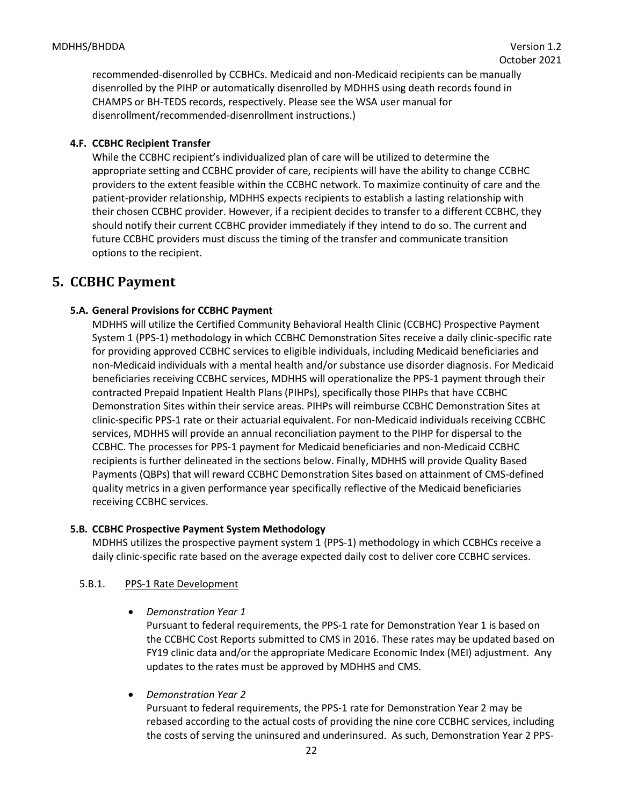recommended-disenrolled by CCBHCs. Medicaid and non-Medicaid recipients can be manually disenrolled by the PIHP or automatically disenrolled by MDHHS using death records found in CHAMPS or BH-TEDS records, respectively. Please see the WSA user manual for disenrollment/recommended-disenrollment instructions.)

## <span id="page-21-0"></span>**4.F. CCBHC Recipient Transfer**

While the CCBHC recipient's individualized plan of care will be utilized to determine the appropriate setting and CCBHC provider of care, recipients will have the ability to change CCBHC providers to the extent feasible within the CCBHC network. To maximize continuity of care and the patient-provider relationship, MDHHS expects recipients to establish a lasting relationship with their chosen CCBHC provider. However, if a recipient decides to transfer to a different CCBHC, they should notify their current CCBHC provider immediately if they intend to do so. The current and future CCBHC providers must discuss the timing of the transfer and communicate transition options to the recipient.

# <span id="page-21-1"></span>**5. CCBHC Payment**

## <span id="page-21-2"></span>**5.A. General Provisions for CCBHC Payment**

MDHHS will utilize the Certified Community Behavioral Health Clinic (CCBHC) Prospective Payment System 1 (PPS-1) methodology in which CCBHC Demonstration Sites receive a daily clinic-specific rate for providing approved CCBHC services to eligible individuals, including Medicaid beneficiaries and non-Medicaid individuals with a mental health and/or substance use disorder diagnosis. For Medicaid beneficiaries receiving CCBHC services, MDHHS will operationalize the PPS-1 payment through their contracted Prepaid Inpatient Health Plans (PIHPs), specifically those PIHPs that have CCBHC Demonstration Sites within their service areas. PIHPs will reimburse CCBHC Demonstration Sites at clinic-specific PPS-1 rate or their actuarial equivalent. For non-Medicaid individuals receiving CCBHC services, MDHHS will provide an annual reconciliation payment to the PIHP for dispersal to the CCBHC. The processes for PPS-1 payment for Medicaid beneficiaries and non-Medicaid CCBHC recipients is further delineated in the sections below. Finally, MDHHS will provide Quality Based Payments (QBPs) that will reward CCBHC Demonstration Sites based on attainment of CMS-defined quality metrics in a given performance year specifically reflective of the Medicaid beneficiaries receiving CCBHC services.

#### <span id="page-21-3"></span>**5.B. CCBHC Prospective Payment System Methodology**

MDHHS utilizes the prospective payment system 1 (PPS-1) methodology in which CCBHCs receive a daily clinic-specific rate based on the average expected daily cost to deliver core CCBHC services.

#### 5.B.1. PPS-1 Rate Development

#### • *Demonstration Year 1*

Pursuant to federal requirements, the PPS-1 rate for Demonstration Year 1 is based on the CCBHC Cost Reports submitted to CMS in 2016. These rates may be updated based on FY19 clinic data and/or the appropriate Medicare Economic Index (MEI) adjustment. Any updates to the rates must be approved by MDHHS and CMS.

• *Demonstration Year 2*

Pursuant to federal requirements, the PPS-1 rate for Demonstration Year 2 may be rebased according to the actual costs of providing the nine core CCBHC services, including the costs of serving the uninsured and underinsured. As such, Demonstration Year 2 PPS-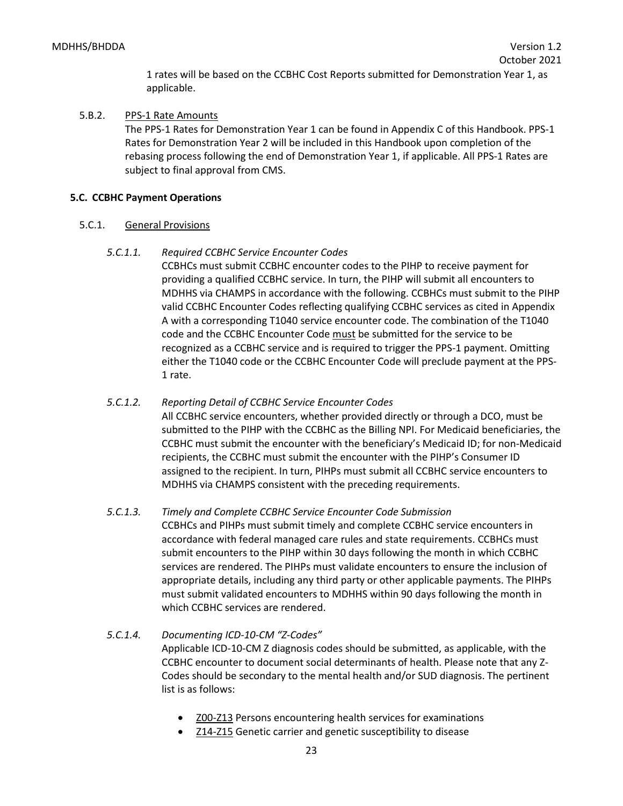1 rates will be based on the CCBHC Cost Reports submitted for Demonstration Year 1, as applicable.

#### 5.B.2. PPS-1 Rate Amounts

The PPS-1 Rates for Demonstration Year 1 can be found in Appendix C of this Handbook. PPS-1 Rates for Demonstration Year 2 will be included in this Handbook upon completion of the rebasing process following the end of Demonstration Year 1, if applicable. All PPS-1 Rates are subject to final approval from CMS.

## **5.C. CCBHC Payment Operations**

## 5.C.1. General Provisions

## *5.C.1.1. Required CCBHC Service Encounter Codes*

CCBHCs must submit CCBHC encounter codes to the PIHP to receive payment for providing a qualified CCBHC service. In turn, the PIHP will submit all encounters to MDHHS via CHAMPS in accordance with the following. CCBHCs must submit to the PIHP valid CCBHC Encounter Codes reflecting qualifying CCBHC services as cited in Appendix A with a corresponding T1040 service encounter code. The combination of the T1040 code and the CCBHC Encounter Code must be submitted for the service to be recognized as a CCBHC service and is required to trigger the PPS-1 payment. Omitting either the T1040 code or the CCBHC Encounter Code will preclude payment at the PPS-1 rate.

# *5.C.1.2. Reporting Detail of CCBHC Service Encounter Codes* All CCBHC service encounters, whether provided directly or through a DCO, must be submitted to the PIHP with the CCBHC as the Billing NPI. For Medicaid beneficiaries, the CCBHC must submit the encounter with the beneficiary's Medicaid ID; for non-Medicaid recipients, the CCBHC must submit the encounter with the PIHP's Consumer ID assigned to the recipient. In turn, PIHPs must submit all CCBHC service encounters to MDHHS via CHAMPS consistent with the preceding requirements.

# *5.C.1.3. Timely and Complete CCBHC Service Encounter Code Submission*

CCBHCs and PIHPs must submit timely and complete CCBHC service encounters in accordance with federal managed care rules and state requirements. CCBHCs must submit encounters to the PIHP within 30 days following the month in which CCBHC services are rendered. The PIHPs must validate encounters to ensure the inclusion of appropriate details, including any third party or other applicable payments. The PIHPs must submit validated encounters to MDHHS within 90 days following the month in which CCBHC services are rendered.

# *5.C.1.4. Documenting ICD-10-CM "Z-Codes"*

Applicable ICD-10-CM Z diagnosis codes should be submitted, as applicable, with the CCBHC encounter to document social determinants of health. Please note that any Z-Codes should be secondary to the mental health and/or SUD diagnosis. The pertinent list is as follows:

- **[Z00-Z13](https://www.icd10data.com/ICD10CM/Codes/Z00-Z99/Z00-Z13)** Persons encountering health services for examinations
- [Z14-Z15](https://www.icd10data.com/ICD10CM/Codes/Z00-Z99/Z14-Z15) Genetic carrier and genetic susceptibility to disease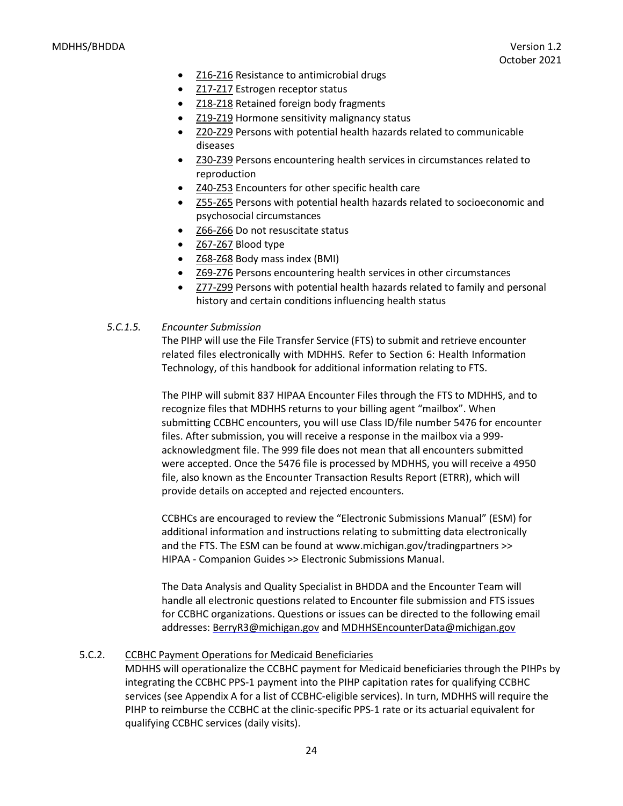- [Z16-Z16](https://www.icd10data.com/ICD10CM/Codes/Z00-Z99/Z16-Z16) Resistance to antimicrobial drugs
- [Z17-Z17](https://www.icd10data.com/ICD10CM/Codes/Z00-Z99/Z17-Z17) Estrogen receptor status
- [Z18-Z18](https://www.icd10data.com/ICD10CM/Codes/Z00-Z99/Z18-Z18) Retained foreign body fragments
- [Z19-Z19](https://www.icd10data.com/ICD10CM/Codes/Z00-Z99/Z19-Z19) Hormone sensitivity malignancy status
- **[Z20-Z29](https://www.icd10data.com/ICD10CM/Codes/Z00-Z99/Z20-Z29)** Persons with potential health hazards related to communicable diseases
- [Z30-Z39](https://www.icd10data.com/ICD10CM/Codes/Z00-Z99/Z30-Z39) Persons encountering health services in circumstances related to reproduction
- [Z40-Z53](https://www.icd10data.com/ICD10CM/Codes/Z00-Z99/Z40-Z53) Encounters for other specific health care
- [Z55-Z65](https://www.icd10data.com/ICD10CM/Codes/Z00-Z99/Z55-Z65) Persons with potential health hazards related to socioeconomic and psychosocial circumstances
- [Z66-Z66](https://www.icd10data.com/ICD10CM/Codes/Z00-Z99/Z66-Z66) Do not resuscitate status
- [Z67-Z67](https://www.icd10data.com/ICD10CM/Codes/Z00-Z99/Z67-Z67) Blood type
- [Z68-Z68](https://www.icd10data.com/ICD10CM/Codes/Z00-Z99/Z68-Z68) Body mass index (BMI)
- [Z69-Z76](https://www.icd10data.com/ICD10CM/Codes/Z00-Z99/Z69-Z76) Persons encountering health services in other circumstances
- [Z77-Z99](https://www.icd10data.com/ICD10CM/Codes/Z00-Z99/Z77-Z99) Persons with potential health hazards related to family and personal history and certain conditions influencing health status

#### *5.C.1.5. Encounter Submission*

The PIHP will use the File Transfer Service (FTS) to submit and retrieve encounter related files electronically with MDHHS. Refer to Section 6: Health Information Technology, of this handbook for additional information relating to FTS.

The PIHP will submit 837 HIPAA Encounter Files through the FTS to MDHHS, and to recognize files that MDHHS returns to your billing agent "mailbox". When submitting CCBHC encounters, you will use Class ID/file number 5476 for encounter files. After submission, you will receive a response in the mailbox via a 999 acknowledgment file. The 999 file does not mean that all encounters submitted were accepted. Once the 5476 file is processed by MDHHS, you will receive a 4950 file, also known as the Encounter Transaction Results Report (ETRR), which will provide details on accepted and rejected encounters.

CCBHCs are encouraged to review the "Electronic Submissions Manual" (ESM) for additional information and instructions relating to submitting data electronically and the FTS. The ESM can be found at [www.michigan.gov/tradingpartners >](http://www.michigan.gov/tradingpartners)> HIPAA - Companion Guides >> Electronic Submissions Manual.

The Data Analysis and Quality Specialist in BHDDA and the Encounter Team will handle all electronic questions related to Encounter file submission and FTS issues for CCBHC organizations. Questions or issues can be directed to the following email addresses: [BerryR3@michigan.gov](mailto:BerryR3@michigan.gov) an[d MDHHSEncounterData@michigan.gov](mailto:MDHHSEncounterData@michigan.gov)

#### 5.C.2. CCBHC Payment Operations for Medicaid Beneficiaries

MDHHS will operationalize the CCBHC payment for Medicaid beneficiaries through the PIHPs by integrating the CCBHC PPS-1 payment into the PIHP capitation rates for qualifying CCBHC services (see Appendix A for a list of CCBHC-eligible services). In turn, MDHHS will require the PIHP to reimburse the CCBHC at the clinic-specific PPS-1 rate or its actuarial equivalent for qualifying CCBHC services (daily visits).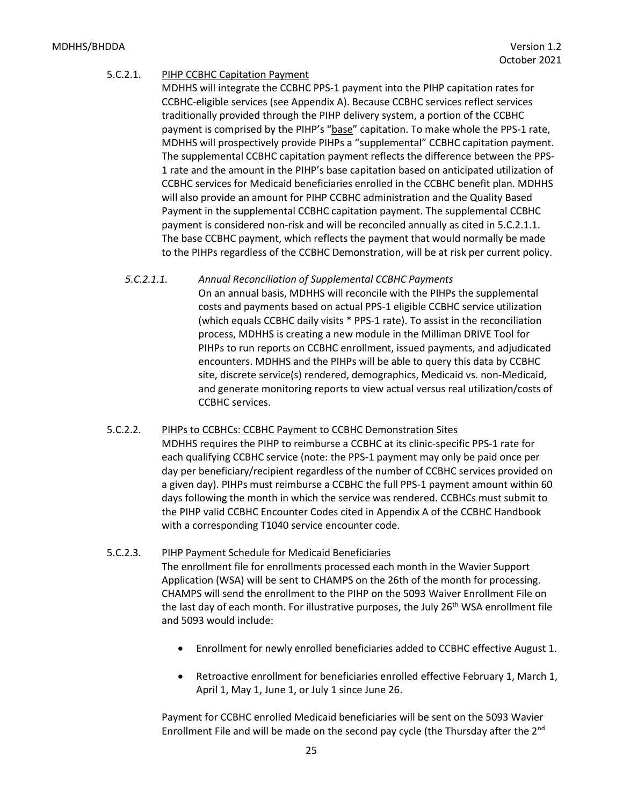#### MDHHS/BHDDA Version 1.2

#### 5.C.2.1. PIHP CCBHC Capitation Payment

MDHHS will integrate the CCBHC PPS-1 payment into the PIHP capitation rates for CCBHC-eligible services (see Appendix A). Because CCBHC services reflect services traditionally provided through the PIHP delivery system, a portion of the CCBHC payment is comprised by the PIHP's "base" capitation. To make whole the PPS-1 rate, MDHHS will prospectively provide PIHPs a "supplemental" CCBHC capitation payment. The supplemental CCBHC capitation payment reflects the difference between the PPS-1 rate and the amount in the PIHP's base capitation based on anticipated utilization of CCBHC services for Medicaid beneficiaries enrolled in the CCBHC benefit plan. MDHHS will also provide an amount for PIHP CCBHC administration and the Quality Based Payment in the supplemental CCBHC capitation payment. The supplemental CCBHC payment is considered non-risk and will be reconciled annually as cited in 5.C.2.1.1. The base CCBHC payment, which reflects the payment that would normally be made to the PIHPs regardless of the CCBHC Demonstration, will be at risk per current policy.

#### *5.C.2.1.1. Annual Reconciliation of Supplemental CCBHC Payments*

On an annual basis, MDHHS will reconcile with the PIHPs the supplemental costs and payments based on actual PPS-1 eligible CCBHC service utilization (which equals CCBHC daily visits \* PPS-1 rate). To assist in the reconciliation process, MDHHS is creating a new module in the Milliman DRIVE Tool for PIHPs to run reports on CCBHC enrollment, issued payments, and adjudicated encounters. MDHHS and the PIHPs will be able to query this data by CCBHC site, discrete service(s) rendered, demographics, Medicaid vs. non-Medicaid, and generate monitoring reports to view actual versus real utilization/costs of CCBHC services.

#### 5.C.2.2. PIHPs to CCBHCs: CCBHC Payment to CCBHC Demonstration Sites

MDHHS requires the PIHP to reimburse a CCBHC at its clinic-specific PPS-1 rate for each qualifying CCBHC service (note: the PPS-1 payment may only be paid once per day per beneficiary/recipient regardless of the number of CCBHC services provided on a given day). PIHPs must reimburse a CCBHC the full PPS-1 payment amount within 60 days following the month in which the service was rendered. CCBHCs must submit to the PIHP valid CCBHC Encounter Codes cited in Appendix A of the CCBHC Handbook with a corresponding T1040 service encounter code.

#### 5.C.2.3. PIHP Payment Schedule for Medicaid Beneficiaries

The enrollment file for enrollments processed each month in the Wavier Support Application (WSA) will be sent to CHAMPS on the 26th of the month for processing. CHAMPS will send the enrollment to the PIHP on the 5093 Waiver Enrollment File on the last day of each month. For illustrative purposes, the July 26<sup>th</sup> WSA enrollment file and 5093 would include:

- Enrollment for newly enrolled beneficiaries added to CCBHC effective August 1.
- Retroactive enrollment for beneficiaries enrolled effective February 1, March 1, April 1, May 1, June 1, or July 1 since June 26.

Payment for CCBHC enrolled Medicaid beneficiaries will be sent on the 5093 Wavier Enrollment File and will be made on the second pay cycle (the Thursday after the  $2<sup>nd</sup>$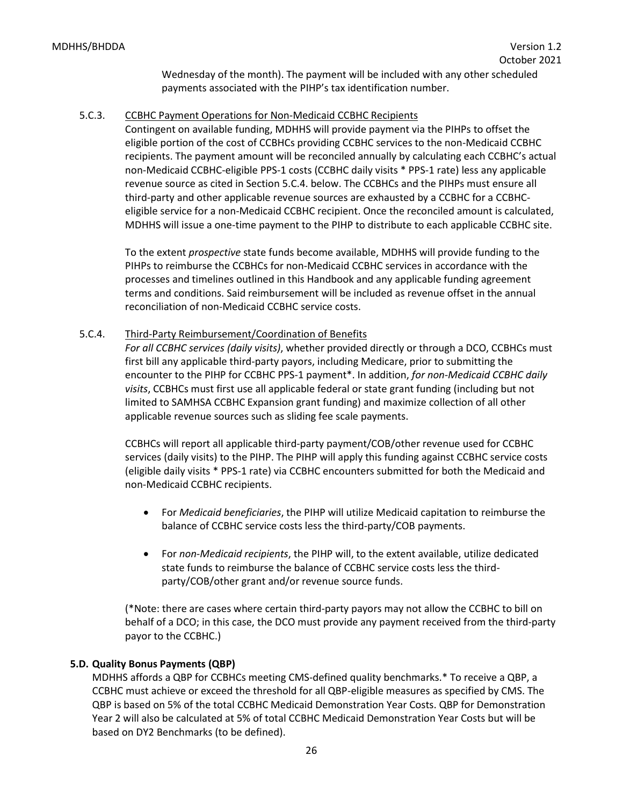Wednesday of the month). The payment will be included with any other scheduled payments associated with the PIHP's tax identification number.

#### 5.C.3. CCBHC Payment Operations for Non-Medicaid CCBHC Recipients

Contingent on available funding, MDHHS will provide payment via the PIHPs to offset the eligible portion of the cost of CCBHCs providing CCBHC services to the non-Medicaid CCBHC recipients. The payment amount will be reconciled annually by calculating each CCBHC's actual non-Medicaid CCBHC-eligible PPS-1 costs (CCBHC daily visits \* PPS-1 rate) less any applicable revenue source as cited in Section 5.C.4. below. The CCBHCs and the PIHPs must ensure all third-party and other applicable revenue sources are exhausted by a CCBHC for a CCBHCeligible service for a non-Medicaid CCBHC recipient. Once the reconciled amount is calculated, MDHHS will issue a one-time payment to the PIHP to distribute to each applicable CCBHC site.

To the extent *prospective* state funds become available, MDHHS will provide funding to the PIHPs to reimburse the CCBHCs for non-Medicaid CCBHC services in accordance with the processes and timelines outlined in this Handbook and any applicable funding agreement terms and conditions. Said reimbursement will be included as revenue offset in the annual reconciliation of non-Medicaid CCBHC service costs.

## 5.C.4. Third-Party Reimbursement/Coordination of Benefits

*For all CCBHC services (daily visits)*, whether provided directly or through a DCO, CCBHCs must first bill any applicable third-party payors, including Medicare, prior to submitting the encounter to the PIHP for CCBHC PPS-1 payment\*. In addition, *for non-Medicaid CCBHC daily visits*, CCBHCs must first use all applicable federal or state grant funding (including but not limited to SAMHSA CCBHC Expansion grant funding) and maximize collection of all other applicable revenue sources such as sliding fee scale payments.

CCBHCs will report all applicable third-party payment/COB/other revenue used for CCBHC services (daily visits) to the PIHP. The PIHP will apply this funding against CCBHC service costs (eligible daily visits \* PPS-1 rate) via CCBHC encounters submitted for both the Medicaid and non-Medicaid CCBHC recipients.

- For *Medicaid beneficiaries*, the PIHP will utilize Medicaid capitation to reimburse the balance of CCBHC service costs less the third-party/COB payments.
- For *non-Medicaid recipients*, the PIHP will, to the extent available, utilize dedicated state funds to reimburse the balance of CCBHC service costs less the thirdparty/COB/other grant and/or revenue source funds.

(\*Note: there are cases where certain third-party payors may not allow the CCBHC to bill on behalf of a DCO; in this case, the DCO must provide any payment received from the third-party payor to the CCBHC.)

# <span id="page-25-0"></span>**5.D. Quality Bonus Payments (QBP)**

MDHHS affords a QBP for CCBHCs meeting CMS-defined quality benchmarks.\* To receive a QBP, a CCBHC must achieve or exceed the threshold for all QBP-eligible measures as specified by CMS. The QBP is based on 5% of the total CCBHC Medicaid Demonstration Year Costs. QBP for Demonstration Year 2 will also be calculated at 5% of total CCBHC Medicaid Demonstration Year Costs but will be based on DY2 Benchmarks (to be defined).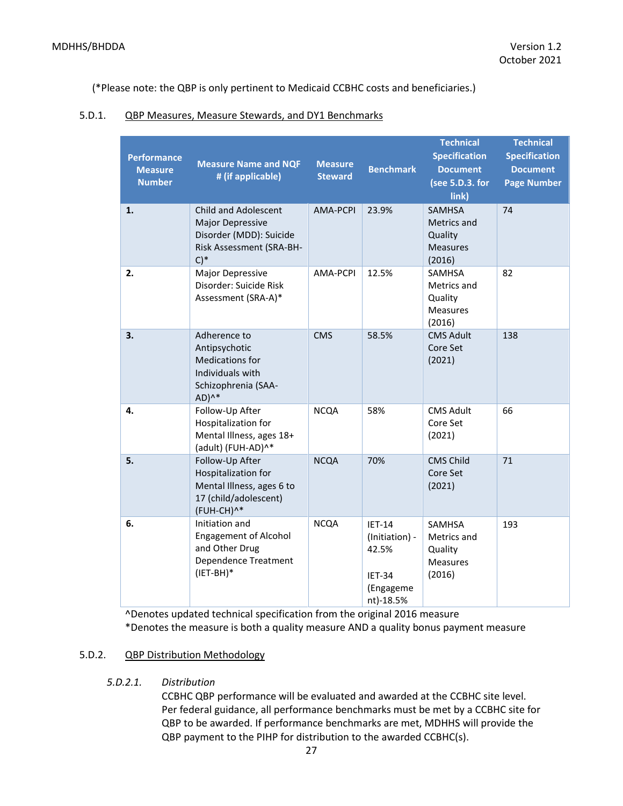(\*Please note: the QBP is only pertinent to Medicaid CCBHC costs and beneficiaries.)

#### 5.D.1. QBP Measures, Measure Stewards, and DY1 Benchmarks

| <b>Performance</b><br><b>Measure</b><br><b>Number</b> | <b>Measure Name and NQF</b><br># (if applicable)                                                                       | <b>Measure</b><br><b>Steward</b> | <b>Benchmark</b>                                                               | <b>Technical</b><br><b>Specification</b><br><b>Document</b><br>(see 5.D.3. for<br>link) | <b>Technical</b><br><b>Specification</b><br><b>Document</b><br><b>Page Number</b> |
|-------------------------------------------------------|------------------------------------------------------------------------------------------------------------------------|----------------------------------|--------------------------------------------------------------------------------|-----------------------------------------------------------------------------------------|-----------------------------------------------------------------------------------|
| 1.                                                    | <b>Child and Adolescent</b><br><b>Major Depressive</b><br>Disorder (MDD): Suicide<br>Risk Assessment (SRA-BH-<br>$C)*$ | AMA-PCPI                         | 23.9%                                                                          | <b>SAMHSA</b><br>Metrics and<br>Quality<br><b>Measures</b><br>(2016)                    | 74                                                                                |
| 2.                                                    | Major Depressive<br>Disorder: Suicide Risk<br>Assessment (SRA-A)*                                                      | AMA-PCPI                         | 12.5%                                                                          | <b>SAMHSA</b><br>Metrics and<br>Quality<br><b>Measures</b><br>(2016)                    | 82                                                                                |
| 3.                                                    | Adherence to<br>Antipsychotic<br><b>Medications for</b><br>Individuals with<br>Schizophrenia (SAA-<br>$AD)^{A*}$       | <b>CMS</b>                       | 58.5%                                                                          | <b>CMS Adult</b><br>Core Set<br>(2021)                                                  | 138                                                                               |
| 4.                                                    | Follow-Up After<br>Hospitalization for<br>Mental Illness, ages 18+<br>(adult) (FUH-AD)^*                               | <b>NCQA</b>                      | 58%                                                                            | <b>CMS Adult</b><br>Core Set<br>(2021)                                                  | 66                                                                                |
| 5.                                                    | Follow-Up After<br>Hospitalization for<br>Mental Illness, ages 6 to<br>17 (child/adolescent)<br>(FUH-CH)^*             | <b>NCQA</b>                      | 70%                                                                            | <b>CMS Child</b><br>Core Set<br>(2021)                                                  | 71                                                                                |
| 6.                                                    | Initiation and<br><b>Engagement of Alcohol</b><br>and Other Drug<br>Dependence Treatment<br>$(IET-BH)^*$               | <b>NCQA</b>                      | $IET-14$<br>(Initiation) -<br>42.5%<br><b>IET-34</b><br>(Engageme<br>nt)-18.5% | <b>SAMHSA</b><br>Metrics and<br>Quality<br><b>Measures</b><br>(2016)                    | 193                                                                               |

^Denotes updated technical specification from the original 2016 measure \*Denotes the measure is both a quality measure AND a quality bonus payment measure

# 5.D.2. QBP Distribution Methodology

*5.D.2.1. Distribution*

CCBHC QBP performance will be evaluated and awarded at the CCBHC site level. Per federal guidance, all performance benchmarks must be met by a CCBHC site for QBP to be awarded. If performance benchmarks are met, MDHHS will provide the QBP payment to the PIHP for distribution to the awarded CCBHC(s).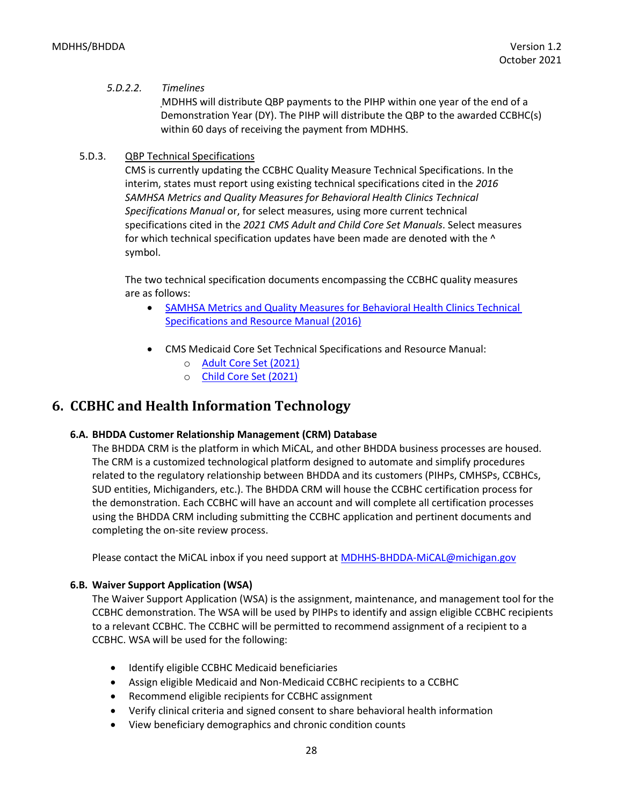#### *5.D.2.2. Timelines*

MDHHS will distribute QBP payments to the PIHP within one year of the end of a Demonstration Year (DY). The PIHP will distribute the QBP to the awarded CCBHC(s) within 60 days of receiving the payment from MDHHS.

## 5.D.3. QBP Technical Specifications

CMS is currently updating the CCBHC Quality Measure Technical Specifications. In the interim, states must report using existing technical specifications cited in the *2016 SAMHSA Metrics and Quality Measures for Behavioral Health Clinics Technical Specifications Manual* or, for select measures, using more current technical specifications cited in the *2021 CMS Adult and Child Core Set Manuals*. Select measures for which technical specification updates have been made are denoted with the  $\wedge$ symbol.

The two technical specification documents encompassing the CCBHC quality measures are as follows:

- [SAMHSA Metrics and Quality Measures for Behavioral Health Clinics Technical](https://www.samhsa.gov/sites/default/files/sites/default/files/tech-specs-for-bhcs.zip)  [Specifications and Resource Manual \(2016\)](https://www.samhsa.gov/sites/default/files/sites/default/files/tech-specs-for-bhcs.zip)
- CMS Medicaid Core Set Technical Specifications and Resource Manual:
	- o [Adult Core Set \(2021\)](https://www.medicaid.gov/medicaid/quality-of-care/downloads/medicaid-adult-core-set-manual.pdf?t=1633046720)
	- o [Child Core Set \(2021\)](https://www.medicaid.gov/medicaid/quality-of-care/downloads/medicaid-and-chip-child-core-set-manual.pdf?t=1633050472)

# <span id="page-27-0"></span>**6. CCBHC and Health Information Technology**

#### <span id="page-27-1"></span>**6.A. BHDDA Customer Relationship Management (CRM) Database**

The BHDDA CRM is the platform in which MiCAL, and other BHDDA business processes are housed. The CRM is a customized technological platform designed to automate and simplify procedures related to the regulatory relationship between BHDDA and its customers (PIHPs, CMHSPs, CCBHCs, SUD entities, Michiganders, etc.). The BHDDA CRM will house the CCBHC certification process for the demonstration. Each CCBHC will have an account and will complete all certification processes using the BHDDA CRM including submitting the CCBHC application and pertinent documents and completing the on-site review process.

Please contact the MiCAL inbox if you need support at [MDHHS-BHDDA-MiCAL@michigan.gov](mailto:MDHHS-BHDDA-MiCAL@michigan.gov)

#### <span id="page-27-2"></span>**6.B. Waiver Support Application (WSA)**

The Waiver Support Application (WSA) is the assignment, maintenance, and management tool for the CCBHC demonstration. The WSA will be used by PIHPs to identify and assign eligible CCBHC recipients to a relevant CCBHC. The CCBHC will be permitted to recommend assignment of a recipient to a CCBHC. WSA will be used for the following:

- Identify eligible CCBHC Medicaid beneficiaries
- Assign eligible Medicaid and Non-Medicaid CCBHC recipients to a CCBHC
- Recommend eligible recipients for CCBHC assignment
- Verify clinical criteria and signed consent to share behavioral health information
- View beneficiary demographics and chronic condition counts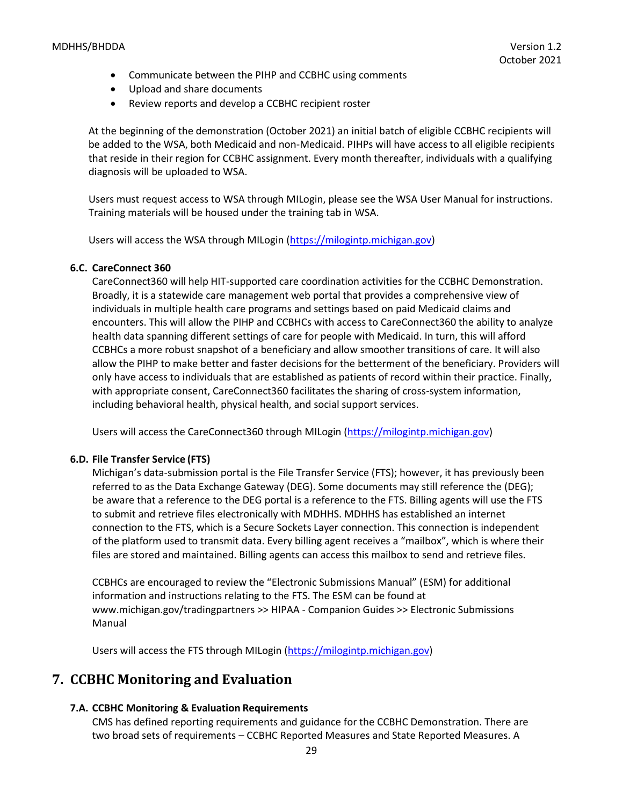- Communicate between the PIHP and CCBHC using comments
- Upload and share documents
- Review reports and develop a CCBHC recipient roster

At the beginning of the demonstration (October 2021) an initial batch of eligible CCBHC recipients will be added to the WSA, both Medicaid and non-Medicaid. PIHPs will have access to all eligible recipients that reside in their region for CCBHC assignment. Every month thereafter, individuals with a qualifying diagnosis will be uploaded to WSA.

Users must request access to WSA through MILogin, please see the WSA User Manual for instructions. Training materials will be housed under the training tab in WSA.

Users will access the WSA through MILogin [\(https://milogintp.michigan.gov\)](https://milogintp.michigan.gov/)

#### <span id="page-28-0"></span>**6.C. CareConnect 360**

CareConnect360 will help HIT-supported care coordination activities for the CCBHC Demonstration. Broadly, it is a statewide care management web portal that provides a comprehensive view of individuals in multiple health care programs and settings based on paid Medicaid claims and encounters. This will allow the PIHP and CCBHCs with access to CareConnect360 the ability to analyze health data spanning different settings of care for people with Medicaid. In turn, this will afford CCBHCs a more robust snapshot of a beneficiary and allow smoother transitions of care. It will also allow the PIHP to make better and faster decisions for the betterment of the beneficiary. Providers will only have access to individuals that are established as patients of record within their practice. Finally, with appropriate consent, CareConnect360 facilitates the sharing of cross-system information, including behavioral health, physical health, and social support services.

Users will access the CareConnect360 through MILogin [\(https://milogintp.michigan.gov\)](https://milogintp.michigan.gov/)

#### <span id="page-28-1"></span>**6.D. File Transfer Service (FTS)**

Michigan's data-submission portal is the File Transfer Service (FTS); however, it has previously been referred to as the Data Exchange Gateway (DEG). Some documents may still reference the (DEG); be aware that a reference to the DEG portal is a reference to the FTS. Billing agents will use the FTS to submit and retrieve files electronically with MDHHS. MDHHS has established an internet connection to the FTS, which is a Secure Sockets Layer connection. This connection is independent of the platform used to transmit data. Every billing agent receives a "mailbox", which is where their files are stored and maintained. Billing agents can access this mailbox to send and retrieve files.

CCBHCs are encouraged to review the "Electronic Submissions Manual" (ESM) for additional information and instructions relating to the FTS. The ESM can be found a[t](http://www.michigan.gov/tradingpartners) [www.michigan.gov/tradingpartners >](http://www.michigan.gov/tradingpartners)> HIPAA - Companion Guides >> Electronic Submissions Manual

Users will access the FTS through MILogin [\(https://milogintp.michigan.gov\)](https://milogintp.michigan.gov/)

# <span id="page-28-2"></span>**7. CCBHC Monitoring and Evaluation**

#### <span id="page-28-3"></span>**7.A. CCBHC Monitoring & Evaluation Requirements**

CMS has defined reporting requirements and guidance for the CCBHC Demonstration. There are two broad sets of requirements – CCBHC Reported Measures and State Reported Measures. A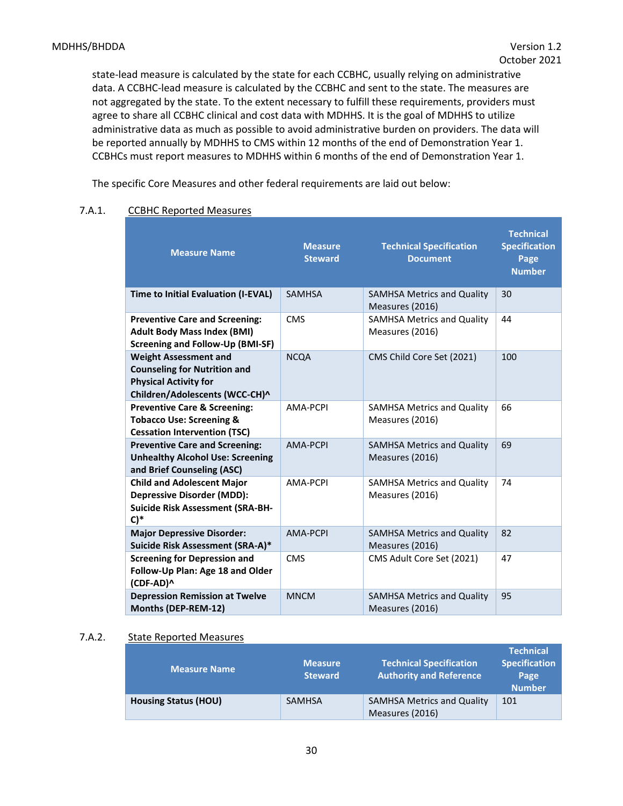state-lead measure is calculated by the state for each CCBHC, usually relying on administrative data. A CCBHC-lead measure is calculated by the CCBHC and sent to the state. The measures are not aggregated by the state. To the extent necessary to fulfill these requirements, providers must agree to share all CCBHC clinical and cost data with MDHHS. It is the goal of MDHHS to utilize administrative data as much as possible to avoid administrative burden on providers. The data will be reported annually by MDHHS to CMS within 12 months of the end of Demonstration Year 1. CCBHCs must report measures to MDHHS within 6 months of the end of Demonstration Year 1.

The specific Core Measures and other federal requirements are laid out below:

| <b>Measure Name</b>                                                                                                                   | <b>Measure</b><br><b>Steward</b> | <b>Technical Specification</b><br><b>Document</b>    | <b>Technical</b><br><b>Specification</b><br>Page<br><b>Number</b> |
|---------------------------------------------------------------------------------------------------------------------------------------|----------------------------------|------------------------------------------------------|-------------------------------------------------------------------|
| Time to Initial Evaluation (I-EVAL)                                                                                                   | <b>SAMHSA</b>                    | <b>SAMHSA Metrics and Quality</b><br>Measures (2016) | 30                                                                |
| <b>Preventive Care and Screening:</b><br><b>Adult Body Mass Index (BMI)</b><br><b>Screening and Follow-Up (BMI-SF)</b>                | <b>CMS</b>                       | <b>SAMHSA Metrics and Quality</b><br>Measures (2016) | 44                                                                |
| <b>Weight Assessment and</b><br><b>Counseling for Nutrition and</b><br><b>Physical Activity for</b><br>Children/Adolescents (WCC-CH)^ | <b>NCQA</b>                      | CMS Child Core Set (2021)                            | 100                                                               |
| <b>Preventive Care &amp; Screening:</b><br><b>Tobacco Use: Screening &amp;</b><br><b>Cessation Intervention (TSC)</b>                 | AMA-PCPI                         | <b>SAMHSA Metrics and Quality</b><br>Measures (2016) | 66                                                                |
| <b>Preventive Care and Screening:</b><br><b>Unhealthy Alcohol Use: Screening</b><br>and Brief Counseling (ASC)                        | AMA-PCPI                         | <b>SAMHSA Metrics and Quality</b><br>Measures (2016) | 69                                                                |
| <b>Child and Adolescent Major</b><br><b>Depressive Disorder (MDD):</b><br><b>Suicide Risk Assessment (SRA-BH-</b><br>$C$ <sup>*</sup> | AMA-PCPI                         | <b>SAMHSA Metrics and Quality</b><br>Measures (2016) | 74                                                                |
| <b>Major Depressive Disorder:</b><br>Suicide Risk Assessment (SRA-A)*                                                                 | AMA-PCPI                         | <b>SAMHSA Metrics and Quality</b><br>Measures (2016) | 82                                                                |
| <b>Screening for Depression and</b><br>Follow-Up Plan: Age 18 and Older<br>(CDF-AD)^                                                  | <b>CMS</b>                       | CMS Adult Core Set (2021)                            | 47                                                                |
| <b>Depression Remission at Twelve</b><br>Months (DEP-REM-12)                                                                          | <b>MNCM</b>                      | <b>SAMHSA Metrics and Quality</b><br>Measures (2016) | 95                                                                |

#### 7.A.1. CCBHC Reported Measures

#### 7.A.2. State Reported Measures

| <b>Measure Name</b>         | <b>Measure</b><br><b>Steward</b> | <b>Technical Specification</b><br><b>Authority and Reference</b> | <b>Technical</b><br>Specification<br>Page<br><b>Number</b> |
|-----------------------------|----------------------------------|------------------------------------------------------------------|------------------------------------------------------------|
| <b>Housing Status (HOU)</b> | <b>SAMHSA</b>                    | <b>SAMHSA Metrics and Quality</b><br>Measures (2016)             | 101                                                        |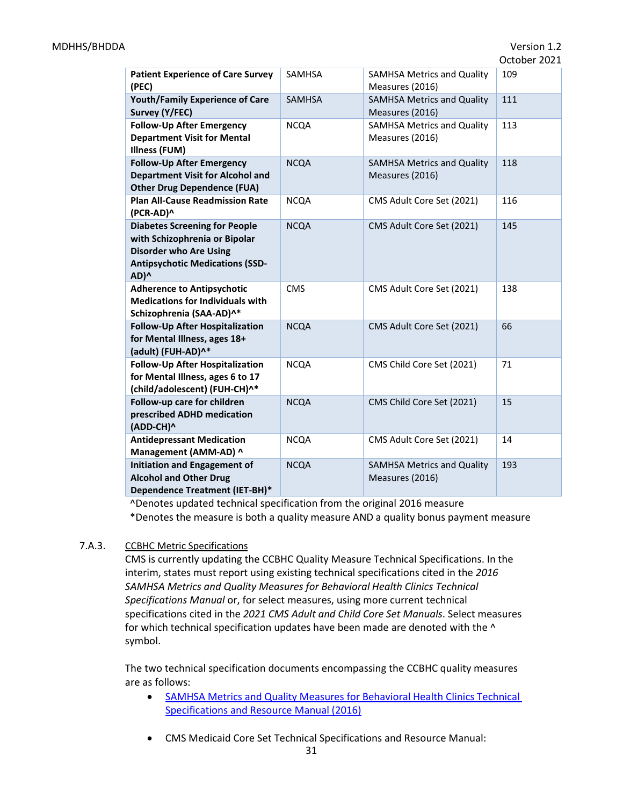| <b>Patient Experience of Care Survey</b><br>(PEC)                                                                                                        | <b>SAMHSA</b> | <b>SAMHSA Metrics and Quality</b><br>Measures (2016) | 109 |
|----------------------------------------------------------------------------------------------------------------------------------------------------------|---------------|------------------------------------------------------|-----|
| <b>Youth/Family Experience of Care</b><br>Survey (Y/FEC)                                                                                                 | SAMHSA        | <b>SAMHSA Metrics and Quality</b><br>Measures (2016) | 111 |
| <b>Follow-Up After Emergency</b><br><b>Department Visit for Mental</b><br>Illness (FUM)                                                                  | <b>NCQA</b>   | <b>SAMHSA Metrics and Quality</b><br>Measures (2016) | 113 |
| <b>Follow-Up After Emergency</b><br><b>Department Visit for Alcohol and</b><br><b>Other Drug Dependence (FUA)</b>                                        | <b>NCQA</b>   | <b>SAMHSA Metrics and Quality</b><br>Measures (2016) | 118 |
| <b>Plan All-Cause Readmission Rate</b><br>(PCR-AD)^                                                                                                      | <b>NCQA</b>   | CMS Adult Core Set (2021)                            | 116 |
| <b>Diabetes Screening for People</b><br>with Schizophrenia or Bipolar<br><b>Disorder who Are Using</b><br><b>Antipsychotic Medications (SSD-</b><br>AD)^ | <b>NCQA</b>   | CMS Adult Core Set (2021)                            | 145 |
| <b>Adherence to Antipsychotic</b><br><b>Medications for Individuals with</b><br>Schizophrenia (SAA-AD)^*                                                 | <b>CMS</b>    | CMS Adult Core Set (2021)                            | 138 |
| <b>Follow-Up After Hospitalization</b><br>for Mental Illness, ages 18+<br>(adult) (FUH-AD)^*                                                             | <b>NCQA</b>   | CMS Adult Core Set (2021)                            | 66  |
| <b>Follow-Up After Hospitalization</b><br>for Mental Illness, ages 6 to 17<br>(child/adolescent) (FUH-CH)^*                                              | <b>NCQA</b>   | CMS Child Core Set (2021)                            | 71  |
| Follow-up care for children<br>prescribed ADHD medication<br>(ADD-CH)^                                                                                   | <b>NCQA</b>   | CMS Child Core Set (2021)                            | 15  |
| <b>Antidepressant Medication</b><br>Management (AMM-AD) ^                                                                                                | <b>NCQA</b>   | CMS Adult Core Set (2021)                            | 14  |
| <b>Initiation and Engagement of</b><br><b>Alcohol and Other Drug</b><br><b>Dependence Treatment (IET-BH)*</b>                                            | <b>NCQA</b>   | <b>SAMHSA Metrics and Quality</b><br>Measures (2016) | 193 |

^Denotes updated technical specification from the original 2016 measure \*Denotes the measure is both a quality measure AND a quality bonus payment measure

#### 7.A.3. CCBHC Metric Specifications

CMS is currently updating the CCBHC Quality Measure Technical Specifications. In the interim, states must report using existing technical specifications cited in the *2016 SAMHSA Metrics and Quality Measures for Behavioral Health Clinics Technical Specifications Manual* or, for select measures, using more current technical specifications cited in the *2021 CMS Adult and Child Core Set Manuals*. Select measures for which technical specification updates have been made are denoted with the  $\wedge$ symbol.

The two technical specification documents encompassing the CCBHC quality measures are as follows:

- [SAMHSA Metrics and Quality Measures for Behavioral Health Clinics Technical](https://www.samhsa.gov/sites/default/files/sites/default/files/tech-specs-for-bhcs.zip)  [Specifications and Resource Manual \(2016\)](https://www.samhsa.gov/sites/default/files/sites/default/files/tech-specs-for-bhcs.zip)
- CMS Medicaid Core Set Technical Specifications and Resource Manual: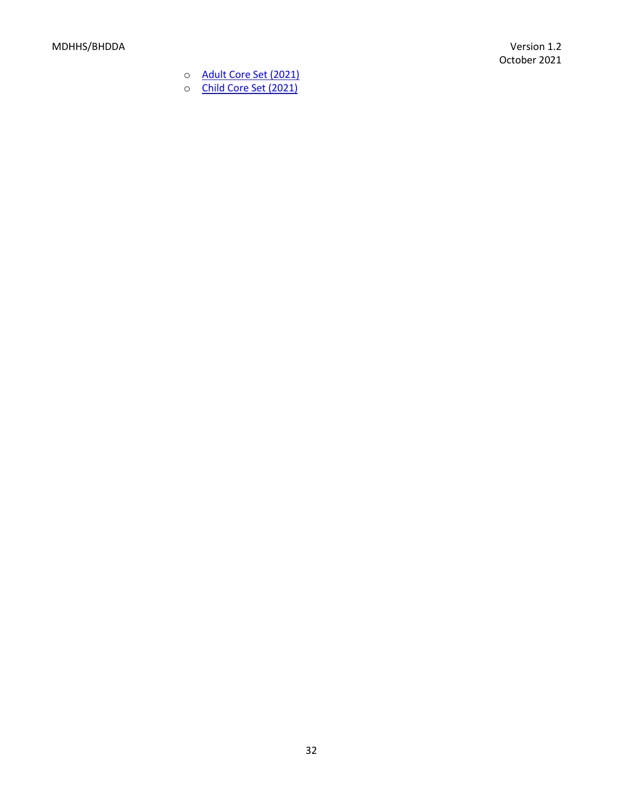- o [Adult Core Set \(2021\)](https://www.medicaid.gov/medicaid/quality-of-care/downloads/medicaid-adult-core-set-manual.pdf?t=1633046720)
- o [Child Core Set \(2021\)](https://www.medicaid.gov/medicaid/quality-of-care/downloads/medicaid-and-chip-child-core-set-manual.pdf?t=1633050472)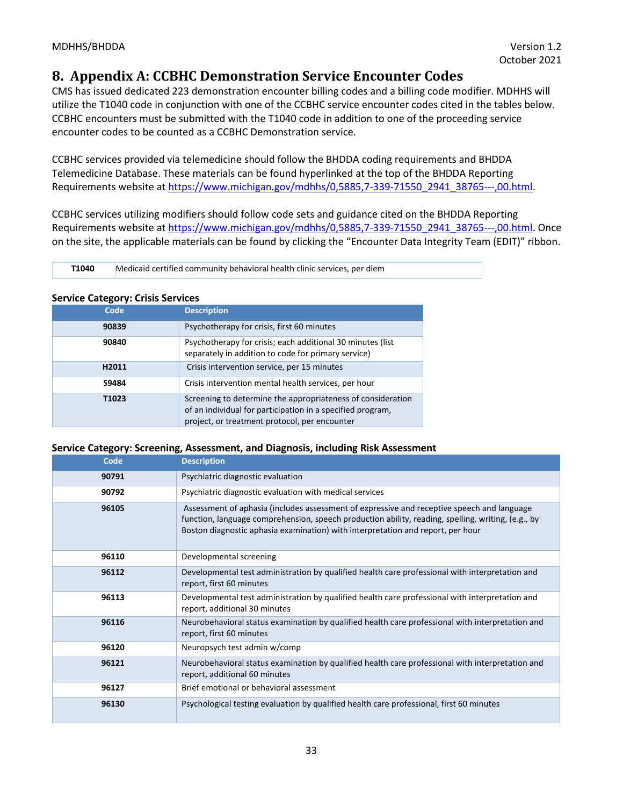# <span id="page-32-0"></span>**8. Appendix A: CCBHC Demonstration Service Encounter Codes**

CMS has issued dedicated 223 demonstration encounter billing codes and a billing code modifier. MDHHS will utilize the T1040 code in conjunction with one of the CCBHC service encounter codes cited in the tables below. CCBHC encounters must be submitted with the T1040 code in addition to one of the proceeding service encounter codes to be counted as a CCBHC Demonstration service.

CCBHC services provided via telemedicine should follow the BHDDA coding requirements and BHDDA Telemedicine Database. These materials can be found hyperlinked at the top of the BHDDA Reporting Requirements website at [https://www.michigan.gov/mdhhs/0,5885,7-339-71550\\_2941\\_38765---,00.html.](https://www.michigan.gov/mdhhs/0,5885,7-339-71550_2941_38765---,00.html)

CCBHC services utilizing modifiers should follow code sets and guidance cited on the BHDDA Reporting Requirements website at [https://www.michigan.gov/mdhhs/0,5885,7-339-71550\\_2941\\_38765---,00.html.](https://www.michigan.gov/mdhhs/0,5885,7-339-71550_2941_38765---,00.html) Once on the site, the applicable materials can be found by clicking the "Encounter Data Integrity Team (EDIT)" ribbon.

**T1040** Medicaid certified community behavioral health clinic services, per diem

#### **Service Category: Crisis Services**

| Code  | <b>Description</b>                                                                                                                                                         |
|-------|----------------------------------------------------------------------------------------------------------------------------------------------------------------------------|
| 90839 | Psychotherapy for crisis, first 60 minutes                                                                                                                                 |
| 90840 | Psychotherapy for crisis; each additional 30 minutes (list<br>separately in addition to code for primary service)                                                          |
| H2011 | Crisis intervention service, per 15 minutes                                                                                                                                |
| S9484 | Crisis intervention mental health services, per hour                                                                                                                       |
| T1023 | Screening to determine the appropriateness of consideration<br>of an individual for participation in a specified program,<br>project, or treatment protocol, per encounter |

#### **Service Category: Screening, Assessment, and Diagnosis, including Risk Assessment**

| Code  | <b>Description</b>                                                                                                                                                                                                                                                                  |
|-------|-------------------------------------------------------------------------------------------------------------------------------------------------------------------------------------------------------------------------------------------------------------------------------------|
| 90791 | Psychiatric diagnostic evaluation                                                                                                                                                                                                                                                   |
| 90792 | Psychiatric diagnostic evaluation with medical services                                                                                                                                                                                                                             |
| 96105 | Assessment of aphasia (includes assessment of expressive and receptive speech and language<br>function, language comprehension, speech production ability, reading, spelling, writing, (e.g., by<br>Boston diagnostic aphasia examination) with interpretation and report, per hour |
| 96110 | Developmental screening                                                                                                                                                                                                                                                             |
| 96112 | Developmental test administration by qualified health care professional with interpretation and<br>report, first 60 minutes                                                                                                                                                         |
| 96113 | Developmental test administration by qualified health care professional with interpretation and<br>report, additional 30 minutes                                                                                                                                                    |
| 96116 | Neurobehavioral status examination by qualified health care professional with interpretation and<br>report, first 60 minutes                                                                                                                                                        |
| 96120 | Neuropsych test admin w/comp                                                                                                                                                                                                                                                        |
| 96121 | Neurobehavioral status examination by qualified health care professional with interpretation and<br>report, additional 60 minutes                                                                                                                                                   |
| 96127 | Brief emotional or behavioral assessment                                                                                                                                                                                                                                            |
| 96130 | Psychological testing evaluation by qualified health care professional, first 60 minutes                                                                                                                                                                                            |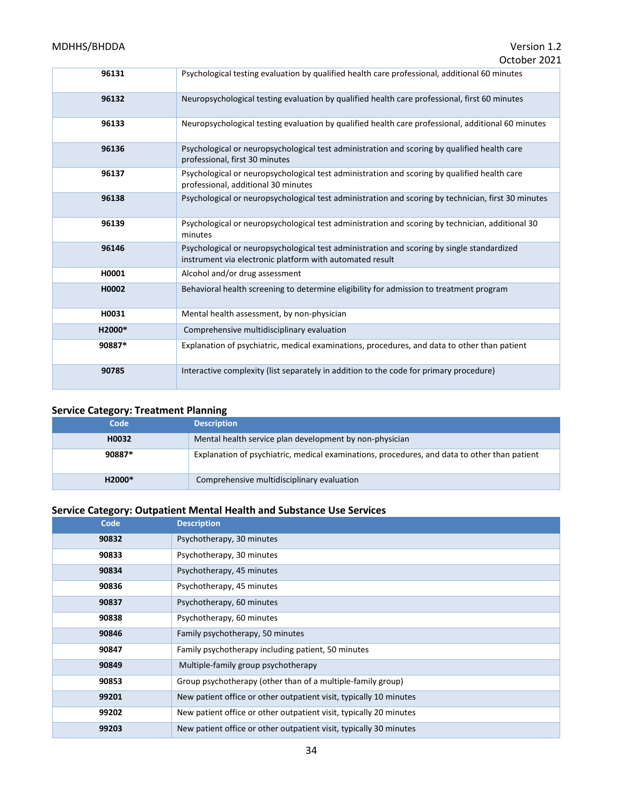#### MDHHS/BHDDA Version 1.2

| 96131<br>Psychological testing evaluation by qualified health care professional, additional 60 minutes<br>Neuropsychological testing evaluation by qualified health care professional, first 60 minutes<br>96132<br>Neuropsychological testing evaluation by qualified health care professional, additional 60 minutes<br>96133<br>96136<br>Psychological or neuropsychological test administration and scoring by qualified health care<br>professional, first 30 minutes<br>Psychological or neuropsychological test administration and scoring by qualified health care<br>96137<br>professional, additional 30 minutes<br>96138<br>Psychological or neuropsychological test administration and scoring by technician, first 30 minutes<br>Psychological or neuropsychological test administration and scoring by technician, additional 30<br>96139<br>minutes<br>96146<br>Psychological or neuropsychological test administration and scoring by single standardized<br>instrument via electronic platform with automated result<br>H0001<br>Alcohol and/or drug assessment<br>H0002<br>Behavioral health screening to determine eligibility for admission to treatment program<br>Mental health assessment, by non-physician<br>H0031<br>H2000*<br>Comprehensive multidisciplinary evaluation<br>Explanation of psychiatric, medical examinations, procedures, and data to other than patient<br>90887*<br>Interactive complexity (list separately in addition to the code for primary procedure)<br>90785 | OLIUDEI ZUZI |
|------------------------------------------------------------------------------------------------------------------------------------------------------------------------------------------------------------------------------------------------------------------------------------------------------------------------------------------------------------------------------------------------------------------------------------------------------------------------------------------------------------------------------------------------------------------------------------------------------------------------------------------------------------------------------------------------------------------------------------------------------------------------------------------------------------------------------------------------------------------------------------------------------------------------------------------------------------------------------------------------------------------------------------------------------------------------------------------------------------------------------------------------------------------------------------------------------------------------------------------------------------------------------------------------------------------------------------------------------------------------------------------------------------------------------------------------------------------------------------------------------------------|--------------|
|                                                                                                                                                                                                                                                                                                                                                                                                                                                                                                                                                                                                                                                                                                                                                                                                                                                                                                                                                                                                                                                                                                                                                                                                                                                                                                                                                                                                                                                                                                                  |              |
|                                                                                                                                                                                                                                                                                                                                                                                                                                                                                                                                                                                                                                                                                                                                                                                                                                                                                                                                                                                                                                                                                                                                                                                                                                                                                                                                                                                                                                                                                                                  |              |
|                                                                                                                                                                                                                                                                                                                                                                                                                                                                                                                                                                                                                                                                                                                                                                                                                                                                                                                                                                                                                                                                                                                                                                                                                                                                                                                                                                                                                                                                                                                  |              |
|                                                                                                                                                                                                                                                                                                                                                                                                                                                                                                                                                                                                                                                                                                                                                                                                                                                                                                                                                                                                                                                                                                                                                                                                                                                                                                                                                                                                                                                                                                                  |              |
|                                                                                                                                                                                                                                                                                                                                                                                                                                                                                                                                                                                                                                                                                                                                                                                                                                                                                                                                                                                                                                                                                                                                                                                                                                                                                                                                                                                                                                                                                                                  |              |
|                                                                                                                                                                                                                                                                                                                                                                                                                                                                                                                                                                                                                                                                                                                                                                                                                                                                                                                                                                                                                                                                                                                                                                                                                                                                                                                                                                                                                                                                                                                  |              |
|                                                                                                                                                                                                                                                                                                                                                                                                                                                                                                                                                                                                                                                                                                                                                                                                                                                                                                                                                                                                                                                                                                                                                                                                                                                                                                                                                                                                                                                                                                                  |              |
|                                                                                                                                                                                                                                                                                                                                                                                                                                                                                                                                                                                                                                                                                                                                                                                                                                                                                                                                                                                                                                                                                                                                                                                                                                                                                                                                                                                                                                                                                                                  |              |
|                                                                                                                                                                                                                                                                                                                                                                                                                                                                                                                                                                                                                                                                                                                                                                                                                                                                                                                                                                                                                                                                                                                                                                                                                                                                                                                                                                                                                                                                                                                  |              |
|                                                                                                                                                                                                                                                                                                                                                                                                                                                                                                                                                                                                                                                                                                                                                                                                                                                                                                                                                                                                                                                                                                                                                                                                                                                                                                                                                                                                                                                                                                                  |              |
|                                                                                                                                                                                                                                                                                                                                                                                                                                                                                                                                                                                                                                                                                                                                                                                                                                                                                                                                                                                                                                                                                                                                                                                                                                                                                                                                                                                                                                                                                                                  |              |
|                                                                                                                                                                                                                                                                                                                                                                                                                                                                                                                                                                                                                                                                                                                                                                                                                                                                                                                                                                                                                                                                                                                                                                                                                                                                                                                                                                                                                                                                                                                  |              |
|                                                                                                                                                                                                                                                                                                                                                                                                                                                                                                                                                                                                                                                                                                                                                                                                                                                                                                                                                                                                                                                                                                                                                                                                                                                                                                                                                                                                                                                                                                                  |              |
|                                                                                                                                                                                                                                                                                                                                                                                                                                                                                                                                                                                                                                                                                                                                                                                                                                                                                                                                                                                                                                                                                                                                                                                                                                                                                                                                                                                                                                                                                                                  |              |

# **Service Category: Treatment Planning**

| Code   | <b>Description</b>                                                                           |
|--------|----------------------------------------------------------------------------------------------|
| H0032  | Mental health service plan development by non-physician                                      |
| 90887* | Explanation of psychiatric, medical examinations, procedures, and data to other than patient |
| H2000* | Comprehensive multidisciplinary evaluation                                                   |

# **Service Category: Outpatient Mental Health and Substance Use Services**

| Code  | <b>Description</b>                                                 |
|-------|--------------------------------------------------------------------|
| 90832 | Psychotherapy, 30 minutes                                          |
| 90833 | Psychotherapy, 30 minutes                                          |
| 90834 | Psychotherapy, 45 minutes                                          |
| 90836 | Psychotherapy, 45 minutes                                          |
| 90837 | Psychotherapy, 60 minutes                                          |
| 90838 | Psychotherapy, 60 minutes                                          |
| 90846 | Family psychotherapy, 50 minutes                                   |
| 90847 | Family psychotherapy including patient, 50 minutes                 |
| 90849 | Multiple-family group psychotherapy                                |
| 90853 | Group psychotherapy (other than of a multiple-family group)        |
| 99201 | New patient office or other outpatient visit, typically 10 minutes |
| 99202 | New patient office or other outpatient visit, typically 20 minutes |
| 99203 | New patient office or other outpatient visit, typically 30 minutes |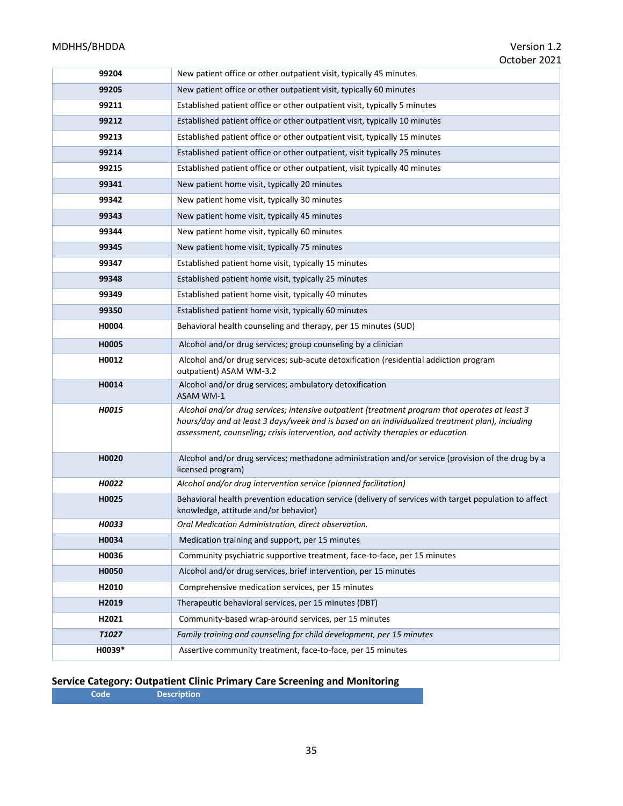# MDHHS/BHDDA Version 1.2

|                   | OLIUDEI ZUZI                                                                                                                                                                                                                                                                          |
|-------------------|---------------------------------------------------------------------------------------------------------------------------------------------------------------------------------------------------------------------------------------------------------------------------------------|
| 99204             | New patient office or other outpatient visit, typically 45 minutes                                                                                                                                                                                                                    |
| 99205             | New patient office or other outpatient visit, typically 60 minutes                                                                                                                                                                                                                    |
| 99211             | Established patient office or other outpatient visit, typically 5 minutes                                                                                                                                                                                                             |
| 99212             | Established patient office or other outpatient visit, typically 10 minutes                                                                                                                                                                                                            |
| 99213             | Established patient office or other outpatient visit, typically 15 minutes                                                                                                                                                                                                            |
| 99214             | Established patient office or other outpatient, visit typically 25 minutes                                                                                                                                                                                                            |
| 99215             | Established patient office or other outpatient, visit typically 40 minutes                                                                                                                                                                                                            |
| 99341             | New patient home visit, typically 20 minutes                                                                                                                                                                                                                                          |
| 99342             | New patient home visit, typically 30 minutes                                                                                                                                                                                                                                          |
| 99343             | New patient home visit, typically 45 minutes                                                                                                                                                                                                                                          |
| 99344             | New patient home visit, typically 60 minutes                                                                                                                                                                                                                                          |
| 99345             | New patient home visit, typically 75 minutes                                                                                                                                                                                                                                          |
| 99347             | Established patient home visit, typically 15 minutes                                                                                                                                                                                                                                  |
| 99348             | Established patient home visit, typically 25 minutes                                                                                                                                                                                                                                  |
| 99349             | Established patient home visit, typically 40 minutes                                                                                                                                                                                                                                  |
| 99350             | Established patient home visit, typically 60 minutes                                                                                                                                                                                                                                  |
| H0004             | Behavioral health counseling and therapy, per 15 minutes (SUD)                                                                                                                                                                                                                        |
| H0005             | Alcohol and/or drug services; group counseling by a clinician                                                                                                                                                                                                                         |
| H0012             | Alcohol and/or drug services; sub-acute detoxification (residential addiction program<br>outpatient) ASAM WM-3.2                                                                                                                                                                      |
| H0014             | Alcohol and/or drug services; ambulatory detoxification<br>ASAM WM-1                                                                                                                                                                                                                  |
| H0015             | Alcohol and/or drug services; intensive outpatient (treatment program that operates at least 3<br>hours/day and at least 3 days/week and is based on an individualized treatment plan), including<br>assessment, counseling; crisis intervention, and activity therapies or education |
| H0020             | Alcohol and/or drug services; methadone administration and/or service (provision of the drug by a<br>licensed program)                                                                                                                                                                |
| H0022             | Alcohol and/or drug intervention service (planned facilitation)                                                                                                                                                                                                                       |
| H0025             | Behavioral health prevention education service (delivery of services with target population to affect<br>knowledge, attitude and/or behavior)                                                                                                                                         |
| <b>H0033</b>      | Oral Medication Administration, direct observation.                                                                                                                                                                                                                                   |
| H0034             | Medication training and support, per 15 minutes                                                                                                                                                                                                                                       |
| H0036             | Community psychiatric supportive treatment, face-to-face, per 15 minutes                                                                                                                                                                                                              |
| H0050             | Alcohol and/or drug services, brief intervention, per 15 minutes                                                                                                                                                                                                                      |
| H2010             | Comprehensive medication services, per 15 minutes                                                                                                                                                                                                                                     |
| H2019             | Therapeutic behavioral services, per 15 minutes (DBT)                                                                                                                                                                                                                                 |
| H2021             | Community-based wrap-around services, per 15 minutes                                                                                                                                                                                                                                  |
| T <sub>1027</sub> | Family training and counseling for child development, per 15 minutes                                                                                                                                                                                                                  |
| H0039*            | Assertive community treatment, face-to-face, per 15 minutes                                                                                                                                                                                                                           |

#### **Service Category: Outpatient Clinic Primary Care Screening and Monitoring**

**Code Description**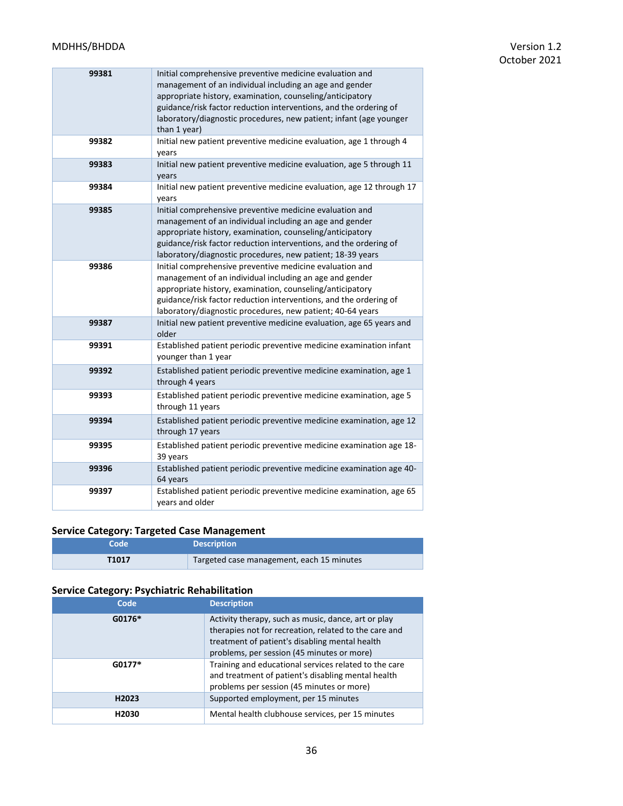| 99381 | Initial comprehensive preventive medicine evaluation and<br>management of an individual including an age and gender<br>appropriate history, examination, counseling/anticipatory<br>guidance/risk factor reduction interventions, and the ordering of<br>laboratory/diagnostic procedures, new patient; infant (age younger<br>than 1 year) |
|-------|---------------------------------------------------------------------------------------------------------------------------------------------------------------------------------------------------------------------------------------------------------------------------------------------------------------------------------------------|
| 99382 | Initial new patient preventive medicine evaluation, age 1 through 4<br>years                                                                                                                                                                                                                                                                |
| 99383 | Initial new patient preventive medicine evaluation, age 5 through 11<br>years                                                                                                                                                                                                                                                               |
| 99384 | Initial new patient preventive medicine evaluation, age 12 through 17<br>years                                                                                                                                                                                                                                                              |
| 99385 | Initial comprehensive preventive medicine evaluation and<br>management of an individual including an age and gender<br>appropriate history, examination, counseling/anticipatory<br>guidance/risk factor reduction interventions, and the ordering of<br>laboratory/diagnostic procedures, new patient; 18-39 years                         |
| 99386 | Initial comprehensive preventive medicine evaluation and<br>management of an individual including an age and gender<br>appropriate history, examination, counseling/anticipatory<br>guidance/risk factor reduction interventions, and the ordering of<br>laboratory/diagnostic procedures, new patient; 40-64 years                         |
| 99387 | Initial new patient preventive medicine evaluation, age 65 years and<br>older                                                                                                                                                                                                                                                               |
| 99391 | Established patient periodic preventive medicine examination infant<br>younger than 1 year                                                                                                                                                                                                                                                  |
| 99392 | Established patient periodic preventive medicine examination, age 1<br>through 4 years                                                                                                                                                                                                                                                      |
| 99393 | Established patient periodic preventive medicine examination, age 5<br>through 11 years                                                                                                                                                                                                                                                     |
| 99394 | Established patient periodic preventive medicine examination, age 12<br>through 17 years                                                                                                                                                                                                                                                    |
| 99395 | Established patient periodic preventive medicine examination age 18-<br>39 years                                                                                                                                                                                                                                                            |
| 99396 | Established patient periodic preventive medicine examination age 40-<br>64 years                                                                                                                                                                                                                                                            |
| 99397 | Established patient periodic preventive medicine examination, age 65<br>vears and older                                                                                                                                                                                                                                                     |

# **Service Category: Targeted Case Management**

| Code              | <b>Description</b>                        |
|-------------------|-------------------------------------------|
| T <sub>1017</sub> | Targeted case management, each 15 minutes |

# **Service Category: Psychiatric Rehabilitation**

| Code              | <b>Description</b>                                                                                                                                                                                           |
|-------------------|--------------------------------------------------------------------------------------------------------------------------------------------------------------------------------------------------------------|
| $G0176*$          | Activity therapy, such as music, dance, art or play<br>therapies not for recreation, related to the care and<br>treatment of patient's disabling mental health<br>problems, per session (45 minutes or more) |
| $G0177*$          | Training and educational services related to the care<br>and treatment of patient's disabling mental health<br>problems per session (45 minutes or more)                                                     |
| H <sub>2023</sub> | Supported employment, per 15 minutes                                                                                                                                                                         |
| H <sub>2030</sub> | Mental health clubhouse services, per 15 minutes                                                                                                                                                             |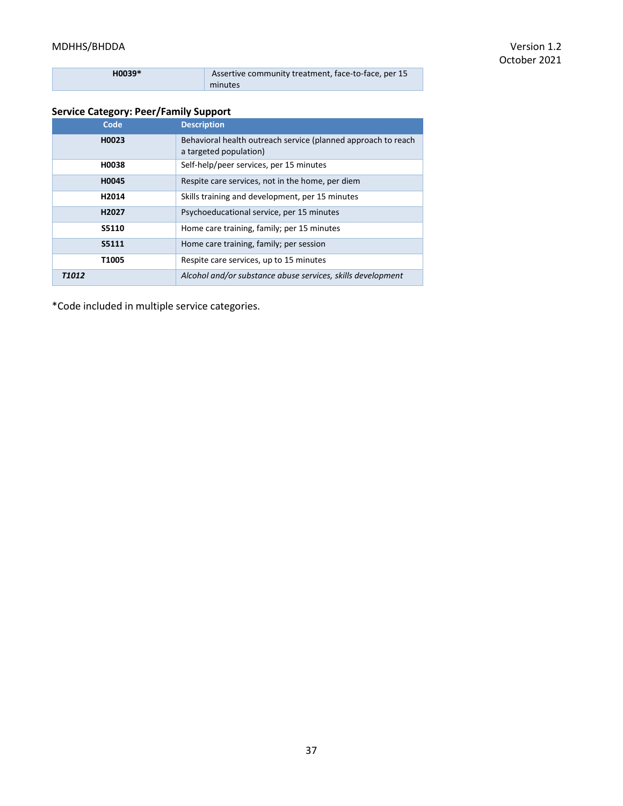## MDHHS/BHDDA Version 1.2

| $H0039*$ | Assertive community treatment, face-to-face, per 15 |
|----------|-----------------------------------------------------|
|          | minutes                                             |

## **Service Category: Peer/Family Support**

| Code              | <b>Description</b>                                                                      |
|-------------------|-----------------------------------------------------------------------------------------|
| H0023             | Behavioral health outreach service (planned approach to reach<br>a targeted population) |
| H0038             | Self-help/peer services, per 15 minutes                                                 |
| H0045             | Respite care services, not in the home, per diem                                        |
| H2014             | Skills training and development, per 15 minutes                                         |
| H <sub>2027</sub> | Psychoeducational service, per 15 minutes                                               |
| S5110             | Home care training, family; per 15 minutes                                              |
| S5111             | Home care training, family; per session                                                 |
| T1005             | Respite care services, up to 15 minutes                                                 |
| <b>T1012</b>      | Alcohol and/or substance abuse services, skills development                             |

\*Code included in multiple service categories.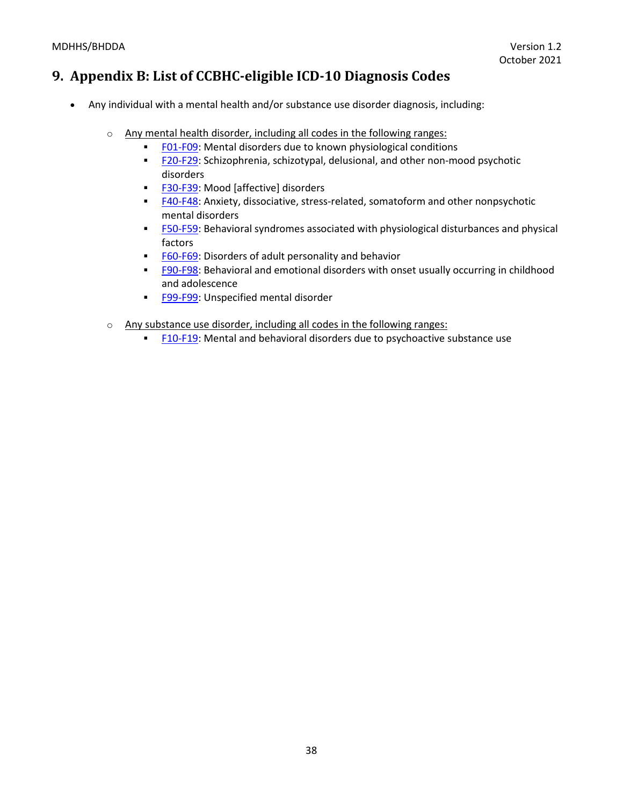# **9. Appendix B: List of CCBHC-eligible ICD-10 Diagnosis Codes**

- Any individual with a mental health and/or substance use disorder diagnosis, including:
	- o Any mental health disorder, including all codes in the following ranges:
		- **ED1-F09:** Mental disorders due to known physiological conditions
		- **E20-F29:** Schizophrenia, schizotypal, delusional, and other non-mood psychotic disorders
		- **E30-F39:** Mood [affective] disorders
		- **E40-F48:** Anxiety, dissociative, stress-related, somatoform and other nonpsychotic mental disorders
		- **E50-F59:** Behavioral syndromes associated with physiological disturbances and physical factors
		- [F60-F69:](https://www.icd10data.com/ICD10CM/Codes/F01-F99/F60-F69) Disorders of adult personality and behavior
		- **EPU-F98:** Behavioral and emotional disorders with onset usually occurring in childhood and adolescence
		- **[F99-F99:](https://www.icd10data.com/ICD10CM/Codes/F01-F99/F99-F99) Unspecified mental disorder**
	- o Any substance use disorder, including all codes in the following ranges:
		- **E10-F19:** Mental and behavioral disorders due to psychoactive substance use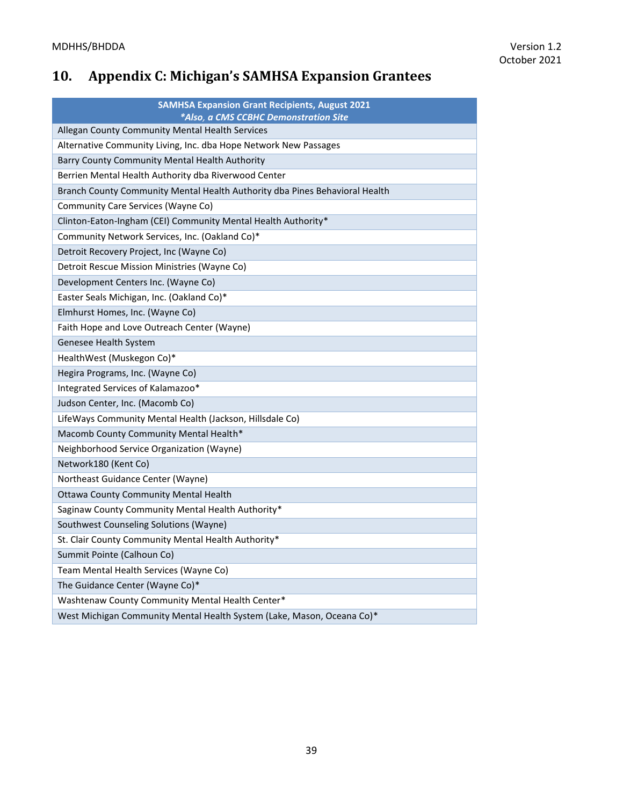# **10. Appendix C: Michigan's SAMHSA Expansion Grantees**

| <b>SAMHSA Expansion Grant Recipients, August 2021</b><br>*Also, a CMS CCBHC Demonstration Site |  |  |  |
|------------------------------------------------------------------------------------------------|--|--|--|
| Allegan County Community Mental Health Services                                                |  |  |  |
| Alternative Community Living, Inc. dba Hope Network New Passages                               |  |  |  |
| Barry County Community Mental Health Authority                                                 |  |  |  |
| Berrien Mental Health Authority dba Riverwood Center                                           |  |  |  |
| Branch County Community Mental Health Authority dba Pines Behavioral Health                    |  |  |  |
|                                                                                                |  |  |  |
| Community Care Services (Wayne Co)                                                             |  |  |  |
| Clinton-Eaton-Ingham (CEI) Community Mental Health Authority*                                  |  |  |  |
| Community Network Services, Inc. (Oakland Co)*                                                 |  |  |  |
| Detroit Recovery Project, Inc (Wayne Co)                                                       |  |  |  |
| Detroit Rescue Mission Ministries (Wayne Co)                                                   |  |  |  |
| Development Centers Inc. (Wayne Co)                                                            |  |  |  |
| Easter Seals Michigan, Inc. (Oakland Co)*                                                      |  |  |  |
| Elmhurst Homes, Inc. (Wayne Co)                                                                |  |  |  |
| Faith Hope and Love Outreach Center (Wayne)                                                    |  |  |  |
| Genesee Health System                                                                          |  |  |  |
| HealthWest (Muskegon Co)*                                                                      |  |  |  |
| Hegira Programs, Inc. (Wayne Co)                                                               |  |  |  |
| Integrated Services of Kalamazoo*                                                              |  |  |  |
| Judson Center, Inc. (Macomb Co)                                                                |  |  |  |
| LifeWays Community Mental Health (Jackson, Hillsdale Co)                                       |  |  |  |
| Macomb County Community Mental Health*                                                         |  |  |  |
| Neighborhood Service Organization (Wayne)                                                      |  |  |  |
| Network180 (Kent Co)                                                                           |  |  |  |
| Northeast Guidance Center (Wayne)                                                              |  |  |  |
| <b>Ottawa County Community Mental Health</b>                                                   |  |  |  |
| Saginaw County Community Mental Health Authority*                                              |  |  |  |
| Southwest Counseling Solutions (Wayne)                                                         |  |  |  |
| St. Clair County Community Mental Health Authority*                                            |  |  |  |
| Summit Pointe (Calhoun Co)                                                                     |  |  |  |
| Team Mental Health Services (Wayne Co)                                                         |  |  |  |
| The Guidance Center (Wayne Co)*                                                                |  |  |  |
| Washtenaw County Community Mental Health Center*                                               |  |  |  |
| West Michigan Community Mental Health System (Lake, Mason, Oceana Co)*                         |  |  |  |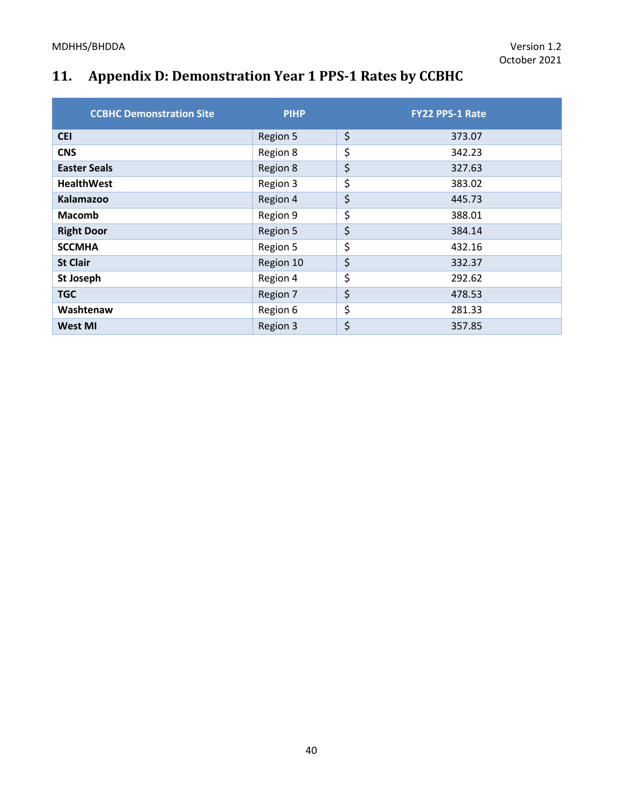# **11. Appendix D: Demonstration Year 1 PPS-1 Rates by CCBHC**

| <b>CCBHC Demonstration Site</b> | <b>PIHP</b> | <b>FY22 PPS-1 Rate</b> |
|---------------------------------|-------------|------------------------|
| <b>CEI</b>                      | Region 5    | \$<br>373.07           |
| <b>CNS</b>                      | Region 8    | \$<br>342.23           |
| <b>Easter Seals</b>             | Region 8    | \$<br>327.63           |
| <b>HealthWest</b>               | Region 3    | \$<br>383.02           |
| Kalamazoo                       | Region 4    | \$<br>445.73           |
| <b>Macomb</b>                   | Region 9    | \$<br>388.01           |
| <b>Right Door</b>               | Region 5    | \$<br>384.14           |
| <b>SCCMHA</b>                   | Region 5    | \$<br>432.16           |
| <b>St Clair</b>                 | Region 10   | \$<br>332.37           |
| St Joseph                       | Region 4    | \$<br>292.62           |
| <b>TGC</b>                      | Region 7    | \$<br>478.53           |
| Washtenaw                       | Region 6    | \$<br>281.33           |
| <b>West MI</b>                  | Region 3    | \$<br>357.85           |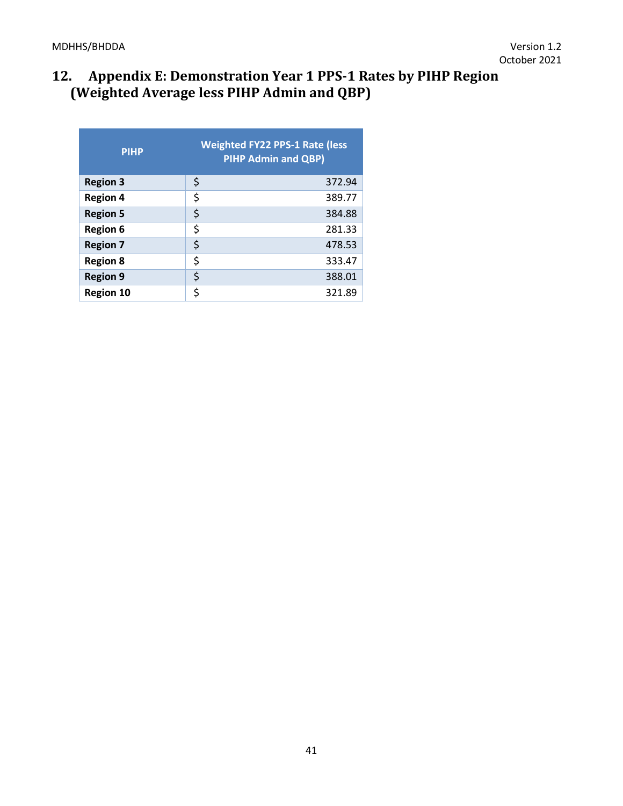# **12. Appendix E: Demonstration Year 1 PPS-1 Rates by PIHP Region (Weighted Average less PIHP Admin and QBP)**

| <b>PIHP</b>      | <b>Weighted FY22 PPS-1 Rate (less</b><br><b>PIHP Admin and QBP)</b> |        |  |
|------------------|---------------------------------------------------------------------|--------|--|
| <b>Region 3</b>  | \$                                                                  | 372.94 |  |
| <b>Region 4</b>  | \$                                                                  | 389.77 |  |
| <b>Region 5</b>  | \$                                                                  | 384.88 |  |
| <b>Region 6</b>  | \$                                                                  | 281.33 |  |
| <b>Region 7</b>  | \$                                                                  | 478.53 |  |
| <b>Region 8</b>  | \$                                                                  | 333.47 |  |
| <b>Region 9</b>  | \$                                                                  | 388.01 |  |
| <b>Region 10</b> | \$                                                                  | 321.89 |  |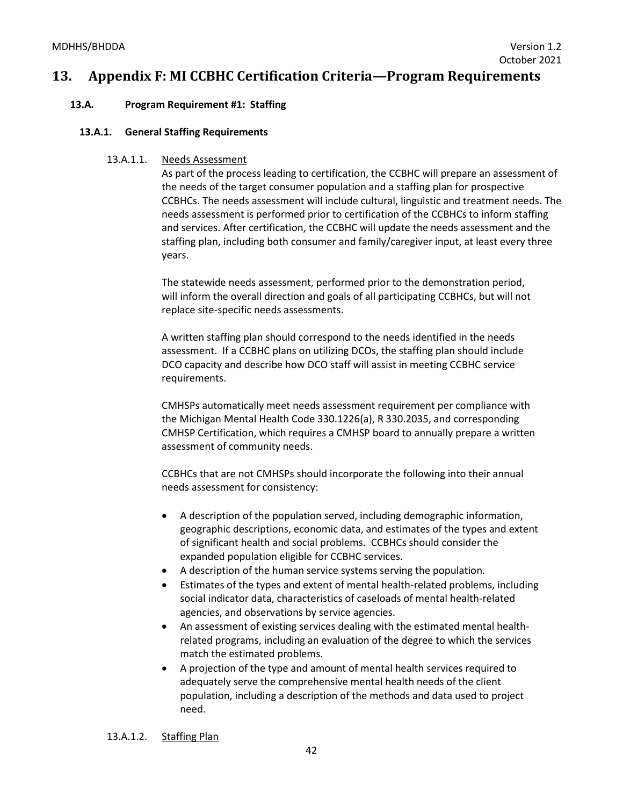## **13. Appendix F: MI CCBHC Certification Criteria—Program Requirements**

## **13.A. Program Requirement #1: Staffing**

#### **13.A.1. General Staffing Requirements**

#### 13.A.1.1. Needs Assessment

As part of the process leading to certification, the CCBHC will prepare an assessment of the needs of the target consumer population and a staffing plan for prospective CCBHCs. The needs assessment will include cultural, linguistic and treatment needs. The needs assessment is performed prior to certification of the CCBHCs to inform staffing and services. After certification, the CCBHC will update the needs assessment and the staffing plan, including both consumer and family/caregiver input, at least every three years.

The statewide needs assessment, performed prior to the demonstration period, will inform the overall direction and goals of all participating CCBHCs, but will not replace site-specific needs assessments.

A written staffing plan should correspond to the needs identified in the needs assessment. If a CCBHC plans on utilizing DCOs, the staffing plan should include DCO capacity and describe how DCO staff will assist in meeting CCBHC service requirements.

CMHSPs automatically meet needs assessment requirement per compliance with the Michigan Mental Health Code 330.1226(a), R 330.2035, and corresponding CMHSP Certification, which requires a CMHSP board to annually prepare a written assessment of community needs.

CCBHCs that are not CMHSPs should incorporate the following into their annual needs assessment for consistency:

- A description of the population served, including demographic information, geographic descriptions, economic data, and estimates of the types and extent of significant health and social problems. CCBHCs should consider the expanded population eligible for CCBHC services.
- A description of the human service systems serving the population.
- Estimates of the types and extent of mental health-related problems, including social indicator data, characteristics of caseloads of mental health-related agencies, and observations by service agencies.
- An assessment of existing services dealing with the estimated mental healthrelated programs, including an evaluation of the degree to which the services match the estimated problems.
- A projection of the type and amount of mental health services required to adequately serve the comprehensive mental health needs of the client population, including a description of the methods and data used to project need.

13.A.1.2. Staffing Plan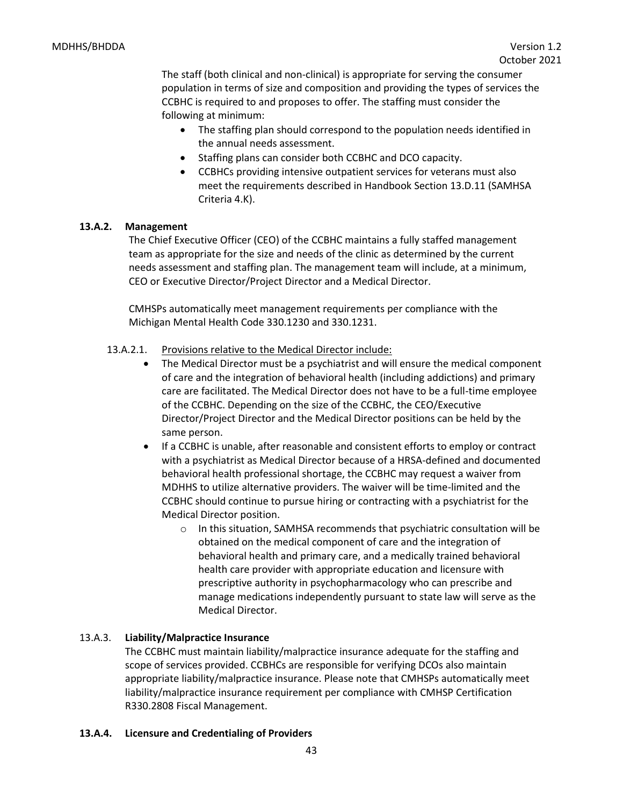The staff (both clinical and non-clinical) is appropriate for serving the consumer population in terms of size and composition and providing the types of services the CCBHC is required to and proposes to offer. The staffing must consider the following at minimum:

- The staffing plan should correspond to the population needs identified in the annual needs assessment.
- Staffing plans can consider both CCBHC and DCO capacity.
- CCBHCs providing intensive outpatient services for veterans must also meet the requirements described in Handbook Section 13.D.11 (SAMHSA Criteria 4.K).

## **13.A.2. Management**

The Chief Executive Officer (CEO) of the CCBHC maintains a fully staffed management team as appropriate for the size and needs of the clinic as determined by the current needs assessment and staffing plan. The management team will include, at a minimum, CEO or Executive Director/Project Director and a Medical Director.

CMHSPs automatically meet management requirements per compliance with the Michigan Mental Health Code 330.1230 and 330.1231.

## 13.A.2.1. Provisions relative to the Medical Director include:

- The Medical Director must be a psychiatrist and will ensure the medical component of care and the integration of behavioral health (including addictions) and primary care are facilitated. The Medical Director does not have to be a full-time employee of the CCBHC. Depending on the size of the CCBHC, the CEO/Executive Director/Project Director and the Medical Director positions can be held by the same person.
- If a CCBHC is unable, after reasonable and consistent efforts to employ or contract with a psychiatrist as Medical Director because of a HRSA-defined and documented behavioral health professional shortage, the CCBHC may request a waiver from MDHHS to utilize alternative providers. The waiver will be time-limited and the CCBHC should continue to pursue hiring or contracting with a psychiatrist for the Medical Director position.
	- $\circ$  In this situation, SAMHSA recommends that psychiatric consultation will be obtained on the medical component of care and the integration of behavioral health and primary care, and a medically trained behavioral health care provider with appropriate education and licensure with prescriptive authority in psychopharmacology who can prescribe and manage medications independently pursuant to state law will serve as the Medical Director.

## 13.A.3. **Liability/Malpractice Insurance**

The CCBHC must maintain liability/malpractice insurance adequate for the staffing and scope of services provided. CCBHCs are responsible for verifying DCOs also maintain appropriate liability/malpractice insurance. Please note that CMHSPs automatically meet liability/malpractice insurance requirement per compliance with CMHSP Certification R330.2808 Fiscal Management.

## **13.A.4. Licensure and Credentialing of Providers**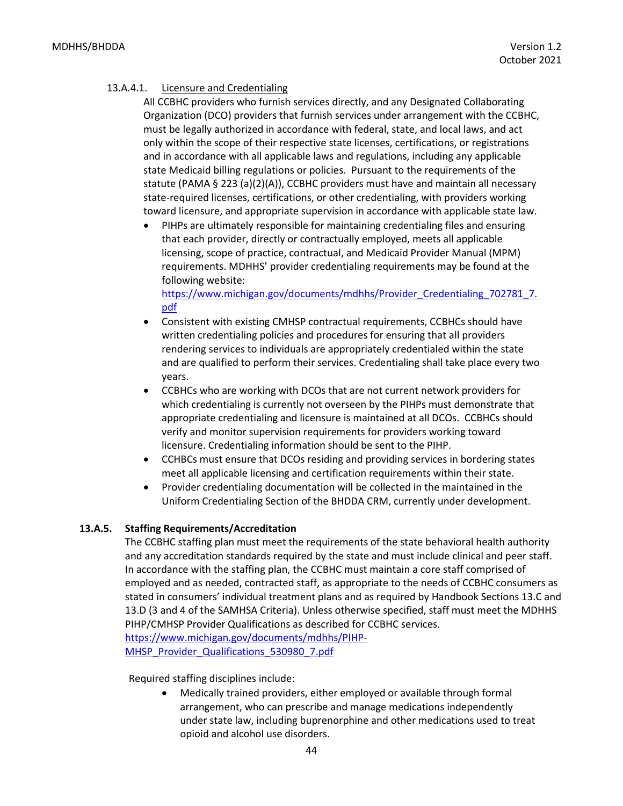## 13.A.4.1. Licensure and Credentialing

All CCBHC providers who furnish services directly, and any Designated Collaborating Organization (DCO) providers that furnish services under arrangement with the CCBHC, must be legally authorized in accordance with federal, state, and local laws, and act only within the scope of their respective state licenses, certifications, or registrations and in accordance with all applicable laws and regulations, including any applicable state Medicaid billing regulations or policies. Pursuant to the requirements of the statute (PAMA § 223 (a)(2)(A)), CCBHC providers must have and maintain all necessary state-required licenses, certifications, or other credentialing, with providers working toward licensure, and appropriate supervision in accordance with applicable state law.

• PIHPs are ultimately responsible for maintaining credentialing files and ensuring that each provider, directly or contractually employed, meets all applicable licensing, scope of practice, contractual, and Medicaid Provider Manual (MPM) requirements. MDHHS' provider credentialing requirements may be found at the following website:

[https://www.michigan.gov/documents/mdhhs/Provider\\_Credentialing\\_702781\\_7.](https://www.michigan.gov/documents/mdhhs/Provider_Credentialing_702781_7.pdf) [pdf](https://www.michigan.gov/documents/mdhhs/Provider_Credentialing_702781_7.pdf)

- Consistent with existing CMHSP contractual requirements, CCBHCs should have written credentialing policies and procedures for ensuring that all providers rendering services to individuals are appropriately credentialed within the state and are qualified to perform their services. Credentialing shall take place every two years.
- CCBHCs who are working with DCOs that are not current network providers for which credentialing is currently not overseen by the PIHPs must demonstrate that appropriate credentialing and licensure is maintained at all DCOs. CCBHCs should verify and monitor supervision requirements for providers working toward licensure. Credentialing information should be sent to the PIHP.
- CCHBCs must ensure that DCOs residing and providing services in bordering states meet all applicable licensing and certification requirements within their state.
- Provider credentialing documentation will be collected in the maintained in the Uniform Credentialing Section of the BHDDA CRM, currently under development.

## **13.A.5. Staffing Requirements/Accreditation**

The CCBHC staffing plan must meet the requirements of the state behavioral health authority and any accreditation standards required by the state and must include clinical and peer staff. In accordance with the staffing plan, the CCBHC must maintain a core staff comprised of employed and as needed, contracted staff, as appropriate to the needs of CCBHC consumers as stated in consumers' individual treatment plans and as required by Handbook Sections 13.C and 13.D (3 and 4 of the SAMHSA Criteria). Unless otherwise specified, staff must meet the MDHHS PIHP/CMHSP Provider Qualifications as described for CCBHC services. [https://www.michigan.gov/documents/mdhhs/PIHP-](https://www.michigan.gov/documents/mdhhs/PIHP-MHSP_Provider_Qualifications_530980_7.pdf)[MHSP\\_Provider\\_Qualifications\\_530980\\_7.pdf](https://www.michigan.gov/documents/mdhhs/PIHP-MHSP_Provider_Qualifications_530980_7.pdf)

#### Required staffing disciplines include:

• Medically trained providers, either employed or available through formal arrangement, who can prescribe and manage medications independently under state law, including buprenorphine and other medications used to treat opioid and alcohol use disorders.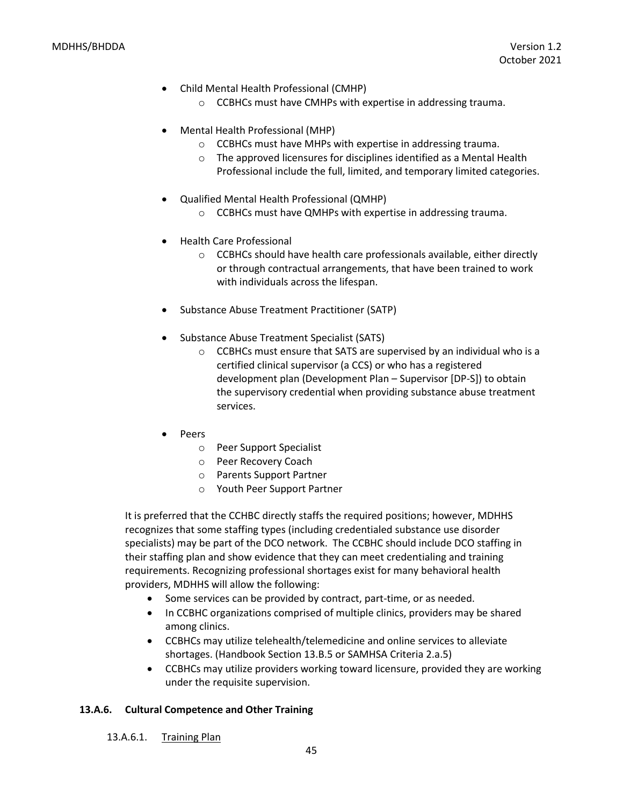- Child Mental Health Professional (CMHP)
	- o CCBHCs must have CMHPs with expertise in addressing trauma.
- Mental Health Professional (MHP)
	- o CCBHCs must have MHPs with expertise in addressing trauma.
	- o The approved licensures for disciplines identified as a Mental Health Professional include the full, limited, and temporary limited categories.
- Qualified Mental Health Professional (QMHP)
	- o CCBHCs must have QMHPs with expertise in addressing trauma.
- Health Care Professional
	- $\circ$  CCBHCs should have health care professionals available, either directly or through contractual arrangements, that have been trained to work with individuals across the lifespan.
- Substance Abuse Treatment Practitioner (SATP)
- Substance Abuse Treatment Specialist (SATS)
	- o CCBHCs must ensure that SATS are supervised by an individual who is a certified clinical supervisor (a CCS) or who has a registered development plan (Development Plan – Supervisor [DP-S]) to obtain the supervisory credential when providing substance abuse treatment services.
- Peers
	- o Peer Support Specialist
	- o Peer Recovery Coach
	- o Parents Support Partner
	- o Youth Peer Support Partner

It is preferred that the CCHBC directly staffs the required positions; however, MDHHS recognizes that some staffing types (including credentialed substance use disorder specialists) may be part of the DCO network. The CCBHC should include DCO staffing in their staffing plan and show evidence that they can meet credentialing and training requirements. Recognizing professional shortages exist for many behavioral health providers, MDHHS will allow the following:

- Some services can be provided by contract, part-time, or as needed.
- In CCBHC organizations comprised of multiple clinics, providers may be shared among clinics.
- CCBHCs may utilize telehealth/telemedicine and online services to alleviate shortages. (Handbook Section 13.B.5 or SAMHSA Criteria 2.a.5)
- CCBHCs may utilize providers working toward licensure, provided they are working under the requisite supervision.

## **13.A.6. Cultural Competence and Other Training**

13.A.6.1. Training Plan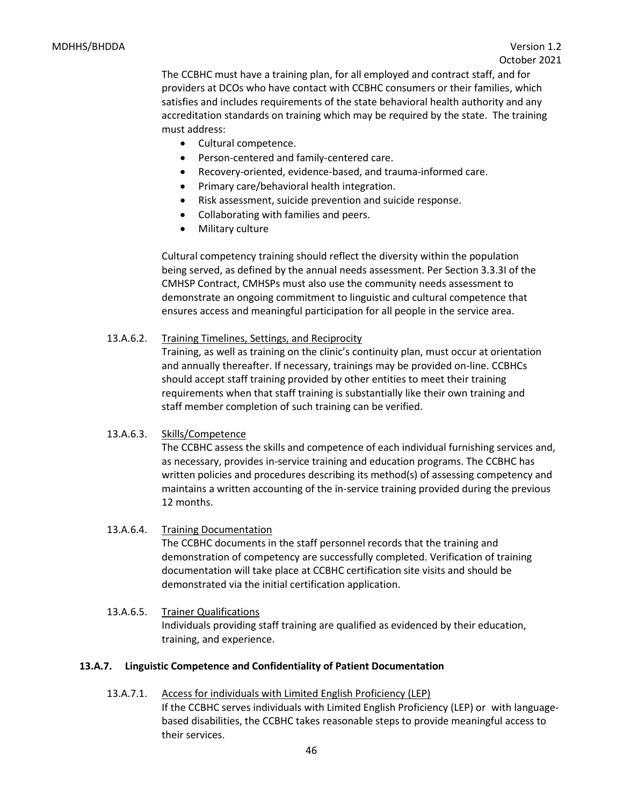The CCBHC must have a training plan, for all employed and contract staff, and for providers at DCOs who have contact with CCBHC consumers or their families, which satisfies and includes requirements of the state behavioral health authority and any accreditation standards on training which may be required by the state. The training must address:

- Cultural competence.
- Person-centered and family-centered care.
- Recovery-oriented, evidence-based, and trauma-informed care.
- Primary care/behavioral health integration.
- Risk assessment, suicide prevention and suicide response.
- Collaborating with families and peers.
- Military culture

Cultural competency training should reflect the diversity within the population being served, as defined by the annual needs assessment. Per Section 3.3.3I of the CMHSP Contract, CMHSPs must also use the community needs assessment to demonstrate an ongoing commitment to linguistic and cultural competence that ensures access and meaningful participation for all people in the service area.

## 13.A.6.2. Training Timelines, Settings, and Reciprocity

Training, as well as training on the clinic's continuity plan, must occur at orientation and annually thereafter. If necessary, trainings may be provided on-line. CCBHCs should accept staff training provided by other entities to meet their training requirements when that staff training is substantially like their own training and staff member completion of such training can be verified.

## 13.A.6.3. Skills/Competence

The CCBHC assess the skills and competence of each individual furnishing services and, as necessary, provides in-service training and education programs. The CCBHC has written policies and procedures describing its method(s) of assessing competency and maintains a written accounting of the in-service training provided during the previous 12 months.

## 13.A.6.4. Training Documentation

The CCBHC documents in the staff personnel records that the training and demonstration of competency are successfully completed. Verification of training documentation will take place at CCBHC certification site visits and should be demonstrated via the initial certification application.

## 13.A.6.5. Trainer Qualifications Individuals providing staff training are qualified as evidenced by their education, training, and experience.

## **13.A.7. Linguistic Competence and Confidentiality of Patient Documentation**

13.A.7.1. Access for individuals with Limited English Proficiency (LEP) If the CCBHC serves individuals with Limited English Proficiency (LEP) or with languagebased disabilities, the CCBHC takes reasonable steps to provide meaningful access to their services.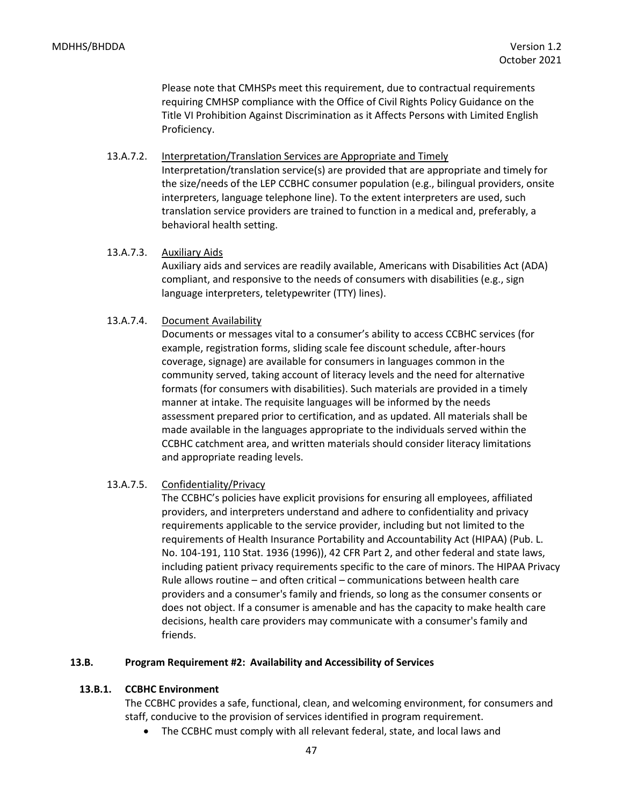Please note that CMHSPs meet this requirement, due to contractual requirements requiring CMHSP compliance with the Office of Civil Rights Policy Guidance on the Title VI Prohibition Against Discrimination as it Affects Persons with Limited English Proficiency.

13.A.7.2. Interpretation/Translation Services are Appropriate and Timely Interpretation/translation service(s) are provided that are appropriate and timely for

the size/needs of the LEP CCBHC consumer population (e.g., bilingual providers, onsite interpreters, language telephone line). To the extent interpreters are used, such translation service providers are trained to function in a medical and, preferably, a behavioral health setting.

#### 13.A.7.3. Auxiliary Aids

Auxiliary aids and services are readily available, Americans with Disabilities Act (ADA) compliant, and responsive to the needs of consumers with disabilities (e.g., sign language interpreters, teletypewriter (TTY) lines).

#### 13.A.7.4. Document Availability

Documents or messages vital to a consumer's ability to access CCBHC services (for example, registration forms, sliding scale fee discount schedule, after-hours coverage, signage) are available for consumers in languages common in the community served, taking account of literacy levels and the need for alternative formats (for consumers with disabilities). Such materials are provided in a timely manner at intake. The requisite languages will be informed by the needs assessment prepared prior to certification, and as updated. All materials shall be made available in the languages appropriate to the individuals served within the CCBHC catchment area, and written materials should consider literacy limitations and appropriate reading levels.

## 13.A.7.5. Confidentiality/Privacy

The CCBHC's policies have explicit provisions for ensuring all employees, affiliated providers, and interpreters understand and adhere to confidentiality and privacy requirements applicable to the service provider, including but not limited to the requirements of Health Insurance Portability and Accountability Act (HIPAA) (Pub. L. No. 104-191, 110 Stat. 1936 (1996)), 42 CFR Part 2, and other federal and state laws, including patient privacy requirements specific to the care of minors. The HIPAA Privacy Rule allows routine – and often critical – communications between health care providers and a consumer's family and friends, so long as the consumer consents or does not object. If a consumer is amenable and has the capacity to make health care decisions, health care providers may communicate with a consumer's family and friends.

#### **13.B. Program Requirement #2: Availability and Accessibility of Services**

## **13.B.1. CCBHC Environment**

The CCBHC provides a safe, functional, clean, and welcoming environment, for consumers and staff, conducive to the provision of services identified in program requirement.

• The CCBHC must comply with all relevant federal, state, and local laws and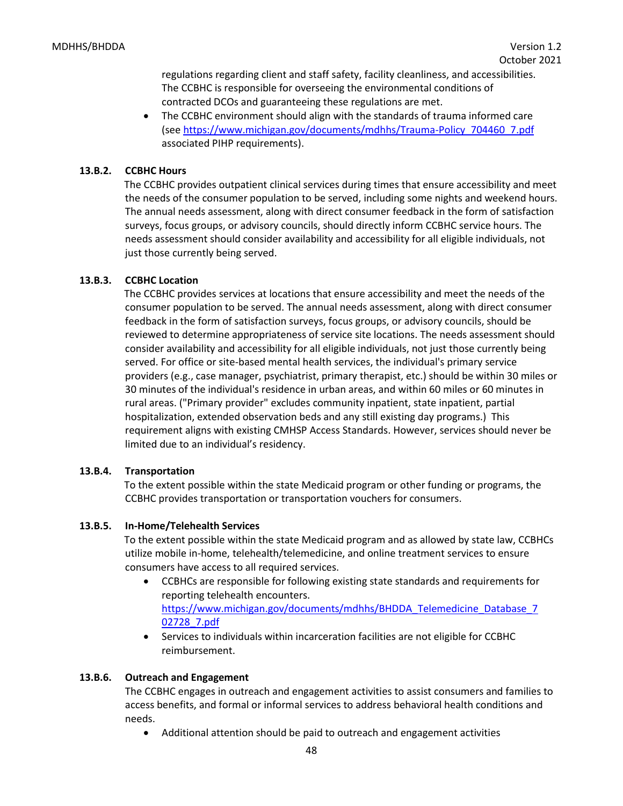regulations regarding client and staff safety, facility cleanliness, and accessibilities. The CCBHC is responsible for overseeing the environmental conditions of contracted DCOs and guaranteeing these regulations are met.

• The CCBHC environment should align with the standards of trauma informed care (see [https://www.michigan.gov/documents/mdhhs/Trauma-Policy\\_704460\\_7.pdf](https://www.michigan.gov/documents/mdhhs/Trauma-Policy_704460_7.pdf) associated PIHP requirements).

## **13.B.2. CCBHC Hours**

The CCBHC provides outpatient clinical services during times that ensure accessibility and meet the needs of the consumer population to be served, including some nights and weekend hours. The annual needs assessment, along with direct consumer feedback in the form of satisfaction surveys, focus groups, or advisory councils, should directly inform CCBHC service hours. The needs assessment should consider availability and accessibility for all eligible individuals, not just those currently being served.

## **13.B.3. CCBHC Location**

The CCBHC provides services at locations that ensure accessibility and meet the needs of the consumer population to be served. The annual needs assessment, along with direct consumer feedback in the form of satisfaction surveys, focus groups, or advisory councils, should be reviewed to determine appropriateness of service site locations. The needs assessment should consider availability and accessibility for all eligible individuals, not just those currently being served. For office or site-based mental health services, the individual's primary service providers (e.g., case manager, psychiatrist, primary therapist, etc.) should be within 30 miles or 30 minutes of the individual's residence in urban areas, and within 60 miles or 60 minutes in rural areas. ("Primary provider" excludes community inpatient, state inpatient, partial hospitalization, extended observation beds and any still existing day programs.) This requirement aligns with existing CMHSP Access Standards. However, services should never be limited due to an individual's residency.

## **13.B.4. Transportation**

To the extent possible within the state Medicaid program or other funding or programs, the CCBHC provides transportation or transportation vouchers for consumers.

## **13.B.5. In-Home/Telehealth Services**

To the extent possible within the state Medicaid program and as allowed by state law, CCBHCs utilize mobile in-home, telehealth/telemedicine, and online treatment services to ensure consumers have access to all required services.

- CCBHCs are responsible for following existing state standards and requirements for reporting telehealth encounters. [https://www.michigan.gov/documents/mdhhs/BHDDA\\_Telemedicine\\_Database\\_7](https://www.michigan.gov/documents/mdhhs/BHDDA_Telemedicine_Database_702728_7.pdf) [02728\\_7.pdf](https://www.michigan.gov/documents/mdhhs/BHDDA_Telemedicine_Database_702728_7.pdf)
- Services to individuals within incarceration facilities are not eligible for CCBHC reimbursement.

## **13.B.6. Outreach and Engagement**

The CCBHC engages in outreach and engagement activities to assist consumers and families to access benefits, and formal or informal services to address behavioral health conditions and needs.

• Additional attention should be paid to outreach and engagement activities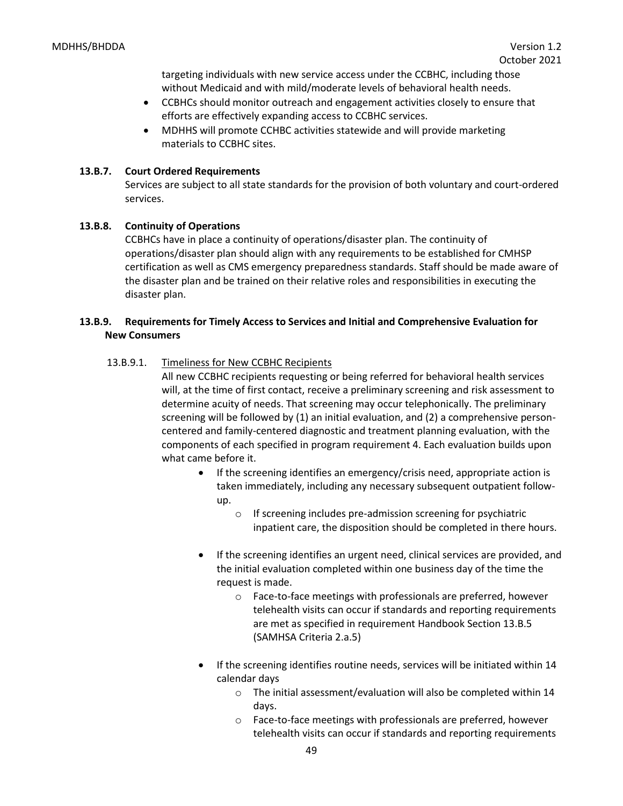targeting individuals with new service access under the CCBHC, including those without Medicaid and with mild/moderate levels of behavioral health needs.

- CCBHCs should monitor outreach and engagement activities closely to ensure that efforts are effectively expanding access to CCBHC services.
- MDHHS will promote CCHBC activities statewide and will provide marketing materials to CCBHC sites.

## **13.B.7. Court Ordered Requirements**

Services are subject to all state standards for the provision of both voluntary and court-ordered services.

## **13.B.8. Continuity of Operations**

CCBHCs have in place a continuity of operations/disaster plan. The continuity of operations/disaster plan should align with any requirements to be established for CMHSP certification as well as CMS emergency preparedness standards. Staff should be made aware of the disaster plan and be trained on their relative roles and responsibilities in executing the disaster plan.

## **13.B.9. Requirements for Timely Access to Services and Initial and Comprehensive Evaluation for New Consumers**

## 13.B.9.1. Timeliness for New CCBHC Recipients

All new CCBHC recipients requesting or being referred for behavioral health services will, at the time of first contact, receive a preliminary screening and risk assessment to determine acuity of needs. That screening may occur telephonically. The preliminary screening will be followed by (1) an initial evaluation, and (2) a comprehensive personcentered and family-centered diagnostic and treatment planning evaluation, with the components of each specified in program requirement 4. Each evaluation builds upon what came before it.

- If the screening identifies an emergency/crisis need, appropriate action is taken immediately, including any necessary subsequent outpatient followup.
	- o If screening includes pre-admission screening for psychiatric inpatient care, the disposition should be completed in there hours.
- If the screening identifies an urgent need, clinical services are provided, and the initial evaluation completed within one business day of the time the request is made.
	- o Face-to-face meetings with professionals are preferred, however telehealth visits can occur if standards and reporting requirements are met as specified in requirement Handbook Section 13.B.5 (SAMHSA Criteria 2.a.5)
- If the screening identifies routine needs, services will be initiated within 14 calendar days
	- o The initial assessment/evaluation will also be completed within 14 days.
	- o Face-to-face meetings with professionals are preferred, however telehealth visits can occur if standards and reporting requirements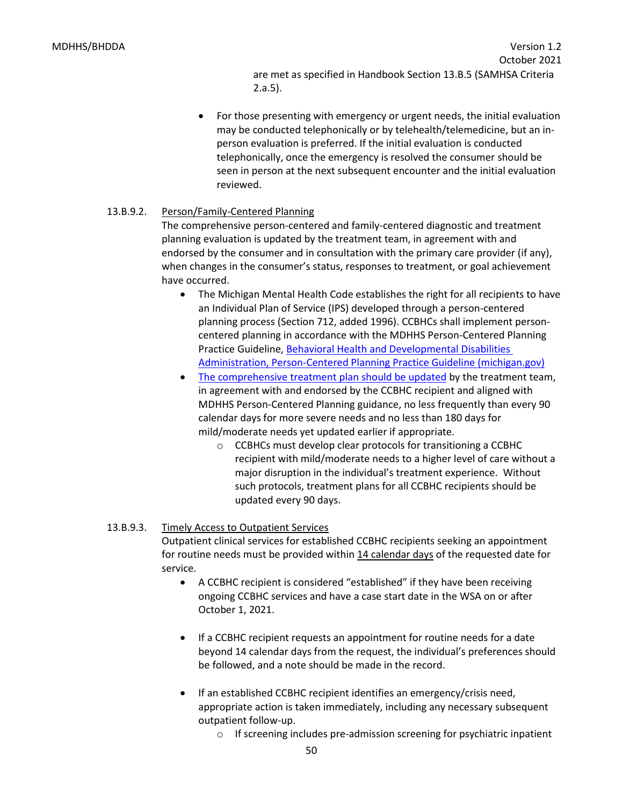are met as specified in Handbook Section 13.B.5 (SAMHSA Criteria 2.a.5).

• For those presenting with emergency or urgent needs, the initial evaluation may be conducted telephonically or by telehealth/telemedicine, but an inperson evaluation is preferred. If the initial evaluation is conducted telephonically, once the emergency is resolved the consumer should be seen in person at the next subsequent encounter and the initial evaluation reviewed.

## 13.B.9.2. Person/Family-Centered Planning

The comprehensive person-centered and family-centered diagnostic and treatment planning evaluation is updated by the treatment team, in agreement with and endorsed by the consumer and in consultation with the primary care provider (if any), when changes in the consumer's status, responses to treatment, or goal achievement have occurred.

- The Michigan Mental Health Code establishes the right for all recipients to have an Individual Plan of Service (IPS) developed through a person-centered planning process (Section 712, added 1996). CCBHCs shall implement personcentered planning in accordance with the MDHHS Person-Centered Planning Practice Guideline, [Behavioral Health and Developmental Disabilities](https://www.michigan.gov/documents/mdhhs/Person-Centered_Planning_Practice_Guideline_702780_7.pdf)  [Administration, Person-Centered Planning Practice Guideline \(michigan.gov\)](https://www.michigan.gov/documents/mdhhs/Person-Centered_Planning_Practice_Guideline_702780_7.pdf)
- [The comprehensive treatment plan should be updated](https://www.michigan.gov/documents/mdhhs/Person-Centered_Planning_Practice_Guideline_702780_7.pdf) by the treatment team, in agreement with and endorsed by the CCBHC recipient and aligned with MDHHS Person-Centered Planning guidance, no less frequently than every 90 calendar days for more severe needs and no less than 180 days for mild/moderate needs yet updated earlier if appropriate.
	- o CCBHCs must develop clear protocols for transitioning a CCBHC recipient with mild/moderate needs to a higher level of care without a major disruption in the individual's treatment experience. Without such protocols, treatment plans for all CCBHC recipients should be updated every 90 days.

## 13.B.9.3. Timely Access to Outpatient Services

Outpatient clinical services for established CCBHC recipients seeking an appointment for routine needs must be provided within 14 calendar days of the requested date for service.

- A CCBHC recipient is considered "established" if they have been receiving ongoing CCBHC services and have a case start date in the WSA on or after October 1, 2021.
- If a CCBHC recipient requests an appointment for routine needs for a date beyond 14 calendar days from the request, the individual's preferences should be followed, and a note should be made in the record.
- If an established CCBHC recipient identifies an emergency/crisis need, appropriate action is taken immediately, including any necessary subsequent outpatient follow-up.
	- o If screening includes pre-admission screening for psychiatric inpatient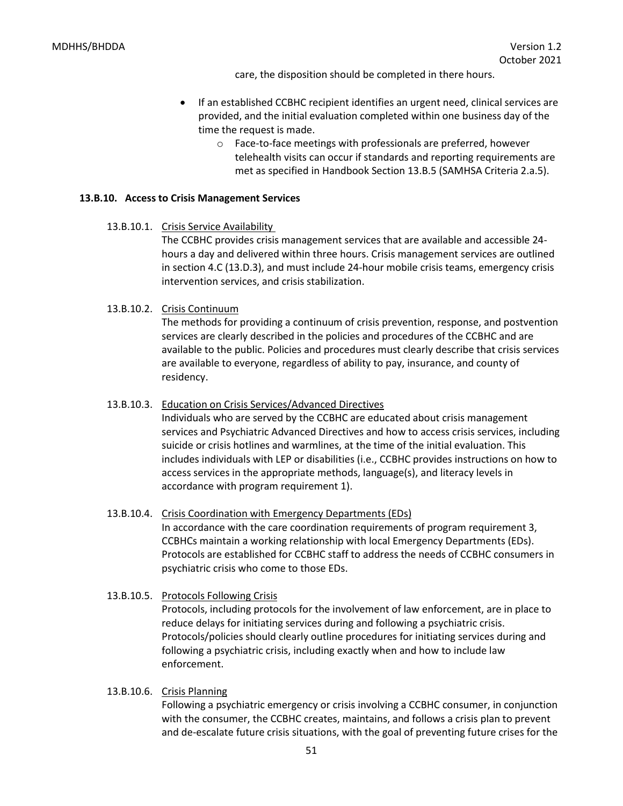care, the disposition should be completed in there hours.

- If an established CCBHC recipient identifies an urgent need, clinical services are provided, and the initial evaluation completed within one business day of the time the request is made.
	- o Face-to-face meetings with professionals are preferred, however telehealth visits can occur if standards and reporting requirements are met as specified in Handbook Section 13.B.5 (SAMHSA Criteria 2.a.5).

#### **13.B.10. Access to Crisis Management Services**

13.B.10.1. Crisis Service Availability

The CCBHC provides crisis management services that are available and accessible 24 hours a day and delivered within three hours. Crisis management services are outlined in section 4.C (13.D.3), and must include 24-hour mobile crisis teams, emergency crisis intervention services, and crisis stabilization.

13.B.10.2. Crisis Continuum

The methods for providing a continuum of crisis prevention, response, and postvention services are clearly described in the policies and procedures of the CCBHC and are available to the public. Policies and procedures must clearly describe that crisis services are available to everyone, regardless of ability to pay, insurance, and county of residency.

13.B.10.3. Education on Crisis Services/Advanced Directives

Individuals who are served by the CCBHC are educated about crisis management services and Psychiatric Advanced Directives and how to access crisis services, including suicide or crisis hotlines and warmlines, at the time of the initial evaluation. This includes individuals with LEP or disabilities (i.e., CCBHC provides instructions on how to access services in the appropriate methods, language(s), and literacy levels in accordance with program requirement 1).

13.B.10.4. Crisis Coordination with Emergency Departments (EDs) In accordance with the care coordination requirements of program requirement 3, CCBHCs maintain a working relationship with local Emergency Departments (EDs). Protocols are established for CCBHC staff to address the needs of CCBHC consumers in psychiatric crisis who come to those EDs.

#### 13.B.10.5. Protocols Following Crisis

Protocols, including protocols for the involvement of law enforcement, are in place to reduce delays for initiating services during and following a psychiatric crisis. Protocols/policies should clearly outline procedures for initiating services during and following a psychiatric crisis, including exactly when and how to include law enforcement.

#### 13.B.10.6. Crisis Planning

Following a psychiatric emergency or crisis involving a CCBHC consumer, in conjunction with the consumer, the CCBHC creates, maintains, and follows a crisis plan to prevent and de-escalate future crisis situations, with the goal of preventing future crises for the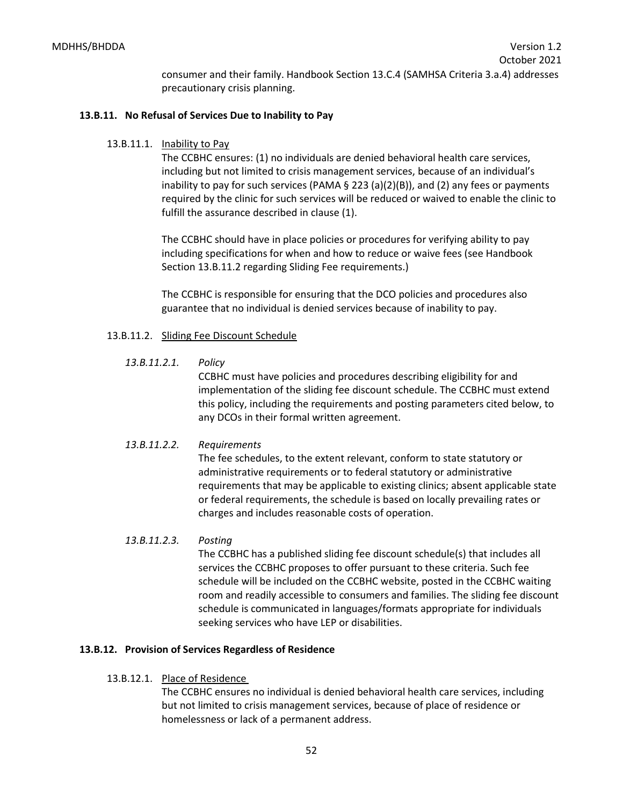consumer and their family. Handbook Section 13.C.4 (SAMHSA Criteria 3.a.4) addresses precautionary crisis planning.

## **13.B.11. No Refusal of Services Due to Inability to Pay**

#### 13.B.11.1. Inability to Pay

The CCBHC ensures: (1) no individuals are denied behavioral health care services, including but not limited to crisis management services, because of an individual's inability to pay for such services (PAMA  $\S$  223 (a)(2)(B)), and (2) any fees or payments required by the clinic for such services will be reduced or waived to enable the clinic to fulfill the assurance described in clause (1).

The CCBHC should have in place policies or procedures for verifying ability to pay including specifications for when and how to reduce or waive fees (see Handbook Section 13.B.11.2 regarding Sliding Fee requirements.)

The CCBHC is responsible for ensuring that the DCO policies and procedures also guarantee that no individual is denied services because of inability to pay.

#### 13.B.11.2. Sliding Fee Discount Schedule

*13.B.11.2.1. Policy*

CCBHC must have policies and procedures describing eligibility for and implementation of the sliding fee discount schedule. The CCBHC must extend this policy, including the requirements and posting parameters cited below, to any DCOs in their formal written agreement.

#### *13.B.11.2.2. Requirements*

The fee schedules, to the extent relevant, conform to state statutory or administrative requirements or to federal statutory or administrative requirements that may be applicable to existing clinics; absent applicable state or federal requirements, the schedule is based on locally prevailing rates or charges and includes reasonable costs of operation.

## *13.B.11.2.3. Posting*

The CCBHC has a published sliding fee discount schedule(s) that includes all services the CCBHC proposes to offer pursuant to these criteria. Such fee schedule will be included on the CCBHC website, posted in the CCBHC waiting room and readily accessible to consumers and families. The sliding fee discount schedule is communicated in languages/formats appropriate for individuals seeking services who have LEP or disabilities.

## **13.B.12. Provision of Services Regardless of Residence**

## 13.B.12.1. Place of Residence

The CCBHC ensures no individual is denied behavioral health care services, including but not limited to crisis management services, because of place of residence or homelessness or lack of a permanent address.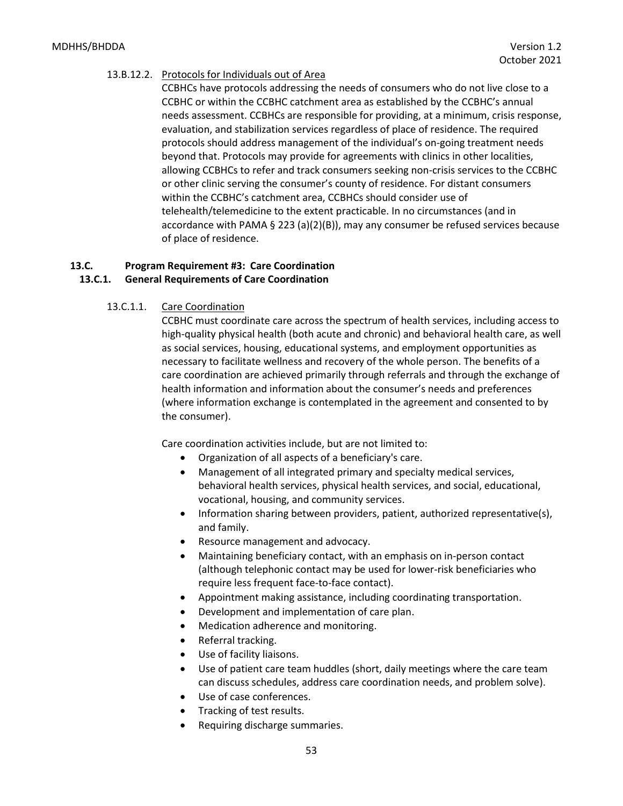#### 13.B.12.2. Protocols for Individuals out of Area

CCBHCs have protocols addressing the needs of consumers who do not live close to a CCBHC or within the CCBHC catchment area as established by the CCBHC's annual needs assessment. CCBHCs are responsible for providing, at a minimum, crisis response, evaluation, and stabilization services regardless of place of residence. The required protocols should address management of the individual's on-going treatment needs beyond that. Protocols may provide for agreements with clinics in other localities, allowing CCBHCs to refer and track consumers seeking non-crisis services to the CCBHC or other clinic serving the consumer's county of residence. For distant consumers within the CCBHC's catchment area, CCBHCs should consider use of telehealth/telemedicine to the extent practicable. In no circumstances (and in accordance with PAMA § 223 (a)(2)(B)), may any consumer be refused services because of place of residence.

## **13.C. Program Requirement #3: Care Coordination 13.C.1. General Requirements of Care Coordination**

# 13.C.1.1. Care Coordination

CCBHC must coordinate care across the spectrum of health services, including access to high-quality physical health (both acute and chronic) and behavioral health care, as well as social services, housing, educational systems, and employment opportunities as necessary to facilitate wellness and recovery of the whole person. The benefits of a care coordination are achieved primarily through referrals and through the exchange of health information and information about the consumer's needs and preferences (where information exchange is contemplated in the agreement and consented to by the consumer).

Care coordination activities include, but are not limited to:

- Organization of all aspects of a beneficiary's care.
- Management of all integrated primary and specialty medical services, behavioral health services, physical health services, and social, educational, vocational, housing, and community services.
- Information sharing between providers, patient, authorized representative(s), and family.
- Resource management and advocacy.
- Maintaining beneficiary contact, with an emphasis on in-person contact (although telephonic contact may be used for lower-risk beneficiaries who require less frequent face-to-face contact).
- Appointment making assistance, including coordinating transportation.
- Development and implementation of care plan.
- Medication adherence and monitoring.
- Referral tracking.
- Use of facility liaisons.
- Use of patient care team huddles (short, daily meetings where the care team can discuss schedules, address care coordination needs, and problem solve).
- Use of case conferences.
- Tracking of test results.
- Requiring discharge summaries.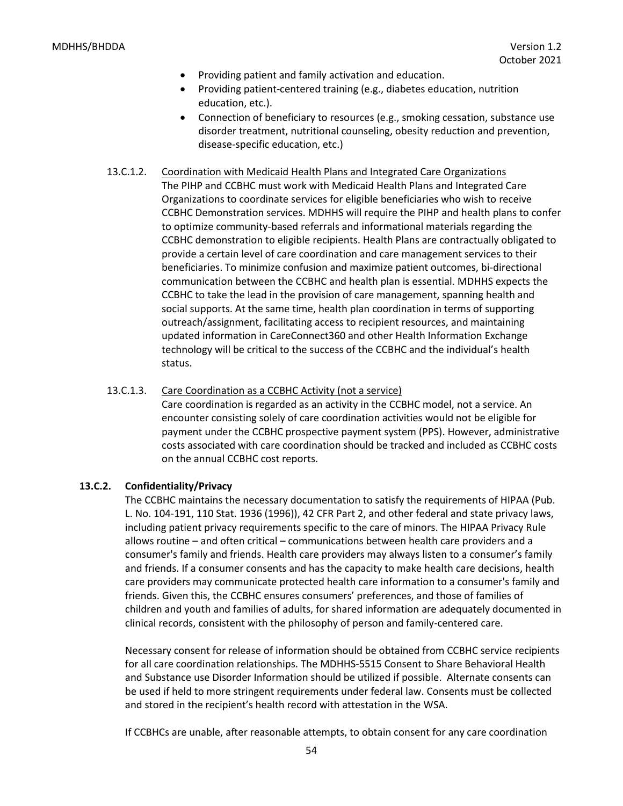- Providing patient and family activation and education.
- Providing patient-centered training (e.g., diabetes education, nutrition education, etc.).
- Connection of beneficiary to resources (e.g., smoking cessation, substance use disorder treatment, nutritional counseling, obesity reduction and prevention, disease-specific education, etc.)

# 13.C.1.2. Coordination with Medicaid Health Plans and Integrated Care Organizations

The PIHP and CCBHC must work with Medicaid Health Plans and Integrated Care Organizations to coordinate services for eligible beneficiaries who wish to receive CCBHC Demonstration services. MDHHS will require the PIHP and health plans to confer to optimize community-based referrals and informational materials regarding the CCBHC demonstration to eligible recipients. Health Plans are contractually obligated to provide a certain level of care coordination and care management services to their beneficiaries. To minimize confusion and maximize patient outcomes, bi-directional communication between the CCBHC and health plan is essential. MDHHS expects the CCBHC to take the lead in the provision of care management, spanning health and social supports. At the same time, health plan coordination in terms of supporting outreach/assignment, facilitating access to recipient resources, and maintaining updated information in CareConnect360 and other Health Information Exchange technology will be critical to the success of the CCBHC and the individual's health status.

#### 13.C.1.3. Care Coordination as a CCBHC Activity (not a service)

Care coordination is regarded as an activity in the CCBHC model, not a service. An encounter consisting solely of care coordination activities would not be eligible for payment under the CCBHC prospective payment system (PPS). However, administrative costs associated with care coordination should be tracked and included as CCBHC costs on the annual CCBHC cost reports.

#### **13.C.2. Confidentiality/Privacy**

The CCBHC maintains the necessary documentation to satisfy the requirements of HIPAA (Pub. L. No. 104-191, 110 Stat. 1936 (1996)), 42 CFR Part 2, and other federal and state privacy laws, including patient privacy requirements specific to the care of minors. The HIPAA Privacy Rule allows routine – and often critical – communications between health care providers and a consumer's family and friends. Health care providers may always listen to a consumer's family and friends. If a consumer consents and has the capacity to make health care decisions, health care providers may communicate protected health care information to a consumer's family and friends. Given this, the CCBHC ensures consumers' preferences, and those of families of children and youth and families of adults, for shared information are adequately documented in clinical records, consistent with the philosophy of person and family-centered care.

Necessary consent for release of information should be obtained from CCBHC service recipients for all care coordination relationships. The MDHHS-5515 Consent to Share Behavioral Health and Substance use Disorder Information should be utilized if possible. Alternate consents can be used if held to more stringent requirements under federal law. Consents must be collected and stored in the recipient's health record with attestation in the WSA.

If CCBHCs are unable, after reasonable attempts, to obtain consent for any care coordination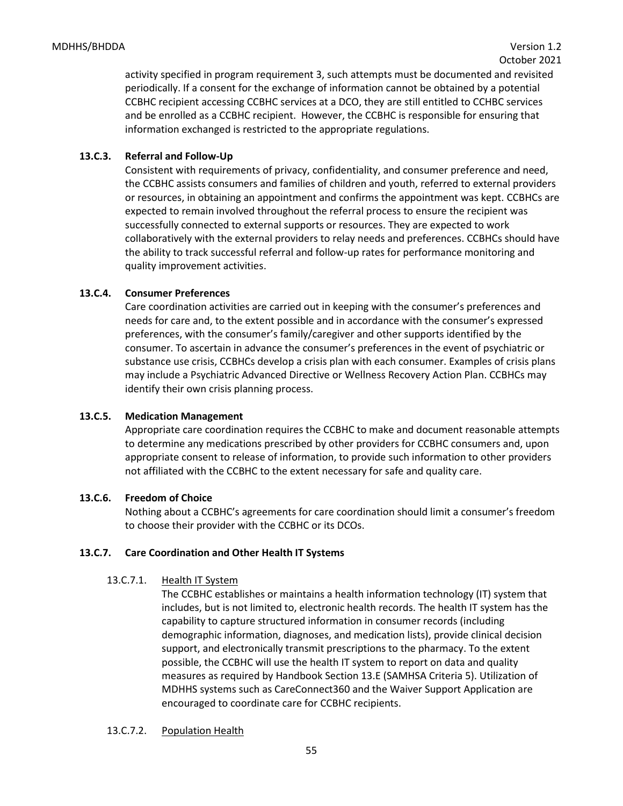activity specified in program requirement 3, such attempts must be documented and revisited periodically. If a consent for the exchange of information cannot be obtained by a potential CCBHC recipient accessing CCBHC services at a DCO, they are still entitled to CCHBC services and be enrolled as a CCBHC recipient. However, the CCBHC is responsible for ensuring that information exchanged is restricted to the appropriate regulations.

## **13.C.3. Referral and Follow-Up**

Consistent with requirements of privacy, confidentiality, and consumer preference and need, the CCBHC assists consumers and families of children and youth, referred to external providers or resources, in obtaining an appointment and confirms the appointment was kept. CCBHCs are expected to remain involved throughout the referral process to ensure the recipient was successfully connected to external supports or resources. They are expected to work collaboratively with the external providers to relay needs and preferences. CCBHCs should have the ability to track successful referral and follow-up rates for performance monitoring and quality improvement activities.

## **13.C.4. Consumer Preferences**

Care coordination activities are carried out in keeping with the consumer's preferences and needs for care and, to the extent possible and in accordance with the consumer's expressed preferences, with the consumer's family/caregiver and other supports identified by the consumer. To ascertain in advance the consumer's preferences in the event of psychiatric or substance use crisis, CCBHCs develop a crisis plan with each consumer. Examples of crisis plans may include a Psychiatric Advanced Directive or Wellness Recovery Action Plan. CCBHCs may identify their own crisis planning process.

## **13.C.5. Medication Management**

Appropriate care coordination requires the CCBHC to make and document reasonable attempts to determine any medications prescribed by other providers for CCBHC consumers and, upon appropriate consent to release of information, to provide such information to other providers not affiliated with the CCBHC to the extent necessary for safe and quality care.

## **13.C.6. Freedom of Choice**

Nothing about a CCBHC's agreements for care coordination should limit a consumer's freedom to choose their provider with the CCBHC or its DCOs.

## **13.C.7. Care Coordination and Other Health IT Systems**

## 13.C.7.1. Health IT System

The CCBHC establishes or maintains a health information technology (IT) system that includes, but is not limited to, electronic health records. The health IT system has the capability to capture structured information in consumer records (including demographic information, diagnoses, and medication lists), provide clinical decision support, and electronically transmit prescriptions to the pharmacy. To the extent possible, the CCBHC will use the health IT system to report on data and quality measures as required by Handbook Section 13.E (SAMHSA Criteria 5). Utilization of MDHHS systems such as CareConnect360 and the Waiver Support Application are encouraged to coordinate care for CCBHC recipients.

## 13.C.7.2. Population Health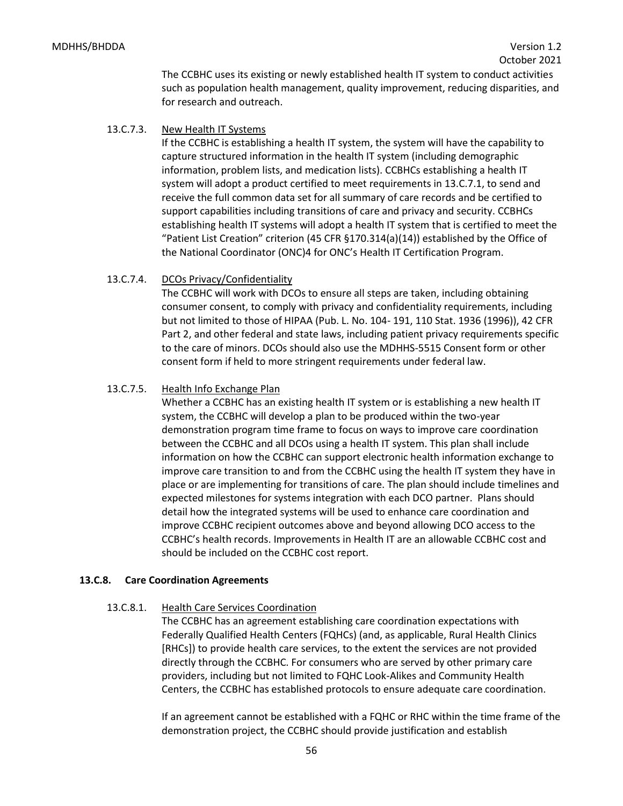The CCBHC uses its existing or newly established health IT system to conduct activities such as population health management, quality improvement, reducing disparities, and for research and outreach.

13.C.7.3. New Health IT Systems

If the CCBHC is establishing a health IT system, the system will have the capability to capture structured information in the health IT system (including demographic information, problem lists, and medication lists). CCBHCs establishing a health IT system will adopt a product certified to meet requirements in 13.C.7.1, to send and receive the full common data set for all summary of care records and be certified to support capabilities including transitions of care and privacy and security. CCBHCs establishing health IT systems will adopt a health IT system that is certified to meet the "Patient List Creation" criterion (45 CFR  $\S 170.314(a)(14)$ ) established by the Office of the National Coordinator (ONC)4 for ONC's Health IT Certification Program.

13.C.7.4. DCOs Privacy/Confidentiality

The CCBHC will work with DCOs to ensure all steps are taken, including obtaining consumer consent, to comply with privacy and confidentiality requirements, including but not limited to those of HIPAA (Pub. L. No. 104- 191, 110 Stat. 1936 (1996)), 42 CFR Part 2, and other federal and state laws, including patient privacy requirements specific to the care of minors. DCOs should also use the MDHHS-5515 Consent form or other consent form if held to more stringent requirements under federal law.

## 13.C.7.5. Health Info Exchange Plan

Whether a CCBHC has an existing health IT system or is establishing a new health IT system, the CCBHC will develop a plan to be produced within the two-year demonstration program time frame to focus on ways to improve care coordination between the CCBHC and all DCOs using a health IT system. This plan shall include information on how the CCBHC can support electronic health information exchange to improve care transition to and from the CCBHC using the health IT system they have in place or are implementing for transitions of care. The plan should include timelines and expected milestones for systems integration with each DCO partner. Plans should detail how the integrated systems will be used to enhance care coordination and improve CCBHC recipient outcomes above and beyond allowing DCO access to the CCBHC's health records. Improvements in Health IT are an allowable CCBHC cost and should be included on the CCBHC cost report.

## **13.C.8. Care Coordination Agreements**

## 13.C.8.1. Health Care Services Coordination

The CCBHC has an agreement establishing care coordination expectations with Federally Qualified Health Centers (FQHCs) (and, as applicable, Rural Health Clinics [RHCs]) to provide health care services, to the extent the services are not provided directly through the CCBHC. For consumers who are served by other primary care providers, including but not limited to FQHC Look-Alikes and Community Health Centers, the CCBHC has established protocols to ensure adequate care coordination.

If an agreement cannot be established with a FQHC or RHC within the time frame of the demonstration project, the CCBHC should provide justification and establish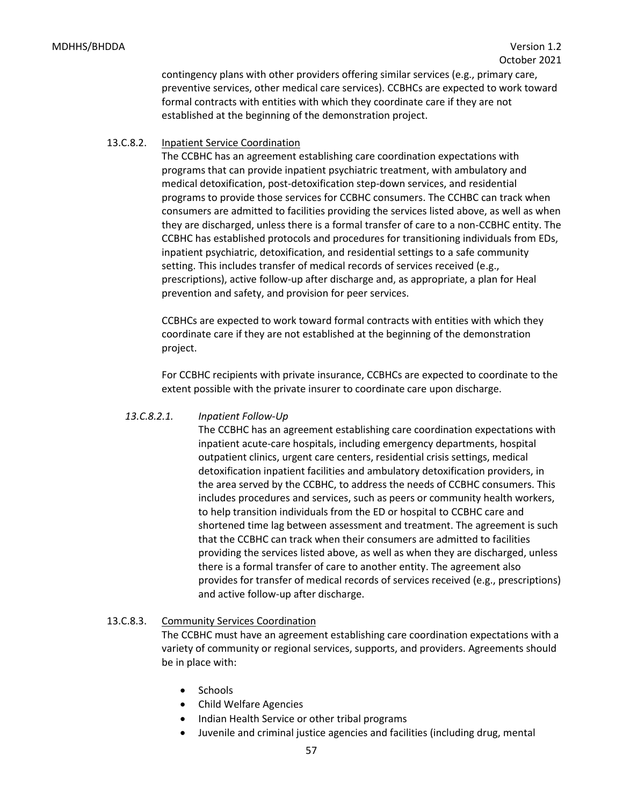contingency plans with other providers offering similar services (e.g., primary care, preventive services, other medical care services). CCBHCs are expected to work toward formal contracts with entities with which they coordinate care if they are not established at the beginning of the demonstration project.

## 13.C.8.2. Inpatient Service Coordination

The CCBHC has an agreement establishing care coordination expectations with programs that can provide inpatient psychiatric treatment, with ambulatory and medical detoxification, post-detoxification step-down services, and residential programs to provide those services for CCBHC consumers. The CCHBC can track when consumers are admitted to facilities providing the services listed above, as well as when they are discharged, unless there is a formal transfer of care to a non-CCBHC entity. The CCBHC has established protocols and procedures for transitioning individuals from EDs, inpatient psychiatric, detoxification, and residential settings to a safe community setting. This includes transfer of medical records of services received (e.g., prescriptions), active follow-up after discharge and, as appropriate, a plan for Heal prevention and safety, and provision for peer services.

CCBHCs are expected to work toward formal contracts with entities with which they coordinate care if they are not established at the beginning of the demonstration project.

For CCBHC recipients with private insurance, CCBHCs are expected to coordinate to the extent possible with the private insurer to coordinate care upon discharge.

## *13.C.8.2.1. Inpatient Follow-Up*

The CCBHC has an agreement establishing care coordination expectations with inpatient acute-care hospitals, including emergency departments, hospital outpatient clinics, urgent care centers, residential crisis settings, medical detoxification inpatient facilities and ambulatory detoxification providers, in the area served by the CCBHC, to address the needs of CCBHC consumers. This includes procedures and services, such as peers or community health workers, to help transition individuals from the ED or hospital to CCBHC care and shortened time lag between assessment and treatment. The agreement is such that the CCBHC can track when their consumers are admitted to facilities providing the services listed above, as well as when they are discharged, unless there is a formal transfer of care to another entity. The agreement also provides for transfer of medical records of services received (e.g., prescriptions) and active follow-up after discharge.

## 13.C.8.3. Community Services Coordination

The CCBHC must have an agreement establishing care coordination expectations with a variety of community or regional services, supports, and providers. Agreements should be in place with:

- Schools
- Child Welfare Agencies
- Indian Health Service or other tribal programs
- Juvenile and criminal justice agencies and facilities (including drug, mental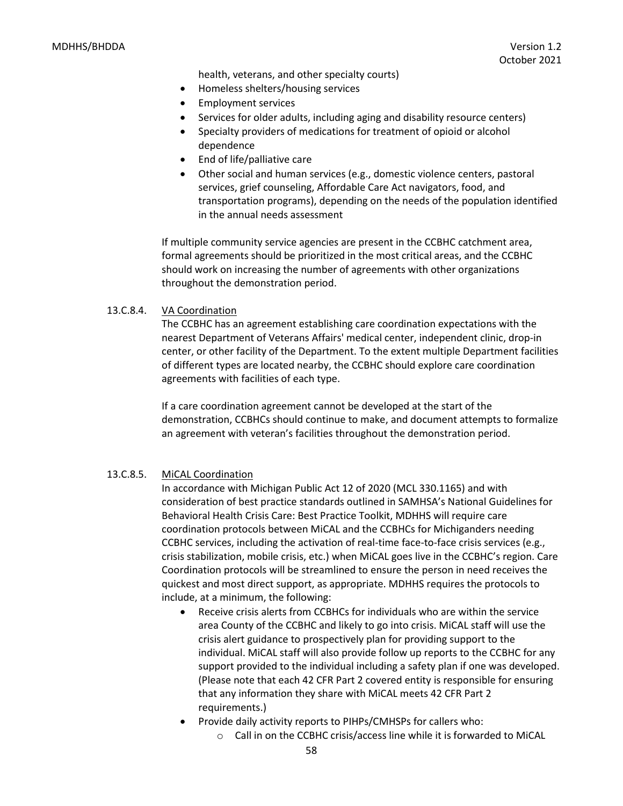health, veterans, and other specialty courts)

- Homeless shelters/housing services
- Employment services
- Services for older adults, including aging and disability resource centers)
- Specialty providers of medications for treatment of opioid or alcohol dependence
- End of life/palliative care
- Other social and human services (e.g., domestic violence centers, pastoral services, grief counseling, Affordable Care Act navigators, food, and transportation programs), depending on the needs of the population identified in the annual needs assessment

If multiple community service agencies are present in the CCBHC catchment area, formal agreements should be prioritized in the most critical areas, and the CCBHC should work on increasing the number of agreements with other organizations throughout the demonstration period.

#### 13.C.8.4. VA Coordination

The CCBHC has an agreement establishing care coordination expectations with the nearest Department of Veterans Affairs' medical center, independent clinic, drop-in center, or other facility of the Department. To the extent multiple Department facilities of different types are located nearby, the CCBHC should explore care coordination agreements with facilities of each type.

If a care coordination agreement cannot be developed at the start of the demonstration, CCBHCs should continue to make, and document attempts to formalize an agreement with veteran's facilities throughout the demonstration period.

#### 13.C.8.5. MiCAL Coordination

In accordance with Michigan Public Act 12 of 2020 (MCL 330.1165) and with consideration of best practice standards outlined in SAMHSA's National Guidelines for Behavioral Health Crisis Care: Best Practice Toolkit, MDHHS will require care coordination protocols between MiCAL and the CCBHCs for Michiganders needing CCBHC services, including the activation of real-time face-to-face crisis services (e.g., crisis stabilization, mobile crisis, etc.) when MiCAL goes live in the CCBHC's region. Care Coordination protocols will be streamlined to ensure the person in need receives the quickest and most direct support, as appropriate. MDHHS requires the protocols to include, at a minimum, the following:

- Receive crisis alerts from CCBHCs for individuals who are within the service area County of the CCBHC and likely to go into crisis. MiCAL staff will use the crisis alert guidance to prospectively plan for providing support to the individual. MiCAL staff will also provide follow up reports to the CCBHC for any support provided to the individual including a safety plan if one was developed. (Please note that each 42 CFR Part 2 covered entity is responsible for ensuring that any information they share with MiCAL meets 42 CFR Part 2 requirements.)
- Provide daily activity reports to PIHPs/CMHSPs for callers who:
	- o Call in on the CCBHC crisis/access line while it is forwarded to MiCAL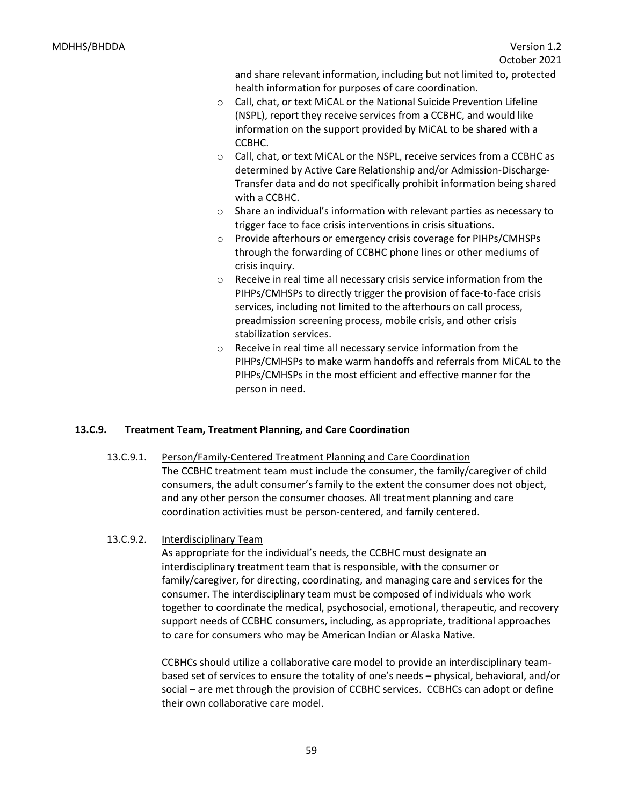and share relevant information, including but not limited to, protected health information for purposes of care coordination.

- o Call, chat, or text MiCAL or the National Suicide Prevention Lifeline (NSPL), report they receive services from a CCBHC, and would like information on the support provided by MiCAL to be shared with a CCBHC.
- o Call, chat, or text MiCAL or the NSPL, receive services from a CCBHC as determined by Active Care Relationship and/or Admission-Discharge-Transfer data and do not specifically prohibit information being shared with a CCBHC.
- o Share an individual's information with relevant parties as necessary to trigger face to face crisis interventions in crisis situations.
- o Provide afterhours or emergency crisis coverage for PIHPs/CMHSPs through the forwarding of CCBHC phone lines or other mediums of crisis inquiry.
- o Receive in real time all necessary crisis service information from the PIHPs/CMHSPs to directly trigger the provision of face-to-face crisis services, including not limited to the afterhours on call process, preadmission screening process, mobile crisis, and other crisis stabilization services.
- o Receive in real time all necessary service information from the PIHPs/CMHSPs to make warm handoffs and referrals from MiCAL to the PIHPs/CMHSPs in the most efficient and effective manner for the person in need.

## **13.C.9. Treatment Team, Treatment Planning, and Care Coordination**

13.C.9.1. Person/Family-Centered Treatment Planning and Care Coordination The CCBHC treatment team must include the consumer, the family/caregiver of child consumers, the adult consumer's family to the extent the consumer does not object, and any other person the consumer chooses. All treatment planning and care coordination activities must be person-centered, and family centered.

## 13.C.9.2. Interdisciplinary Team

As appropriate for the individual's needs, the CCBHC must designate an interdisciplinary treatment team that is responsible, with the consumer or family/caregiver, for directing, coordinating, and managing care and services for the consumer. The interdisciplinary team must be composed of individuals who work together to coordinate the medical, psychosocial, emotional, therapeutic, and recovery support needs of CCBHC consumers, including, as appropriate, traditional approaches to care for consumers who may be American Indian or Alaska Native.

CCBHCs should utilize a collaborative care model to provide an interdisciplinary teambased set of services to ensure the totality of one's needs – physical, behavioral, and/or social – are met through the provision of CCBHC services. CCBHCs can adopt or define their own collaborative care model.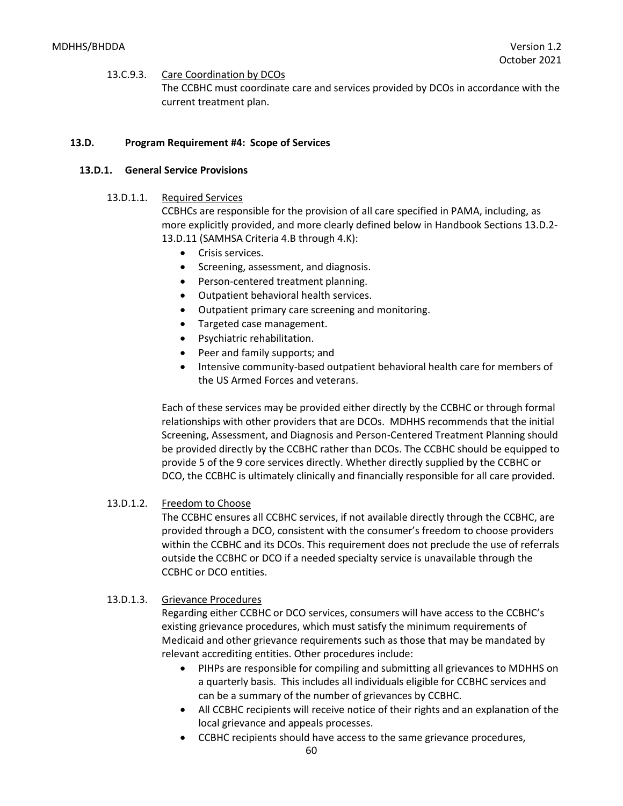#### 13.C.9.3. Care Coordination by DCOs

The CCBHC must coordinate care and services provided by DCOs in accordance with the current treatment plan.

## **13.D. Program Requirement #4: Scope of Services**

#### **13.D.1. General Service Provisions**

#### 13.D.1.1. Required Services

CCBHCs are responsible for the provision of all care specified in PAMA, including, as more explicitly provided, and more clearly defined below in Handbook Sections 13.D.2- 13.D.11 (SAMHSA Criteria 4.B through 4.K):

- Crisis services.
- Screening, assessment, and diagnosis.
- Person-centered treatment planning.
- Outpatient behavioral health services.
- Outpatient primary care screening and monitoring.
- Targeted case management.
- Psychiatric rehabilitation.
- Peer and family supports; and
- Intensive community-based outpatient behavioral health care for members of the US Armed Forces and veterans.

Each of these services may be provided either directly by the CCBHC or through formal relationships with other providers that are DCOs. MDHHS recommends that the initial Screening, Assessment, and Diagnosis and Person-Centered Treatment Planning should be provided directly by the CCBHC rather than DCOs. The CCBHC should be equipped to provide 5 of the 9 core services directly. Whether directly supplied by the CCBHC or DCO, the CCBHC is ultimately clinically and financially responsible for all care provided.

## 13.D.1.2. Freedom to Choose

The CCBHC ensures all CCBHC services, if not available directly through the CCBHC, are provided through a DCO, consistent with the consumer's freedom to choose providers within the CCBHC and its DCOs. This requirement does not preclude the use of referrals outside the CCBHC or DCO if a needed specialty service is unavailable through the CCBHC or DCO entities.

## 13.D.1.3. Grievance Procedures

Regarding either CCBHC or DCO services, consumers will have access to the CCBHC's existing grievance procedures, which must satisfy the minimum requirements of Medicaid and other grievance requirements such as those that may be mandated by relevant accrediting entities. Other procedures include:

- PIHPs are responsible for compiling and submitting all grievances to MDHHS on a quarterly basis. This includes all individuals eligible for CCBHC services and can be a summary of the number of grievances by CCBHC.
- All CCBHC recipients will receive notice of their rights and an explanation of the local grievance and appeals processes.
- CCBHC recipients should have access to the same grievance procedures,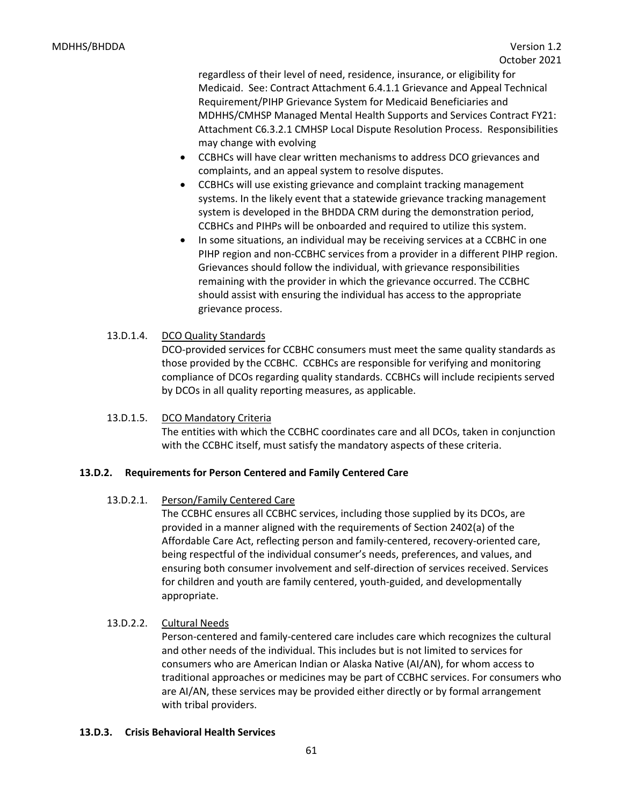regardless of their level of need, residence, insurance, or eligibility for Medicaid. See: Contract Attachment 6.4.1.1 Grievance and Appeal Technical Requirement/PIHP Grievance System for Medicaid Beneficiaries and MDHHS/CMHSP Managed Mental Health Supports and Services Contract FY21: Attachment C6.3.2.1 CMHSP Local Dispute Resolution Process. Responsibilities may change with evolving

- CCBHCs will have clear written mechanisms to address DCO grievances and complaints, and an appeal system to resolve disputes.
- CCBHCs will use existing grievance and complaint tracking management systems. In the likely event that a statewide grievance tracking management system is developed in the BHDDA CRM during the demonstration period, CCBHCs and PIHPs will be onboarded and required to utilize this system.
- In some situations, an individual may be receiving services at a CCBHC in one PIHP region and non-CCBHC services from a provider in a different PIHP region. Grievances should follow the individual, with grievance responsibilities remaining with the provider in which the grievance occurred. The CCBHC should assist with ensuring the individual has access to the appropriate grievance process.
- 13.D.1.4. DCO Quality Standards

DCO-provided services for CCBHC consumers must meet the same quality standards as those provided by the CCBHC. CCBHCs are responsible for verifying and monitoring compliance of DCOs regarding quality standards. CCBHCs will include recipients served by DCOs in all quality reporting measures, as applicable.

## 13.D.1.5. DCO Mandatory Criteria

The entities with which the CCBHC coordinates care and all DCOs, taken in conjunction with the CCBHC itself, must satisfy the mandatory aspects of these criteria.

## **13.D.2. Requirements for Person Centered and Family Centered Care**

## 13.D.2.1. Person/Family Centered Care

The CCBHC ensures all CCBHC services, including those supplied by its DCOs, are provided in a manner aligned with the requirements of Section 2402(a) of the Affordable Care Act, reflecting person and family-centered, recovery-oriented care, being respectful of the individual consumer's needs, preferences, and values, and ensuring both consumer involvement and self-direction of services received. Services for children and youth are family centered, youth-guided, and developmentally appropriate.

## 13.D.2.2. Cultural Needs

Person-centered and family-centered care includes care which recognizes the cultural and other needs of the individual. This includes but is not limited to services for consumers who are American Indian or Alaska Native (AI/AN), for whom access to traditional approaches or medicines may be part of CCBHC services. For consumers who are AI/AN, these services may be provided either directly or by formal arrangement with tribal providers.

## **13.D.3. Crisis Behavioral Health Services**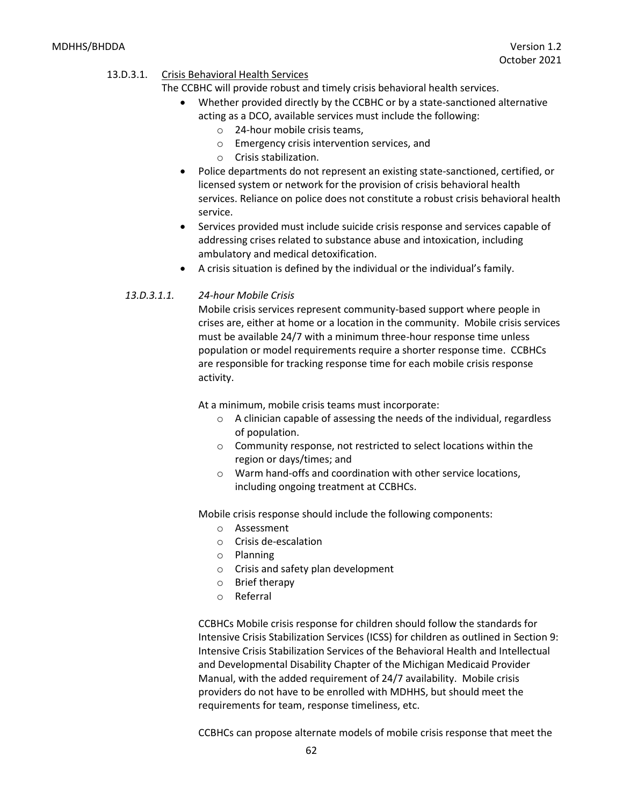## 13.D.3.1. Crisis Behavioral Health Services

The CCBHC will provide robust and timely crisis behavioral health services.

- Whether provided directly by the CCBHC or by a state-sanctioned alternative acting as a DCO, available services must include the following:
	- o 24-hour mobile crisis teams,
	- o Emergency crisis intervention services, and
	- o Crisis stabilization.
- Police departments do not represent an existing state-sanctioned, certified, or licensed system or network for the provision of crisis behavioral health services. Reliance on police does not constitute a robust crisis behavioral health service.
- Services provided must include suicide crisis response and services capable of addressing crises related to substance abuse and intoxication, including ambulatory and medical detoxification.
- A crisis situation is defined by the individual or the individual's family.

#### *13.D.3.1.1. 24-hour Mobile Crisis*

Mobile crisis services represent community-based support where people in crises are, either at home or a location in the community. Mobile crisis services must be available 24/7 with a minimum three-hour response time unless population or model requirements require a shorter response time. CCBHCs are responsible for tracking response time for each mobile crisis response activity.

At a minimum, mobile crisis teams must incorporate:

- o A clinician capable of assessing the needs of the individual, regardless of population.
- o Community response, not restricted to select locations within the region or days/times; and
- o Warm hand-offs and coordination with other service locations, including ongoing treatment at CCBHCs.

Mobile crisis response should include the following components:

- o Assessment
- o Crisis de-escalation
- o Planning
- o Crisis and safety plan development
- o Brief therapy
- o Referral

CCBHCs Mobile crisis response for children should follow the standards for Intensive Crisis Stabilization Services (ICSS) for children as outlined in Section 9: Intensive Crisis Stabilization Services of the Behavioral Health and Intellectual and Developmental Disability Chapter of the Michigan Medicaid Provider Manual, with the added requirement of 24/7 availability. Mobile crisis providers do not have to be enrolled with MDHHS, but should meet the requirements for team, response timeliness, etc.

CCBHCs can propose alternate models of mobile crisis response that meet the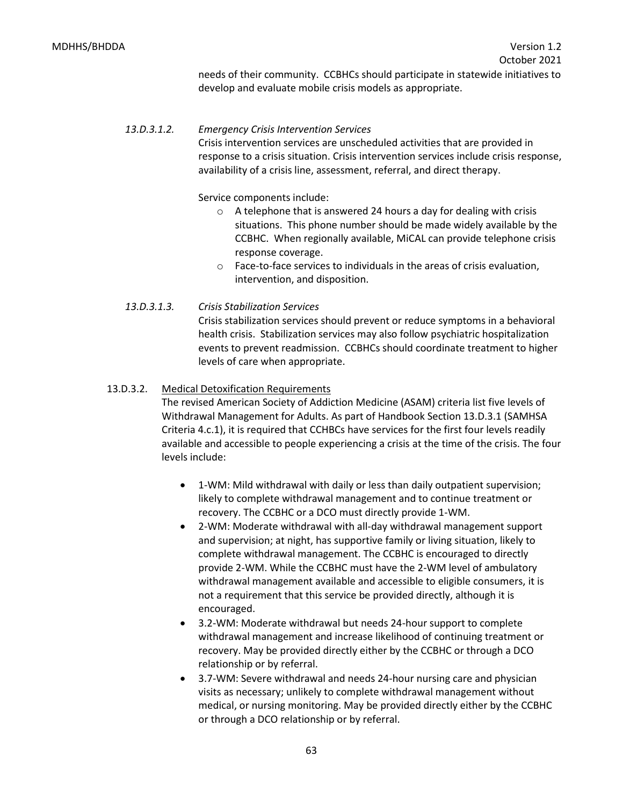needs of their community. CCBHCs should participate in statewide initiatives to develop and evaluate mobile crisis models as appropriate.

## *13.D.3.1.2. Emergency Crisis Intervention Services*

Crisis intervention services are unscheduled activities that are provided in response to a crisis situation. Crisis intervention services include crisis response, availability of a crisis line, assessment, referral, and direct therapy.

Service components include:

- o A telephone that is answered 24 hours a day for dealing with crisis situations. This phone number should be made widely available by the CCBHC. When regionally available, MiCAL can provide telephone crisis response coverage.
- o Face-to-face services to individuals in the areas of crisis evaluation, intervention, and disposition.

## *13.D.3.1.3. Crisis Stabilization Services*

Crisis stabilization services should prevent or reduce symptoms in a behavioral health crisis. Stabilization services may also follow psychiatric hospitalization events to prevent readmission. CCBHCs should coordinate treatment to higher levels of care when appropriate.

## 13.D.3.2. Medical Detoxification Requirements

The revised American Society of Addiction Medicine (ASAM) criteria list five levels of Withdrawal Management for Adults. As part of Handbook Section 13.D.3.1 (SAMHSA Criteria 4.c.1), it is required that CCHBCs have services for the first four levels readily available and accessible to people experiencing a crisis at the time of the crisis. The four levels include:

- 1-WM: Mild withdrawal with daily or less than daily outpatient supervision; likely to complete withdrawal management and to continue treatment or recovery. The CCBHC or a DCO must directly provide 1-WM.
- 2-WM: Moderate withdrawal with all-day withdrawal management support and supervision; at night, has supportive family or living situation, likely to complete withdrawal management. The CCBHC is encouraged to directly provide 2-WM. While the CCBHC must have the 2-WM level of ambulatory withdrawal management available and accessible to eligible consumers, it is not a requirement that this service be provided directly, although it is encouraged.
- 3.2-WM: Moderate withdrawal but needs 24-hour support to complete withdrawal management and increase likelihood of continuing treatment or recovery. May be provided directly either by the CCBHC or through a DCO relationship or by referral.
- 3.7-WM: Severe withdrawal and needs 24-hour nursing care and physician visits as necessary; unlikely to complete withdrawal management without medical, or nursing monitoring. May be provided directly either by the CCBHC or through a DCO relationship or by referral.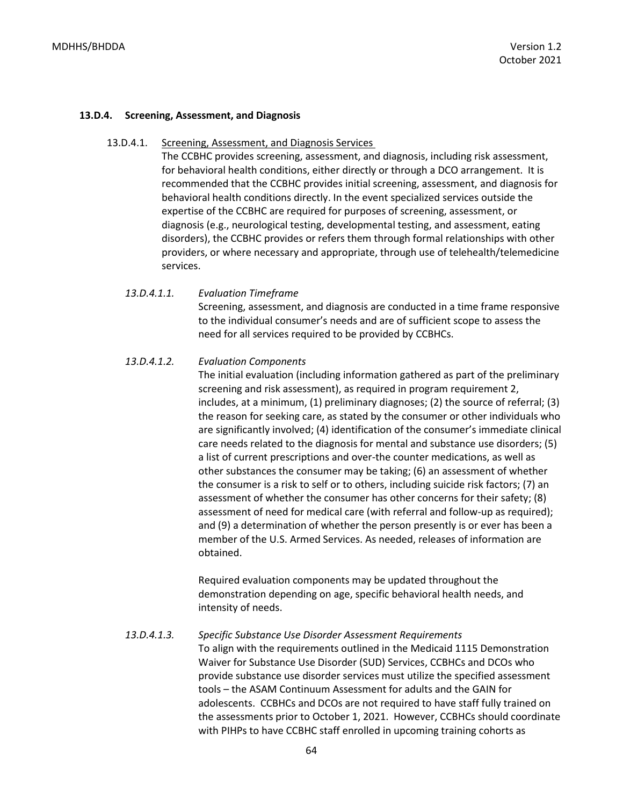#### **13.D.4. Screening, Assessment, and Diagnosis**

#### 13.D.4.1. Screening, Assessment, and Diagnosis Services

The CCBHC provides screening, assessment, and diagnosis, including risk assessment, for behavioral health conditions, either directly or through a DCO arrangement. It is recommended that the CCBHC provides initial screening, assessment, and diagnosis for behavioral health conditions directly. In the event specialized services outside the expertise of the CCBHC are required for purposes of screening, assessment, or diagnosis (e.g., neurological testing, developmental testing, and assessment, eating disorders), the CCBHC provides or refers them through formal relationships with other providers, or where necessary and appropriate, through use of telehealth/telemedicine services.

#### *13.D.4.1.1. Evaluation Timeframe*

Screening, assessment, and diagnosis are conducted in a time frame responsive to the individual consumer's needs and are of sufficient scope to assess the need for all services required to be provided by CCBHCs.

#### *13.D.4.1.2. Evaluation Components*

The initial evaluation (including information gathered as part of the preliminary screening and risk assessment), as required in program requirement 2, includes, at a minimum, (1) preliminary diagnoses; (2) the source of referral; (3) the reason for seeking care, as stated by the consumer or other individuals who are significantly involved; (4) identification of the consumer's immediate clinical care needs related to the diagnosis for mental and substance use disorders; (5) a list of current prescriptions and over-the counter medications, as well as other substances the consumer may be taking; (6) an assessment of whether the consumer is a risk to self or to others, including suicide risk factors; (7) an assessment of whether the consumer has other concerns for their safety; (8) assessment of need for medical care (with referral and follow-up as required); and (9) a determination of whether the person presently is or ever has been a member of the U.S. Armed Services. As needed, releases of information are obtained.

Required evaluation components may be updated throughout the demonstration depending on age, specific behavioral health needs, and intensity of needs.

## *13.D.4.1.3. Specific Substance Use Disorder Assessment Requirements*

To align with the requirements outlined in the Medicaid 1115 Demonstration Waiver for Substance Use Disorder (SUD) Services, CCBHCs and DCOs who provide substance use disorder services must utilize the specified assessment tools – the ASAM Continuum Assessment for adults and the GAIN for adolescents. CCBHCs and DCOs are not required to have staff fully trained on the assessments prior to October 1, 2021. However, CCBHCs should coordinate with PIHPs to have CCBHC staff enrolled in upcoming training cohorts as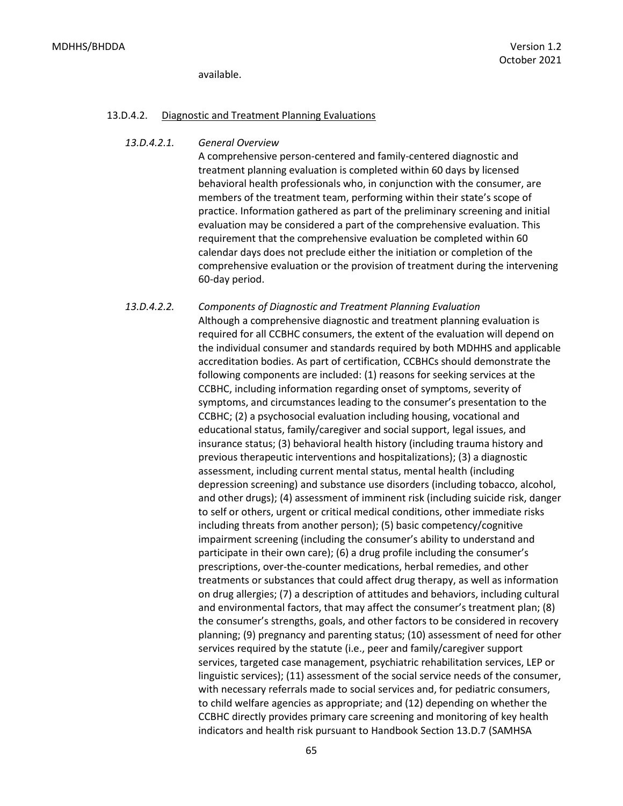available.

#### 13.D.4.2. Diagnostic and Treatment Planning Evaluations

#### *13.D.4.2.1. General Overview*

A comprehensive person-centered and family-centered diagnostic and treatment planning evaluation is completed within 60 days by licensed behavioral health professionals who, in conjunction with the consumer, are members of the treatment team, performing within their state's scope of practice. Information gathered as part of the preliminary screening and initial evaluation may be considered a part of the comprehensive evaluation. This requirement that the comprehensive evaluation be completed within 60 calendar days does not preclude either the initiation or completion of the comprehensive evaluation or the provision of treatment during the intervening 60-day period.

*13.D.4.2.2. Components of Diagnostic and Treatment Planning Evaluation* Although a comprehensive diagnostic and treatment planning evaluation is required for all CCBHC consumers, the extent of the evaluation will depend on the individual consumer and standards required by both MDHHS and applicable accreditation bodies. As part of certification, CCBHCs should demonstrate the following components are included: (1) reasons for seeking services at the CCBHC, including information regarding onset of symptoms, severity of symptoms, and circumstances leading to the consumer's presentation to the CCBHC; (2) a psychosocial evaluation including housing, vocational and educational status, family/caregiver and social support, legal issues, and insurance status; (3) behavioral health history (including trauma history and previous therapeutic interventions and hospitalizations); (3) a diagnostic assessment, including current mental status, mental health (including depression screening) and substance use disorders (including tobacco, alcohol, and other drugs); (4) assessment of imminent risk (including suicide risk, danger to self or others, urgent or critical medical conditions, other immediate risks including threats from another person); (5) basic competency/cognitive impairment screening (including the consumer's ability to understand and participate in their own care); (6) a drug profile including the consumer's prescriptions, over-the-counter medications, herbal remedies, and other treatments or substances that could affect drug therapy, as well as information on drug allergies; (7) a description of attitudes and behaviors, including cultural and environmental factors, that may affect the consumer's treatment plan; (8) the consumer's strengths, goals, and other factors to be considered in recovery planning; (9) pregnancy and parenting status; (10) assessment of need for other services required by the statute (i.e., peer and family/caregiver support services, targeted case management, psychiatric rehabilitation services, LEP or linguistic services); (11) assessment of the social service needs of the consumer, with necessary referrals made to social services and, for pediatric consumers, to child welfare agencies as appropriate; and (12) depending on whether the CCBHC directly provides primary care screening and monitoring of key health indicators and health risk pursuant to Handbook Section 13.D.7 (SAMHSA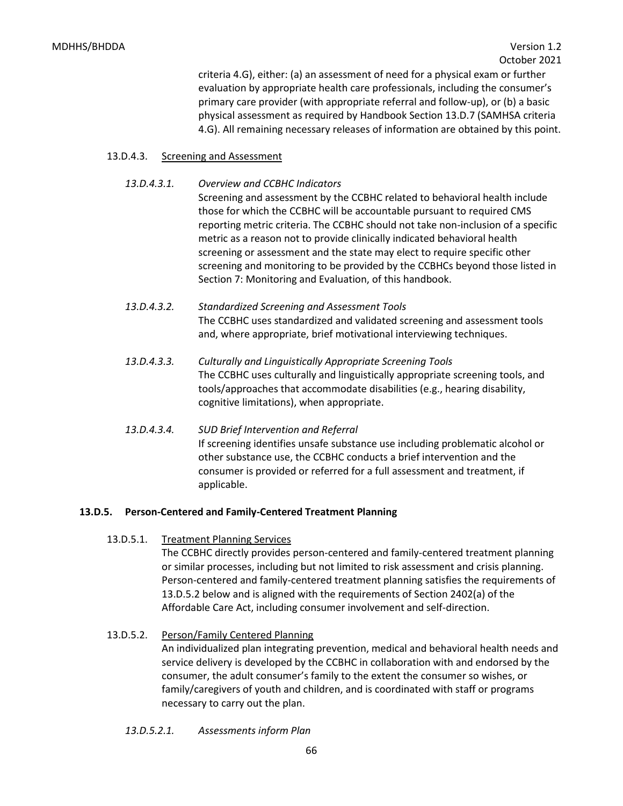criteria 4.G), either: (a) an assessment of need for a physical exam or further evaluation by appropriate health care professionals, including the consumer's primary care provider (with appropriate referral and follow-up), or (b) a basic physical assessment as required by Handbook Section 13.D.7 (SAMHSA criteria 4.G). All remaining necessary releases of information are obtained by this point.

## 13.D.4.3. Screening and Assessment

## *13.D.4.3.1. Overview and CCBHC Indicators*

Screening and assessment by the CCBHC related to behavioral health include those for which the CCBHC will be accountable pursuant to required CMS reporting metric criteria. The CCBHC should not take non-inclusion of a specific metric as a reason not to provide clinically indicated behavioral health screening or assessment and the state may elect to require specific other screening and monitoring to be provided by the CCBHCs beyond those listed in Section 7: Monitoring and Evaluation, of this handbook.

- *13.D.4.3.2. Standardized Screening and Assessment Tools* The CCBHC uses standardized and validated screening and assessment tools and, where appropriate, brief motivational interviewing techniques.
- *13.D.4.3.3. Culturally and Linguistically Appropriate Screening Tools* The CCBHC uses culturally and linguistically appropriate screening tools, and tools/approaches that accommodate disabilities (e.g., hearing disability, cognitive limitations), when appropriate.
- *13.D.4.3.4. SUD Brief Intervention and Referral* If screening identifies unsafe substance use including problematic alcohol or other substance use, the CCBHC conducts a brief intervention and the consumer is provided or referred for a full assessment and treatment, if applicable.

## **13.D.5. Person-Centered and Family-Centered Treatment Planning**

## 13.D.5.1. Treatment Planning Services

The CCBHC directly provides person-centered and family-centered treatment planning or similar processes, including but not limited to risk assessment and crisis planning. Person-centered and family-centered treatment planning satisfies the requirements of 13.D.5.2 below and is aligned with the requirements of Section 2402(a) of the Affordable Care Act, including consumer involvement and self-direction.

## 13.D.5.2. Person/Family Centered Planning

An individualized plan integrating prevention, medical and behavioral health needs and service delivery is developed by the CCBHC in collaboration with and endorsed by the consumer, the adult consumer's family to the extent the consumer so wishes, or family/caregivers of youth and children, and is coordinated with staff or programs necessary to carry out the plan.

*13.D.5.2.1. Assessments inform Plan*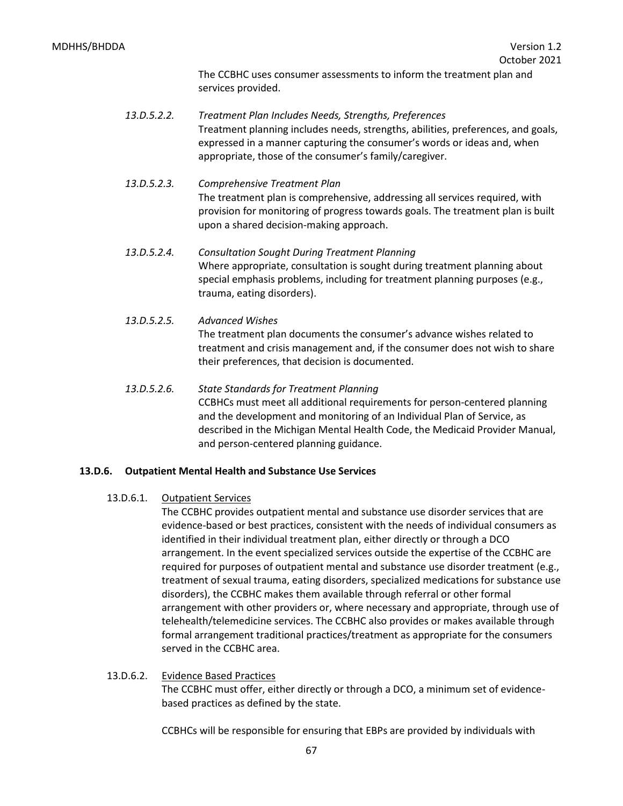The CCBHC uses consumer assessments to inform the treatment plan and services provided.

- *13.D.5.2.2. Treatment Plan Includes Needs, Strengths, Preferences* Treatment planning includes needs, strengths, abilities, preferences, and goals, expressed in a manner capturing the consumer's words or ideas and, when appropriate, those of the consumer's family/caregiver.
- *13.D.5.2.3. Comprehensive Treatment Plan* The treatment plan is comprehensive, addressing all services required, with provision for monitoring of progress towards goals. The treatment plan is built upon a shared decision-making approach.
- *13.D.5.2.4. Consultation Sought During Treatment Planning* Where appropriate, consultation is sought during treatment planning about special emphasis problems, including for treatment planning purposes (e.g., trauma, eating disorders).
- *13.D.5.2.5. Advanced Wishes* The treatment plan documents the consumer's advance wishes related to treatment and crisis management and, if the consumer does not wish to share their preferences, that decision is documented.
- *13.D.5.2.6. State Standards for Treatment Planning* CCBHCs must meet all additional requirements for person-centered planning and the development and monitoring of an Individual Plan of Service, as described in the Michigan Mental Health Code, the Medicaid Provider Manual, and person-centered planning guidance.

## **13.D.6. Outpatient Mental Health and Substance Use Services**

13.D.6.1. Outpatient Services

The CCBHC provides outpatient mental and substance use disorder services that are evidence-based or best practices, consistent with the needs of individual consumers as identified in their individual treatment plan, either directly or through a DCO arrangement. In the event specialized services outside the expertise of the CCBHC are required for purposes of outpatient mental and substance use disorder treatment (e.g., treatment of sexual trauma, eating disorders, specialized medications for substance use disorders), the CCBHC makes them available through referral or other formal arrangement with other providers or, where necessary and appropriate, through use of telehealth/telemedicine services. The CCBHC also provides or makes available through formal arrangement traditional practices/treatment as appropriate for the consumers served in the CCBHC area.

13.D.6.2. Evidence Based Practices The CCBHC must offer, either directly or through a DCO, a minimum set of evidencebased practices as defined by the state.

CCBHCs will be responsible for ensuring that EBPs are provided by individuals with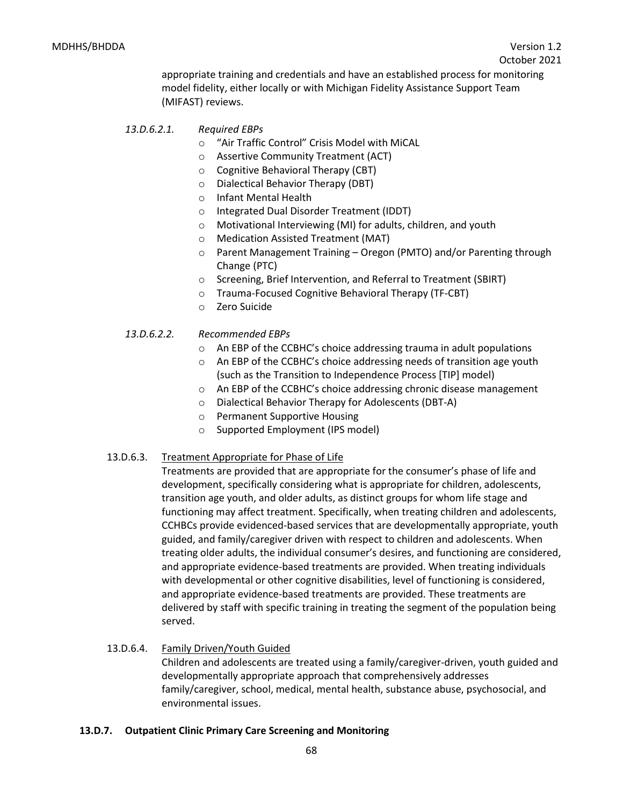appropriate training and credentials and have an established process for monitoring model fidelity, either locally or with Michigan Fidelity Assistance Support Team (MIFAST) reviews.

## *13.D.6.2.1. Required EBPs*

- o "Air Traffic Control" Crisis Model with MiCAL
- o Assertive Community Treatment (ACT)
- o Cognitive Behavioral Therapy (CBT)
- o Dialectical Behavior Therapy (DBT)
- o Infant Mental Health
- o Integrated Dual Disorder Treatment (IDDT)
- o Motivational Interviewing (MI) for adults, children, and youth
- o Medication Assisted Treatment (MAT)
- o Parent Management Training Oregon (PMTO) and/or Parenting through Change (PTC)
- o Screening, Brief Intervention, and Referral to Treatment (SBIRT)
- o Trauma-Focused Cognitive Behavioral Therapy (TF-CBT)
- o Zero Suicide

## *13.D.6.2.2. Recommended EBPs*

- o An EBP of the CCBHC's choice addressing trauma in adult populations
- o An EBP of the CCBHC's choice addressing needs of transition age youth (such as the Transition to Independence Process [TIP] model)
- $\circ$  An EBP of the CCBHC's choice addressing chronic disease management
- o Dialectical Behavior Therapy for Adolescents (DBT-A)
- o Permanent Supportive Housing
- o Supported Employment (IPS model)

## 13.D.6.3. Treatment Appropriate for Phase of Life

Treatments are provided that are appropriate for the consumer's phase of life and development, specifically considering what is appropriate for children, adolescents, transition age youth, and older adults, as distinct groups for whom life stage and functioning may affect treatment. Specifically, when treating children and adolescents, CCHBCs provide evidenced-based services that are developmentally appropriate, youth guided, and family/caregiver driven with respect to children and adolescents. When treating older adults, the individual consumer's desires, and functioning are considered, and appropriate evidence-based treatments are provided. When treating individuals with developmental or other cognitive disabilities, level of functioning is considered, and appropriate evidence-based treatments are provided. These treatments are delivered by staff with specific training in treating the segment of the population being served.

## 13.D.6.4. Family Driven/Youth Guided

Children and adolescents are treated using a family/caregiver-driven, youth guided and developmentally appropriate approach that comprehensively addresses family/caregiver, school, medical, mental health, substance abuse, psychosocial, and environmental issues.

## **13.D.7. Outpatient Clinic Primary Care Screening and Monitoring**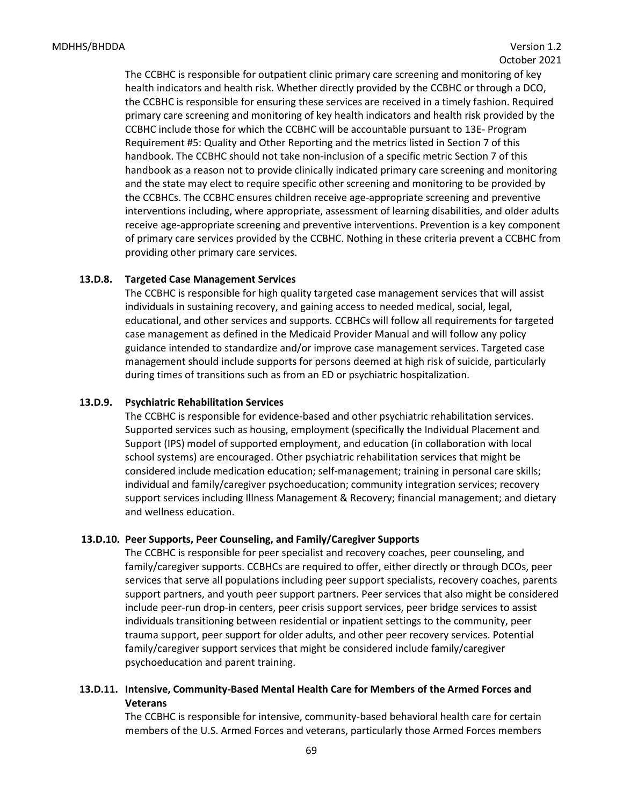The CCBHC is responsible for outpatient clinic primary care screening and monitoring of key health indicators and health risk. Whether directly provided by the CCBHC or through a DCO, the CCBHC is responsible for ensuring these services are received in a timely fashion. Required primary care screening and monitoring of key health indicators and health risk provided by the CCBHC include those for which the CCBHC will be accountable pursuant to 13E- Program Requirement #5: Quality and Other Reporting and the metrics listed in Section 7 of this handbook. The CCBHC should not take non-inclusion of a specific metric Section 7 of this handbook as a reason not to provide clinically indicated primary care screening and monitoring and the state may elect to require specific other screening and monitoring to be provided by the CCBHCs. The CCBHC ensures children receive age-appropriate screening and preventive interventions including, where appropriate, assessment of learning disabilities, and older adults receive age-appropriate screening and preventive interventions. Prevention is a key component of primary care services provided by the CCBHC. Nothing in these criteria prevent a CCBHC from providing other primary care services.

#### **13.D.8. Targeted Case Management Services**

The CCBHC is responsible for high quality targeted case management services that will assist individuals in sustaining recovery, and gaining access to needed medical, social, legal, educational, and other services and supports. CCBHCs will follow all requirements for targeted case management as defined in the Medicaid Provider Manual and will follow any policy guidance intended to standardize and/or improve case management services. Targeted case management should include supports for persons deemed at high risk of suicide, particularly during times of transitions such as from an ED or psychiatric hospitalization.

#### **13.D.9. Psychiatric Rehabilitation Services**

The CCBHC is responsible for evidence-based and other psychiatric rehabilitation services. Supported services such as housing, employment (specifically the Individual Placement and Support (IPS) model of supported employment, and education (in collaboration with local school systems) are encouraged. Other psychiatric rehabilitation services that might be considered include medication education; self-management; training in personal care skills; individual and family/caregiver psychoeducation; community integration services; recovery support services including Illness Management & Recovery; financial management; and dietary and wellness education.

#### **13.D.10. Peer Supports, Peer Counseling, and Family/Caregiver Supports**

The CCBHC is responsible for peer specialist and recovery coaches, peer counseling, and family/caregiver supports. CCBHCs are required to offer, either directly or through DCOs, peer services that serve all populations including peer support specialists, recovery coaches, parents support partners, and youth peer support partners. Peer services that also might be considered include peer-run drop-in centers, peer crisis support services, peer bridge services to assist individuals transitioning between residential or inpatient settings to the community, peer trauma support, peer support for older adults, and other peer recovery services. Potential family/caregiver support services that might be considered include family/caregiver psychoeducation and parent training.

## **13.D.11. Intensive, Community-Based Mental Health Care for Members of the Armed Forces and Veterans**

The CCBHC is responsible for intensive, community-based behavioral health care for certain members of the U.S. Armed Forces and veterans, particularly those Armed Forces members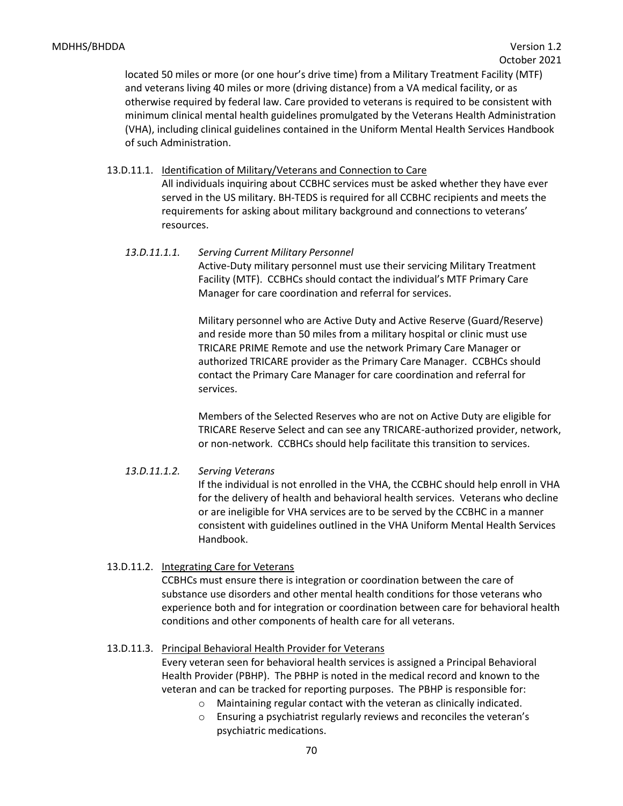located 50 miles or more (or one hour's drive time) from a Military Treatment Facility (MTF) and veterans living 40 miles or more (driving distance) from a VA medical facility, or as otherwise required by federal law. Care provided to veterans is required to be consistent with minimum clinical mental health guidelines promulgated by the Veterans Health Administration (VHA), including clinical guidelines contained in the Uniform Mental Health Services Handbook of such Administration.

- 13.D.11.1. Identification of Military/Veterans and Connection to Care All individuals inquiring about CCBHC services must be asked whether they have ever served in the US military. BH-TEDS is required for all CCBHC recipients and meets the requirements for asking about military background and connections to veterans' resources.
	- *13.D.11.1.1. Serving Current Military Personnel* Active-Duty military personnel must use their servicing Military Treatment Facility (MTF). CCBHCs should contact the individual's MTF Primary Care Manager for care coordination and referral for services.

Military personnel who are Active Duty and Active Reserve (Guard/Reserve) and reside more than 50 miles from a military hospital or clinic must use TRICARE PRIME Remote and use the network Primary Care Manager or authorized TRICARE provider as the Primary Care Manager. CCBHCs should contact the Primary Care Manager for care coordination and referral for services.

Members of the Selected Reserves who are not on Active Duty are eligible for TRICARE Reserve Select and can see any TRICARE-authorized provider, network, or non-network. CCBHCs should help facilitate this transition to services.

## *13.D.11.1.2. Serving Veterans*

If the individual is not enrolled in the VHA, the CCBHC should help enroll in VHA for the delivery of health and behavioral health services. Veterans who decline or are ineligible for VHA services are to be served by the CCBHC in a manner consistent with guidelines outlined in the VHA Uniform Mental Health Services Handbook.

13.D.11.2. Integrating Care for Veterans

CCBHCs must ensure there is integration or coordination between the care of substance use disorders and other mental health conditions for those veterans who experience both and for integration or coordination between care for behavioral health conditions and other components of health care for all veterans.

#### 13.D.11.3. Principal Behavioral Health Provider for Veterans

Every veteran seen for behavioral health services is assigned a Principal Behavioral Health Provider (PBHP). The PBHP is noted in the medical record and known to the veteran and can be tracked for reporting purposes. The PBHP is responsible for:

- o Maintaining regular contact with the veteran as clinically indicated.
- o Ensuring a psychiatrist regularly reviews and reconciles the veteran's psychiatric medications.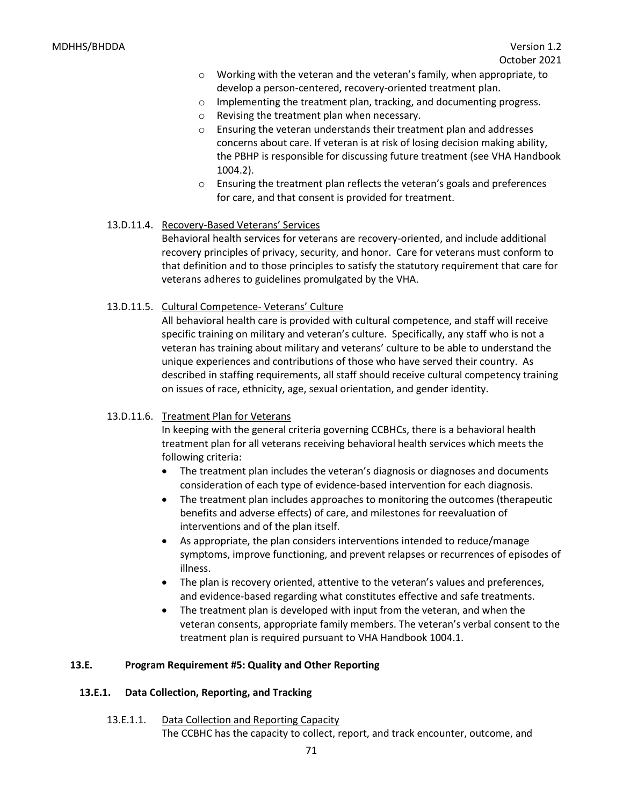- $\circ$  Working with the veteran and the veteran's family, when appropriate, to develop a person-centered, recovery-oriented treatment plan.
- $\circ$  Implementing the treatment plan, tracking, and documenting progress.
- o Revising the treatment plan when necessary.
- o Ensuring the veteran understands their treatment plan and addresses concerns about care. If veteran is at risk of losing decision making ability, the PBHP is responsible for discussing future treatment (see VHA Handbook 1004.2).
- o Ensuring the treatment plan reflects the veteran's goals and preferences for care, and that consent is provided for treatment.
- 13.D.11.4. Recovery-Based Veterans' Services

Behavioral health services for veterans are recovery-oriented, and include additional recovery principles of privacy, security, and honor. Care for veterans must conform to that definition and to those principles to satisfy the statutory requirement that care for veterans adheres to guidelines promulgated by the VHA.

13.D.11.5. Cultural Competence- Veterans' Culture

All behavioral health care is provided with cultural competence, and staff will receive specific training on military and veteran's culture. Specifically, any staff who is not a veteran has training about military and veterans' culture to be able to understand the unique experiences and contributions of those who have served their country. As described in staffing requirements, all staff should receive cultural competency training on issues of race, ethnicity, age, sexual orientation, and gender identity.

#### 13.D.11.6. Treatment Plan for Veterans

In keeping with the general criteria governing CCBHCs, there is a behavioral health treatment plan for all veterans receiving behavioral health services which meets the following criteria:

- The treatment plan includes the veteran's diagnosis or diagnoses and documents consideration of each type of evidence-based intervention for each diagnosis.
- The treatment plan includes approaches to monitoring the outcomes (therapeutic benefits and adverse effects) of care, and milestones for reevaluation of interventions and of the plan itself.
- As appropriate, the plan considers interventions intended to reduce/manage symptoms, improve functioning, and prevent relapses or recurrences of episodes of illness.
- The plan is recovery oriented, attentive to the veteran's values and preferences, and evidence-based regarding what constitutes effective and safe treatments.
- The treatment plan is developed with input from the veteran, and when the veteran consents, appropriate family members. The veteran's verbal consent to the treatment plan is required pursuant to VHA Handbook 1004.1.

#### **13.E. Program Requirement #5: Quality and Other Reporting**

#### **13.E.1. Data Collection, Reporting, and Tracking**

13.E.1.1. Data Collection and Reporting Capacity The CCBHC has the capacity to collect, report, and track encounter, outcome, and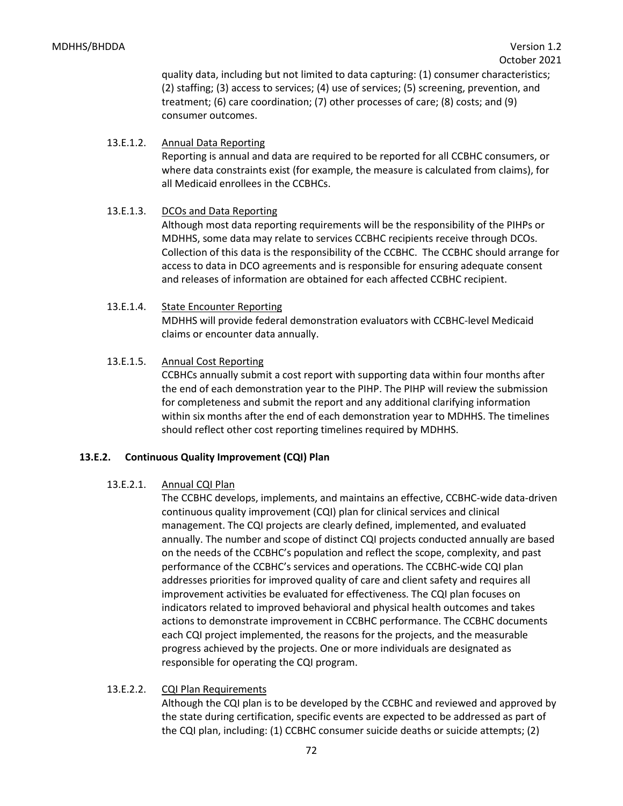quality data, including but not limited to data capturing: (1) consumer characteristics; (2) staffing; (3) access to services; (4) use of services; (5) screening, prevention, and treatment; (6) care coordination; (7) other processes of care; (8) costs; and (9) consumer outcomes.

## 13.E.1.2. Annual Data Reporting

Reporting is annual and data are required to be reported for all CCBHC consumers, or where data constraints exist (for example, the measure is calculated from claims), for all Medicaid enrollees in the CCBHCs.

## 13.E.1.3. DCOs and Data Reporting

Although most data reporting requirements will be the responsibility of the PIHPs or MDHHS, some data may relate to services CCBHC recipients receive through DCOs. Collection of this data is the responsibility of the CCBHC. The CCBHC should arrange for access to data in DCO agreements and is responsible for ensuring adequate consent and releases of information are obtained for each affected CCBHC recipient.

## 13.E.1.4. State Encounter Reporting

MDHHS will provide federal demonstration evaluators with CCBHC-level Medicaid claims or encounter data annually.

## 13.E.1.5. Annual Cost Reporting

CCBHCs annually submit a cost report with supporting data within four months after the end of each demonstration year to the PIHP. The PIHP will review the submission for completeness and submit the report and any additional clarifying information within six months after the end of each demonstration year to MDHHS. The timelines should reflect other cost reporting timelines required by MDHHS.

## **13.E.2. Continuous Quality Improvement (CQI) Plan**

## 13.E.2.1. Annual CQI Plan

The CCBHC develops, implements, and maintains an effective, CCBHC-wide data-driven continuous quality improvement (CQI) plan for clinical services and clinical management. The CQI projects are clearly defined, implemented, and evaluated annually. The number and scope of distinct CQI projects conducted annually are based on the needs of the CCBHC's population and reflect the scope, complexity, and past performance of the CCBHC's services and operations. The CCBHC-wide CQI plan addresses priorities for improved quality of care and client safety and requires all improvement activities be evaluated for effectiveness. The CQI plan focuses on indicators related to improved behavioral and physical health outcomes and takes actions to demonstrate improvement in CCBHC performance. The CCBHC documents each CQI project implemented, the reasons for the projects, and the measurable progress achieved by the projects. One or more individuals are designated as responsible for operating the CQI program.

## 13.E.2.2. CQI Plan Requirements

Although the CQI plan is to be developed by the CCBHC and reviewed and approved by the state during certification, specific events are expected to be addressed as part of the CQI plan, including: (1) CCBHC consumer suicide deaths or suicide attempts; (2)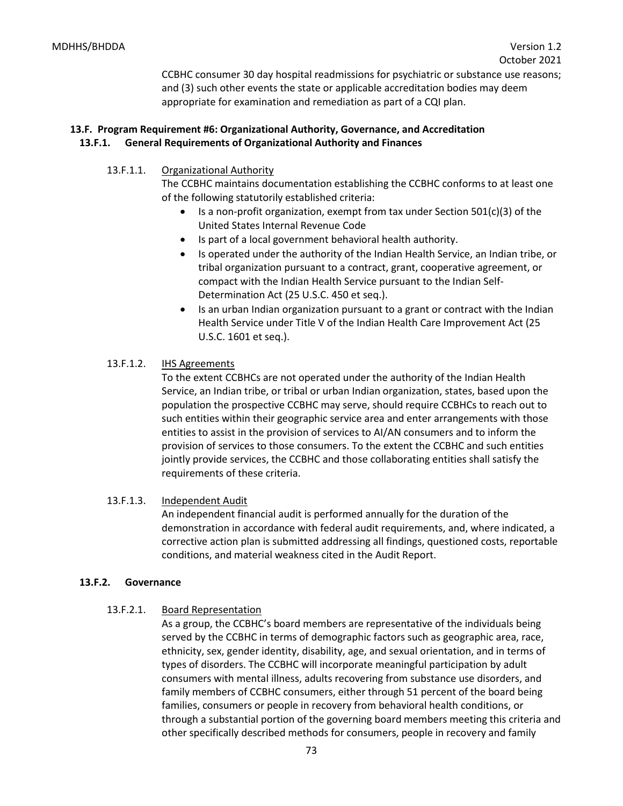CCBHC consumer 30 day hospital readmissions for psychiatric or substance use reasons; and (3) such other events the state or applicable accreditation bodies may deem appropriate for examination and remediation as part of a CQI plan.

# **13.F. Program Requirement #6: Organizational Authority, Governance, and Accreditation 13.F.1. General Requirements of Organizational Authority and Finances**

13.F.1.1. Organizational Authority

The CCBHC maintains documentation establishing the CCBHC conforms to at least one of the following statutorily established criteria:

- Is a non-profit organization, exempt from tax under Section 501(c)(3) of the United States Internal Revenue Code
- Is part of a local government behavioral health authority.
- Is operated under the authority of the Indian Health Service, an Indian tribe, or tribal organization pursuant to a contract, grant, cooperative agreement, or compact with the Indian Health Service pursuant to the Indian Self-Determination Act (25 U.S.C. 450 et seq.).
- Is an urban Indian organization pursuant to a grant or contract with the Indian Health Service under Title V of the Indian Health Care Improvement Act (25 U.S.C. 1601 et seq.).

## 13.F.1.2. **IHS Agreements**

To the extent CCBHCs are not operated under the authority of the Indian Health Service, an Indian tribe, or tribal or urban Indian organization, states, based upon the population the prospective CCBHC may serve, should require CCBHCs to reach out to such entities within their geographic service area and enter arrangements with those entities to assist in the provision of services to AI/AN consumers and to inform the provision of services to those consumers. To the extent the CCBHC and such entities jointly provide services, the CCBHC and those collaborating entities shall satisfy the requirements of these criteria.

## 13.F.1.3. Independent Audit

An independent financial audit is performed annually for the duration of the demonstration in accordance with federal audit requirements, and, where indicated, a corrective action plan is submitted addressing all findings, questioned costs, reportable conditions, and material weakness cited in the Audit Report.

### **13.F.2. Governance**

### 13.F.2.1. Board Representation

As a group, the CCBHC's board members are representative of the individuals being served by the CCBHC in terms of demographic factors such as geographic area, race, ethnicity, sex, gender identity, disability, age, and sexual orientation, and in terms of types of disorders. The CCBHC will incorporate meaningful participation by adult consumers with mental illness, adults recovering from substance use disorders, and family members of CCBHC consumers, either through 51 percent of the board being families, consumers or people in recovery from behavioral health conditions, or through a substantial portion of the governing board members meeting this criteria and other specifically described methods for consumers, people in recovery and family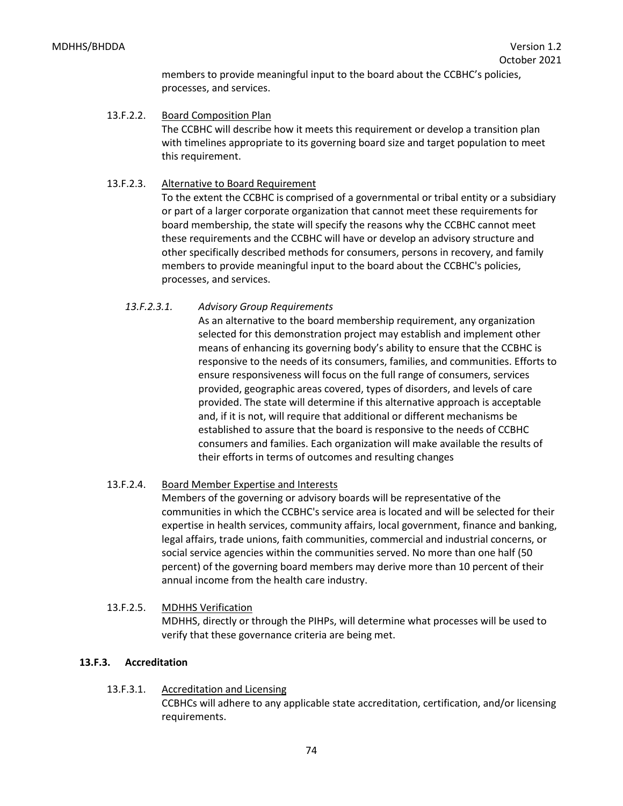members to provide meaningful input to the board about the CCBHC's policies, processes, and services.

13.F.2.2. Board Composition Plan The CCBHC will describe how it meets this requirement or develop a transition plan with timelines appropriate to its governing board size and target population to meet this requirement.

## 13.F.2.3. Alternative to Board Requirement

To the extent the CCBHC is comprised of a governmental or tribal entity or a subsidiary or part of a larger corporate organization that cannot meet these requirements for board membership, the state will specify the reasons why the CCBHC cannot meet these requirements and the CCBHC will have or develop an advisory structure and other specifically described methods for consumers, persons in recovery, and family members to provide meaningful input to the board about the CCBHC's policies, processes, and services.

## *13.F.2.3.1. Advisory Group Requirements*

As an alternative to the board membership requirement, any organization selected for this demonstration project may establish and implement other means of enhancing its governing body's ability to ensure that the CCBHC is responsive to the needs of its consumers, families, and communities. Efforts to ensure responsiveness will focus on the full range of consumers, services provided, geographic areas covered, types of disorders, and levels of care provided. The state will determine if this alternative approach is acceptable and, if it is not, will require that additional or different mechanisms be established to assure that the board is responsive to the needs of CCBHC consumers and families. Each organization will make available the results of their efforts in terms of outcomes and resulting changes

## 13.F.2.4. Board Member Expertise and Interests

Members of the governing or advisory boards will be representative of the communities in which the CCBHC's service area is located and will be selected for their expertise in health services, community affairs, local government, finance and banking, legal affairs, trade unions, faith communities, commercial and industrial concerns, or social service agencies within the communities served. No more than one half (50 percent) of the governing board members may derive more than 10 percent of their annual income from the health care industry.

13.F.2.5. MDHHS Verification MDHHS, directly or through the PIHPs, will determine what processes will be used to verify that these governance criteria are being met.

### **13.F.3. Accreditation**

13.F.3.1. Accreditation and Licensing CCBHCs will adhere to any applicable state accreditation, certification, and/or licensing requirements.